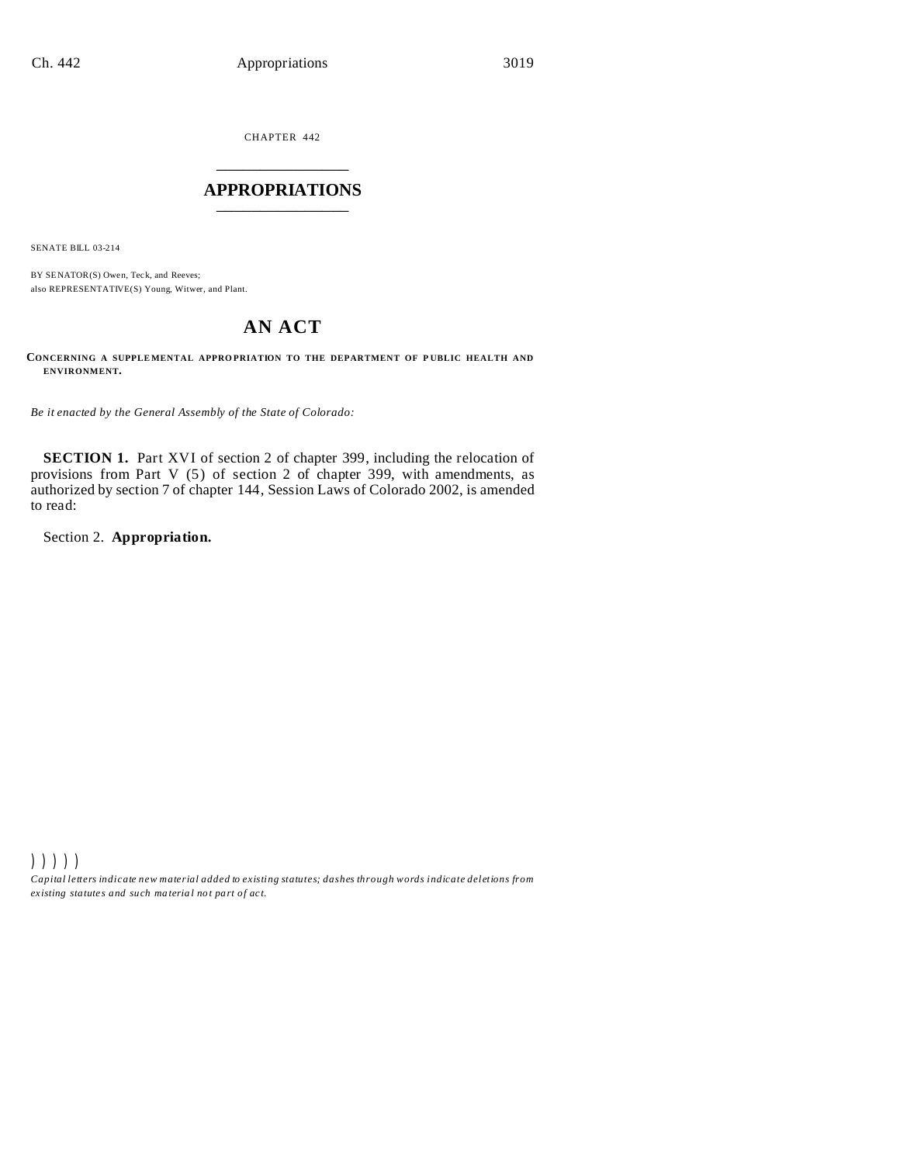CHAPTER 442 \_\_\_\_\_\_\_\_\_\_\_\_\_\_\_

# **APPROPRIATIONS** \_\_\_\_\_\_\_\_\_\_\_\_\_\_\_

SENATE BILL 03-214

BY SENATOR(S) Owen, Teck, and Reeves; also REPRESENTATIVE(S) Young, Witwer, and Plant.

# **AN ACT**

CONCERNING A SUPPLEMENTAL APPROPRIATION TO THE DEPARTMENT OF PUBLIC HEALTH AND **ENVIRONMENT.**

*Be it enacted by the General Assembly of the State of Colorado:*

**SECTION 1.** Part XVI of section 2 of chapter 399, including the relocation of provisions from Part V (5) of section 2 of chapter 399, with amendments, as authorized by section 7 of chapter 144, Session Laws of Colorado 2002, is amended to read:

Section 2. **Appropriation.**

))))) *Capital letters indicate new material added to existing statutes; dashes through words indicate deletions from ex isting statute s and such ma teria l no t pa rt of ac t.*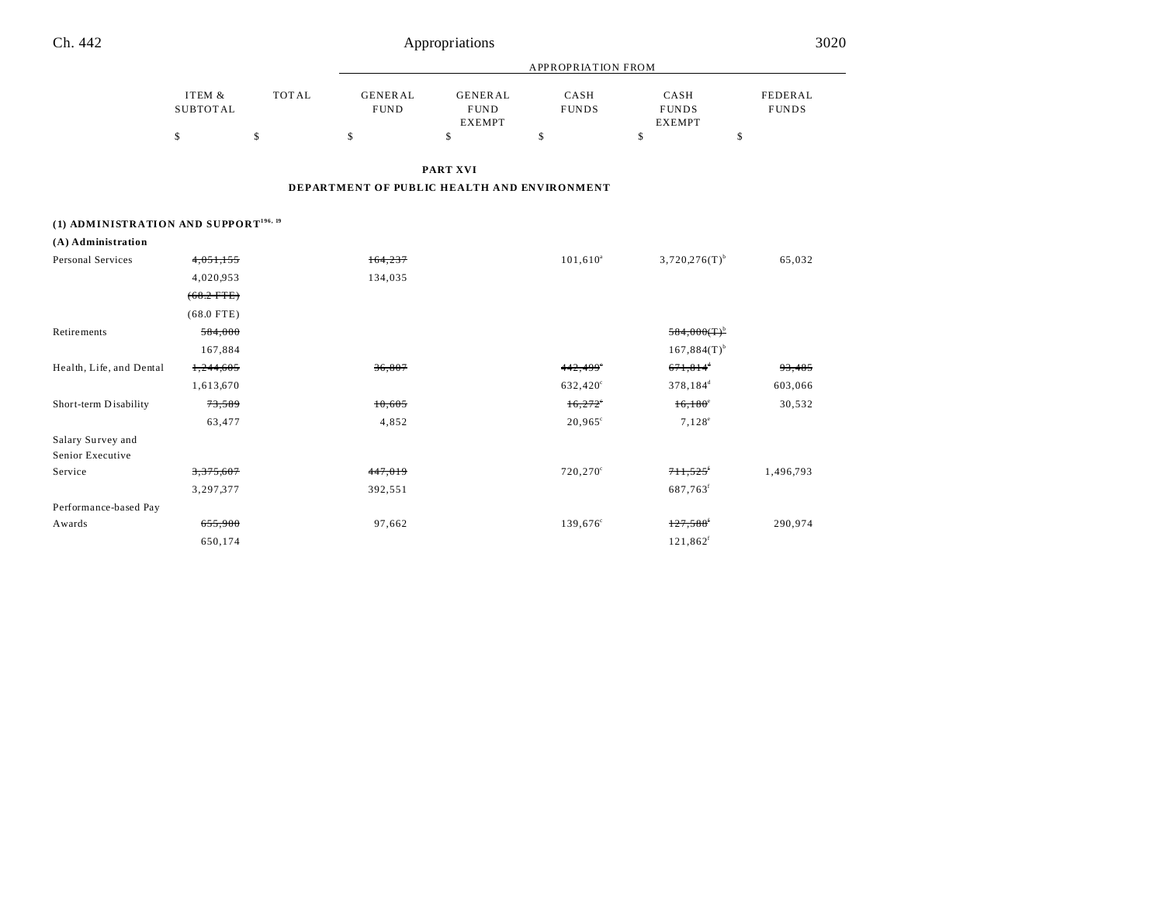| Ch. 442                                           |                           |              |                                             | Appropriations                                 |                      |                                       | 3020                    |
|---------------------------------------------------|---------------------------|--------------|---------------------------------------------|------------------------------------------------|----------------------|---------------------------------------|-------------------------|
|                                                   |                           |              | APPROPRIATION FROM                          |                                                |                      |                                       |                         |
|                                                   | ITEM &<br><b>SUBTOTAL</b> | <b>TOTAL</b> | <b>GENERAL</b><br><b>FUND</b>               | <b>GENERAL</b><br><b>FUND</b><br><b>EXEMPT</b> | CASH<br><b>FUNDS</b> | CASH<br><b>FUNDS</b><br><b>EXEMPT</b> | FEDERAL<br><b>FUNDS</b> |
|                                                   | \$                        | \$           | \$                                          | \$                                             | \$                   | $\mathbb S$                           | \$                      |
|                                                   |                           |              |                                             | PART XVI                                       |                      |                                       |                         |
|                                                   |                           |              | DEPARTMENT OF PUBLIC HEALTH AND ENVIRONMENT |                                                |                      |                                       |                         |
|                                                   |                           |              |                                             |                                                |                      |                                       |                         |
| (1) ADMINISTRATION AND SUPPORT <sup>196, 19</sup> |                           |              |                                             |                                                |                      |                                       |                         |
| (A) Administration<br>Personal Services           |                           |              |                                             |                                                |                      |                                       |                         |
|                                                   | 4,051,155                 |              | 164,237                                     |                                                | $101,610^a$          | $3,720,276(T)$ <sup>b</sup>           | 65,032                  |
|                                                   | 4,020,953                 |              | 134,035                                     |                                                |                      |                                       |                         |
|                                                   | $(68.2$ FTE)              |              |                                             |                                                |                      |                                       |                         |
|                                                   | $(68.0$ FTE)              |              |                                             |                                                |                      |                                       |                         |
| <b>Retirements</b>                                | 584,000                   |              |                                             |                                                |                      | $584,000(T)^b$                        |                         |
|                                                   | 167,884                   |              |                                             |                                                |                      | $167,884(T)$ <sup>b</sup>             |                         |
| Health, Life, and Dental                          | 1,244,605                 |              | 36,807                                      |                                                | 442,499*             | $671,814$ <sup>*</sup>                | 93,485                  |
|                                                   | 1,613,670                 |              |                                             |                                                | 632,420°             | 378,184 <sup>d</sup>                  | 603,066                 |
| Short-term Disability                             | 73,589                    |              | 10,605                                      |                                                | 16,272               | $16,180^{\circ}$                      | 30,532                  |
|                                                   | 63,477                    |              | 4,852                                       |                                                | $20,965^{\circ}$     | $7,128^e$                             |                         |
| Salary Survey and                                 |                           |              |                                             |                                                |                      |                                       |                         |
| Senior Executive                                  |                           |              |                                             |                                                |                      |                                       |                         |
| Service                                           | 3,375,607                 |              | 447,019                                     |                                                | 720,270 <sup>c</sup> | 711,525                               | 1,496,793               |
|                                                   | 3,297,377                 |              | 392,551                                     |                                                |                      | 687,763 <sup>f</sup>                  |                         |
| Performance-based Pay                             |                           |              |                                             |                                                |                      |                                       |                         |
| Awards                                            | 655,900                   |              | 97,662                                      |                                                | 139,676 <sup>c</sup> | 127,588                               | 290,974                 |
|                                                   | 650,174                   |              |                                             |                                                |                      | $121,862$ <sup>f</sup>                |                         |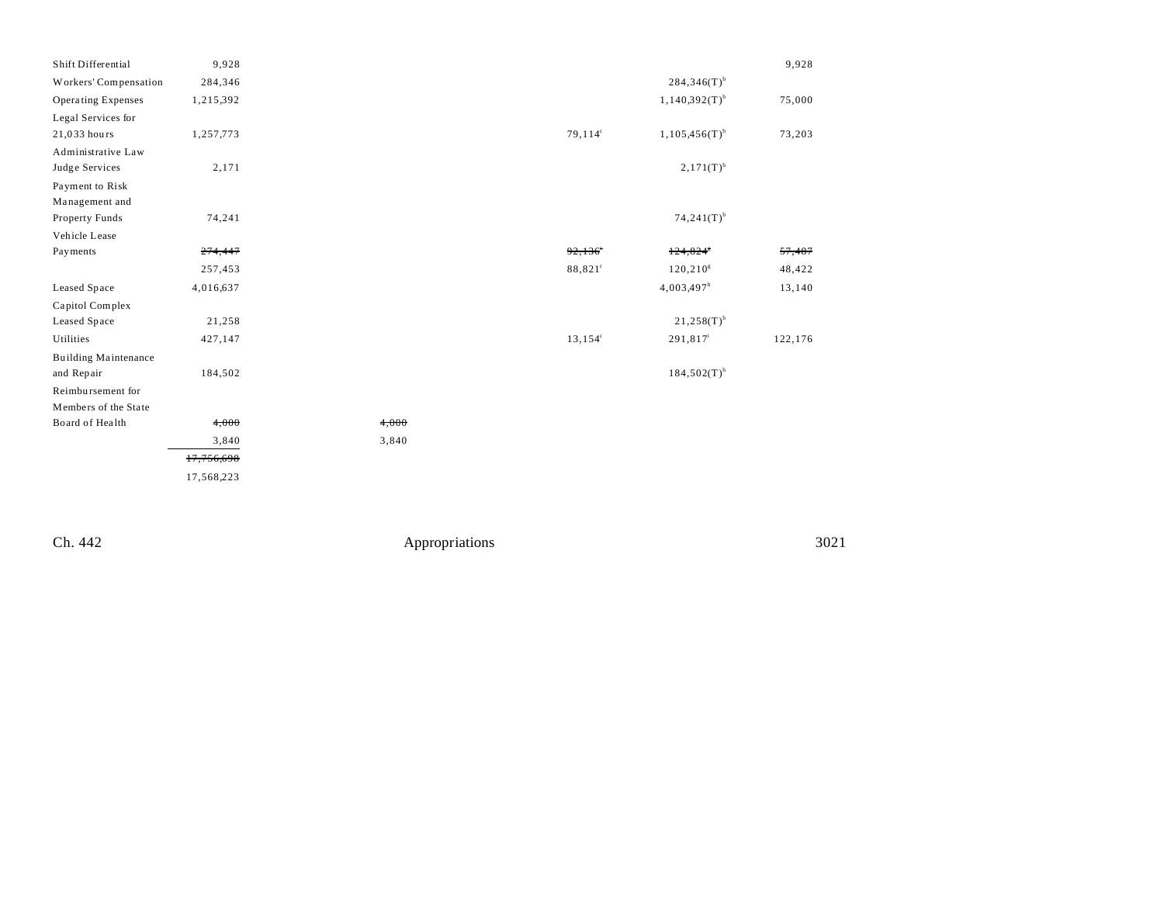| Shift Differential          | 9,928      |       |            |                     |                           | 9,928   |
|-----------------------------|------------|-------|------------|---------------------|---------------------------|---------|
| Workers' Compensation       | 284,346    |       |            |                     | $284,346(T)$ <sup>b</sup> |         |
| <b>Operating Expenses</b>   | 1,215,392  |       |            |                     | $1,140,392(T)^{b}$        | 75,000  |
| Legal Services for          |            |       |            |                     |                           |         |
| 21,033 hours                | 1,257,773  |       | $79,114^c$ |                     | $1,105,456(T)^{b}$        | 73,203  |
| Administrative Law          |            |       |            |                     |                           |         |
| Judge Services              | 2,171      |       |            |                     | $2,171(T)^{b}$            |         |
| Payment to Risk             |            |       |            |                     |                           |         |
| Management and              |            |       |            |                     |                           |         |
| Property Funds              | 74,241     |       |            |                     | $74,241(T)^{b}$           |         |
| Vehicle Lease               |            |       |            |                     |                           |         |
| Payments                    | 274,447    |       | 92,136     |                     | 124,824                   | 57,487  |
|                             | 257,453    |       |            | 88,821 <sup>c</sup> | 120, 210 <sup>8</sup>     | 48,422  |
| Leased Space                | 4,016,637  |       |            |                     | $4,003,497$ <sup>h</sup>  | 13,140  |
| Capitol Complex             |            |       |            |                     |                           |         |
| Leased Space                | 21,258     |       |            |                     | $21,258(T)$ <sup>b</sup>  |         |
| Utilities                   | 427,147    |       |            | $13,154^c$          | 291,817 <sup>i</sup>      | 122,176 |
| <b>Building Maintenance</b> |            |       |            |                     |                           |         |
| and Repair                  | 184,502    |       |            |                     | $184,502(T)$ <sup>b</sup> |         |
| Reimbursement for           |            |       |            |                     |                           |         |
| Members of the State        |            |       |            |                     |                           |         |
| Board of Health             | 4,000      | 4,000 |            |                     |                           |         |
|                             | 3,840      | 3,840 |            |                     |                           |         |
|                             | 17,756,698 |       |            |                     |                           |         |
|                             | 17,568,223 |       |            |                     |                           |         |
|                             |            |       |            |                     |                           |         |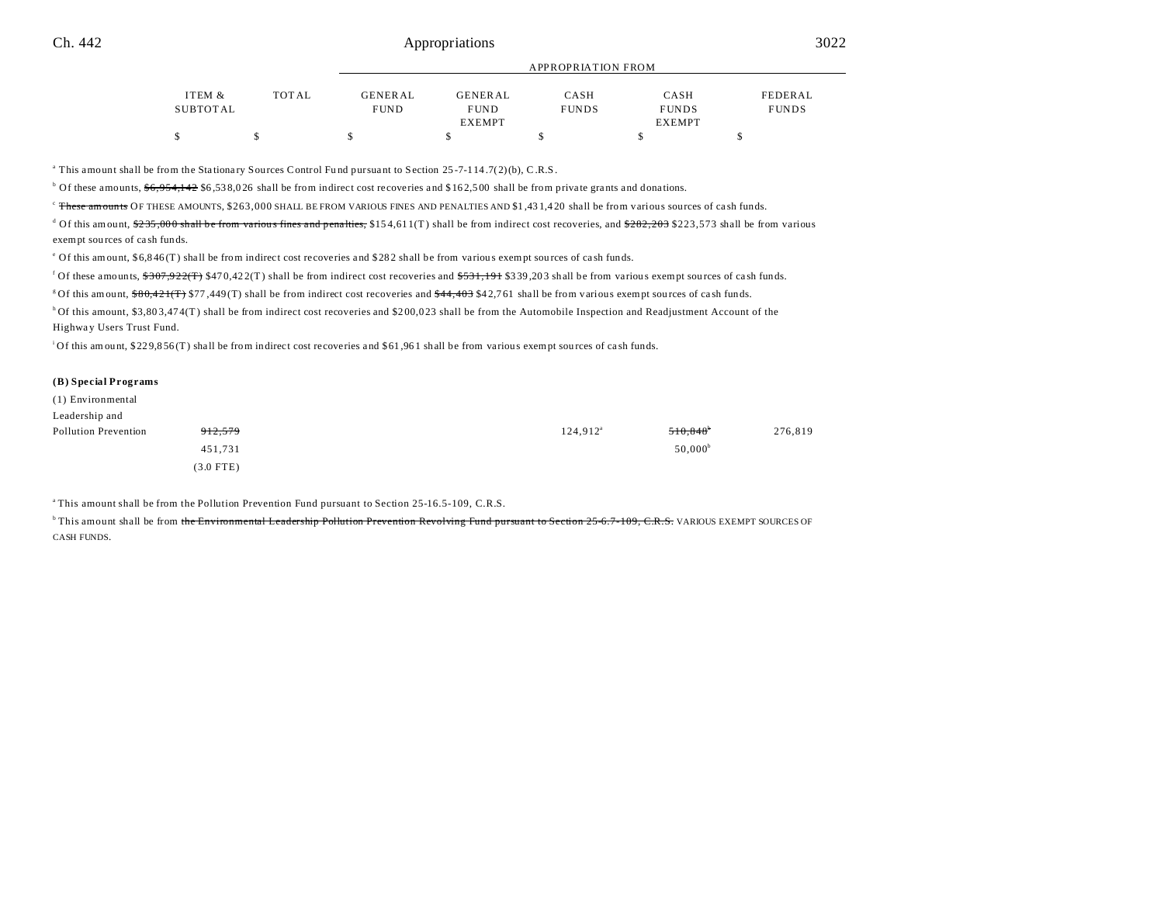|          |       |                |               | $\ldots$     |               |              |
|----------|-------|----------------|---------------|--------------|---------------|--------------|
|          |       |                |               |              |               |              |
| ITEM &   | TOTAL | <b>GENERAL</b> | GENERAL       | CASH         | CASH          | FEDERAL      |
| SUBTOTAL |       | <b>FUND</b>    | <b>FUND</b>   | <b>FUNDS</b> | <b>FUNDS</b>  | <b>FUNDS</b> |
|          |       |                | <b>EXEMPT</b> |              | <b>EXEMPT</b> |              |
|          |       |                |               |              |               |              |

APPROPRIATION FROM

<sup>a</sup> This amount shall be from the Stationary Sources Control Fund pursuant to Section 25-7-114.7(2)(b), C.R.S.

<sup>b</sup> Of these amounts,  $\frac{66,954,142}{6,538,026}$  shall be from indirect cost recoveries and \$162,500 shall be from private grants and donations.

<sup>c</sup> These amounts OF THESE AMOUNTS, \$263,000 SHALL BE FROM VARIOUS FINES AND PENALTIES AND \$1,431,420 shall be from various sources of cash funds.

 $^d$  Of this amount, \$<del>235,000 shall be from various fines and penalties,</del> \$154,611(T) shall be from indirect cost recoveries, and <del>\$282,203</del> \$223,573 shall be from various exempt sou rces of ca sh funds.

<sup>e</sup> Of this amount, \$6,846(T) shall be from indirect cost recoveries and \$282 shall be from various exempt sources of cash funds.

<sup>f</sup> Of these amounts,  $\frac{$307,922(T)}{$470,422(T)$}$  shall be from indirect cost recoveries and  $\frac{$531,191}{ $531,203$}$  shall be from various exempt sources of cash funds.

<sup>g</sup>Of this amount,  $$80,421$ (T)  $$77,449$ (T) shall be from indirect cost recoveries and  $$44,403$  \$42,761 shall be from various exempt sources of cash funds.

h Of this amount, \$3,803,474(T) shall be from indirect cost recoveries and \$200,023 shall be from the Automobile Inspection and Readjustment Account of the Highway Users Trust Fund.

<sup>1</sup>Of this amount, \$229,856(T) shall be from indirect cost recoveries and \$61,961 shall be from various exempt sources of cash funds.

#### **(B) Special Programs**

| (1) Environmental    |                    |                   |                        |         |
|----------------------|--------------------|-------------------|------------------------|---------|
| Leadership and       |                    |                   |                        |         |
| Pollution Prevention | <del>912,579</del> | $124,912^{\rm a}$ | $510,848$ <sup>b</sup> | 276,819 |
|                      | 451,731            |                   | $50,000^{\circ}$       |         |
|                      | $(3.0$ FTE)        |                   |                        |         |

<sup>a</sup>This amount shall be from the Pollution Prevention Fund pursuant to Section 25-16.5-109, C.R.S.

<sup>b</sup>This amount shall be from the Environmental Leadership Pollution Prevention Revolving Fund pursuant to Section 25-6.7-109, C.R.S. VARIOUS EXEMPT SOURCES OF CASH FUNDS.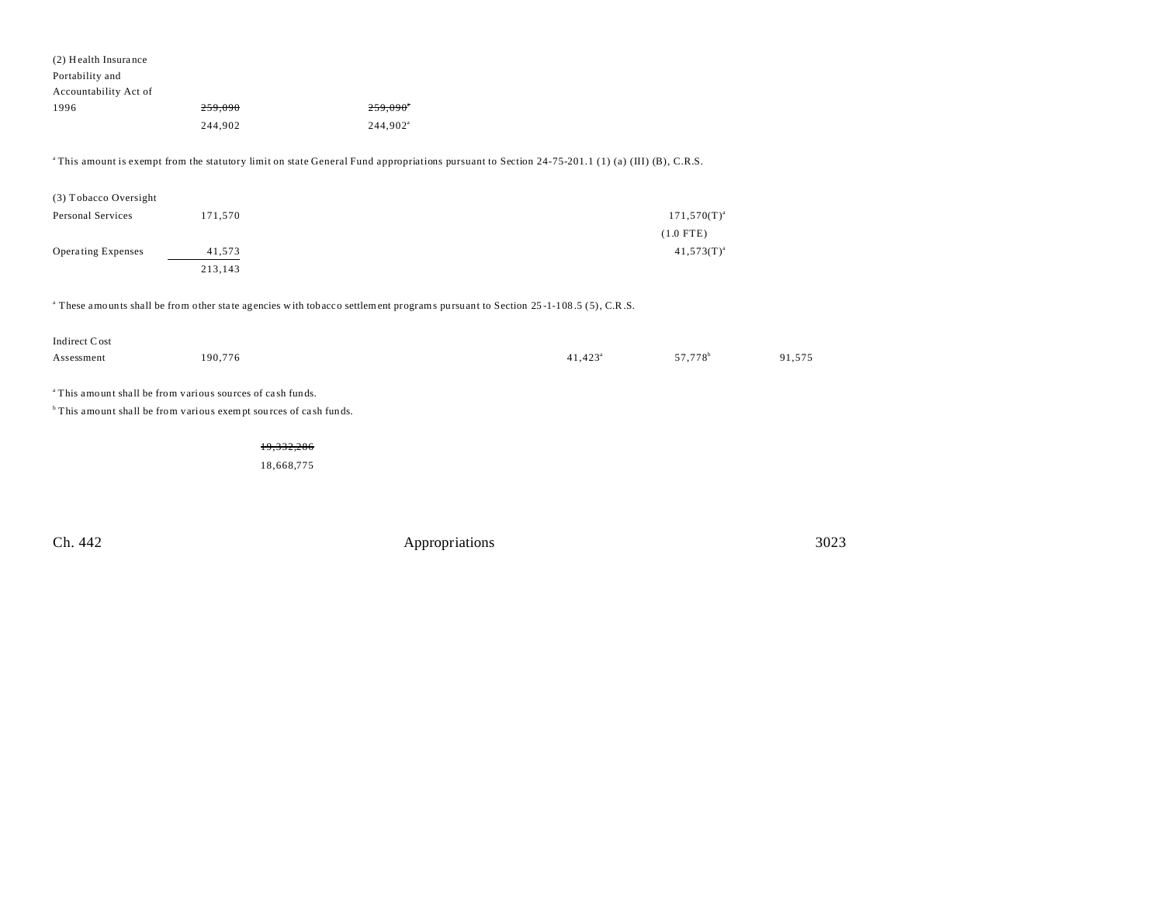| (2) Health Insurance                                                  |                                                                              |                                                                                                                                                            |                  |                     |        |
|-----------------------------------------------------------------------|------------------------------------------------------------------------------|------------------------------------------------------------------------------------------------------------------------------------------------------------|------------------|---------------------|--------|
| Portability and                                                       |                                                                              |                                                                                                                                                            |                  |                     |        |
| Accountability Act of                                                 |                                                                              |                                                                                                                                                            |                  |                     |        |
| 1996                                                                  | 259,090                                                                      | $259.090^{\circ}$                                                                                                                                          |                  |                     |        |
|                                                                       | 244,902                                                                      | 244,902 <sup>a</sup>                                                                                                                                       |                  |                     |        |
|                                                                       |                                                                              |                                                                                                                                                            |                  |                     |        |
|                                                                       |                                                                              | <sup>a</sup> This amount is exempt from the statutory limit on state General Fund appropriations pursuant to Section 24-75-201.1 (1) (a) (III) (B), C.R.S. |                  |                     |        |
|                                                                       |                                                                              |                                                                                                                                                            |                  |                     |        |
| (3) Tobacco Oversight                                                 |                                                                              |                                                                                                                                                            |                  |                     |        |
| Personal Services                                                     | 171,570                                                                      |                                                                                                                                                            |                  | $171,570(T)^{a}$    |        |
|                                                                       |                                                                              |                                                                                                                                                            |                  | $(1.0$ FTE)         |        |
| <b>Operating Expenses</b>                                             | 41,573                                                                       |                                                                                                                                                            |                  | $41,573(T)^{a}$     |        |
|                                                                       | 213,143                                                                      |                                                                                                                                                            |                  |                     |        |
|                                                                       |                                                                              |                                                                                                                                                            |                  |                     |        |
|                                                                       |                                                                              | <sup>a</sup> These amounts shall be from other state agencies with tobacco settlement programs pursuant to Section 25-1-108.5 (5), C.R.S.                  |                  |                     |        |
|                                                                       |                                                                              |                                                                                                                                                            |                  |                     |        |
| Indirect Cost                                                         |                                                                              |                                                                                                                                                            |                  |                     |        |
| Assessment                                                            | 190,776                                                                      |                                                                                                                                                            | $41,423^{\circ}$ | 57,778 <sup>b</sup> | 91,575 |
|                                                                       |                                                                              |                                                                                                                                                            |                  |                     |        |
| <sup>a</sup> This amount shall be from various sources of cash funds. |                                                                              |                                                                                                                                                            |                  |                     |        |
|                                                                       | <sup>b</sup> This amount shall be from various exempt sources of cash funds. |                                                                                                                                                            |                  |                     |        |
|                                                                       |                                                                              |                                                                                                                                                            |                  |                     |        |
|                                                                       | 19,332,286                                                                   |                                                                                                                                                            |                  |                     |        |
|                                                                       | 18,668,775                                                                   |                                                                                                                                                            |                  |                     |        |
|                                                                       |                                                                              |                                                                                                                                                            |                  |                     |        |
|                                                                       |                                                                              |                                                                                                                                                            |                  |                     |        |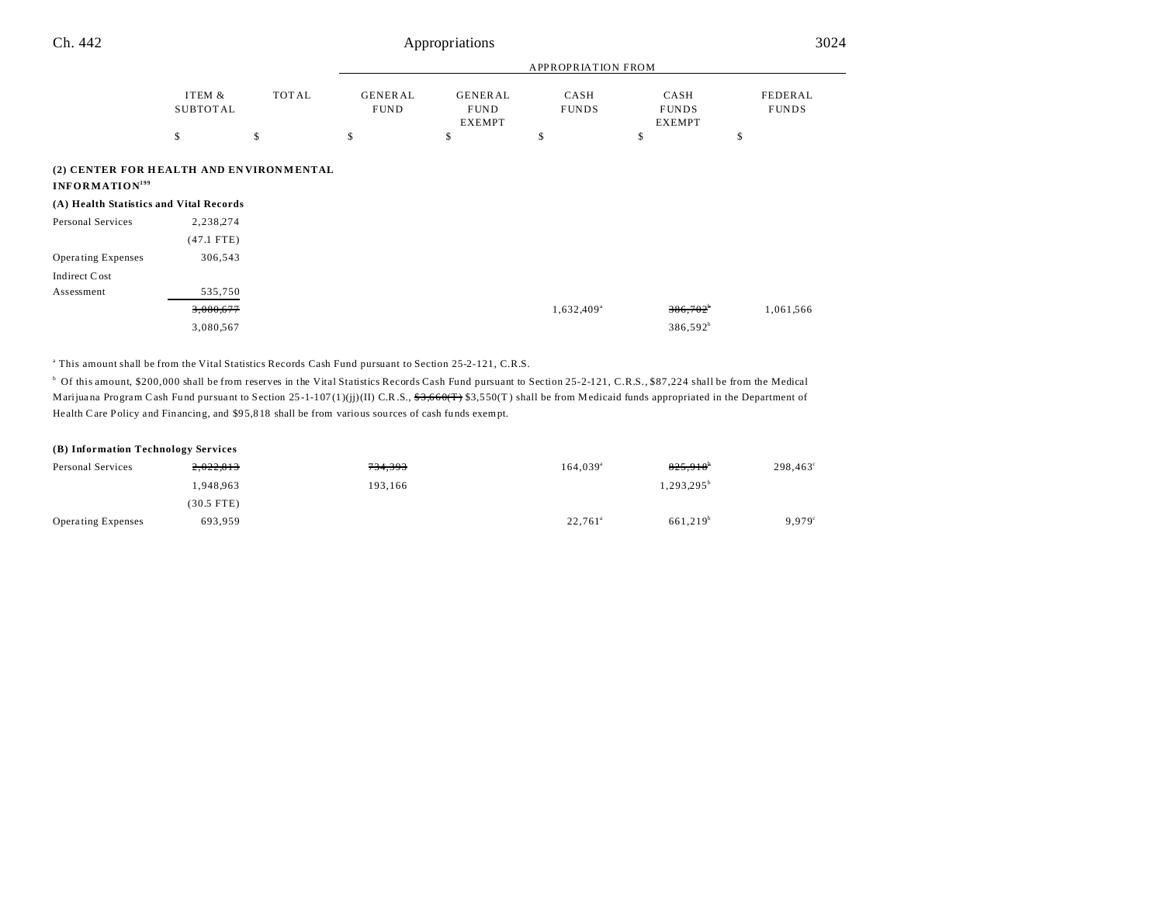| Ch. 442                                                               |                           |              | Appropriations                |                                                |                           | 3024                                  |                         |
|-----------------------------------------------------------------------|---------------------------|--------------|-------------------------------|------------------------------------------------|---------------------------|---------------------------------------|-------------------------|
|                                                                       |                           |              |                               |                                                | <b>APPROPRIATION FROM</b> |                                       |                         |
|                                                                       | ITEM &<br><b>SUBTOTAL</b> | <b>TOTAL</b> | <b>GENERAL</b><br><b>FUND</b> | <b>GENERAL</b><br><b>FUND</b><br><b>EXEMPT</b> | CASH<br><b>FUNDS</b>      | CASH<br><b>FUNDS</b><br><b>EXEMPT</b> | FEDERAL<br><b>FUNDS</b> |
|                                                                       | \$                        | \$           | \$                            | \$                                             | \$                        | \$                                    | \$                      |
| (2) CENTER FOR HEALTH AND ENVIRONMENTAL<br>INFORMATION <sup>199</sup> |                           |              |                               |                                                |                           |                                       |                         |
| (A) Health Statistics and Vital Records                               |                           |              |                               |                                                |                           |                                       |                         |
| Personal Services                                                     | 2,238,274                 |              |                               |                                                |                           |                                       |                         |
|                                                                       | $(47.1$ FTE)              |              |                               |                                                |                           |                                       |                         |
| Operating Expenses                                                    | 306,543                   |              |                               |                                                |                           |                                       |                         |
| Indirect Cost                                                         |                           |              |                               |                                                |                           |                                       |                         |
| Assessment                                                            | 535,750                   |              |                               |                                                |                           |                                       |                         |

| <del>3,080,677</del> | $1,632,409^{\circ}$ | $386,702^{\circ}$ | 1,061,566 |
|----------------------|---------------------|-------------------|-----------|
| 3,080,567            |                     | $386,592^b$       |           |

a This amount shall be from the Vital Statistics Records Cash Fund pursuant to Section 25-2-121, C.R.S.

<sup>b</sup> Of this amount, \$200,000 shall be from reserves in the Vital Statistics Records Cash Fund pursuant to Section 25-2-121, C.R.S., \$87,224 shall be from the Medical Marijuana Program Cash Fund pursuant to Section 25-1-107(1)(jj)(II) C.R.S.,  $\frac{$3,660(F)}{$3,550(T)$}$  shall be from Medicaid funds appropriated in the Department of Health Care Policy and Financing, and \$9 5,8 18 shall be from various sou rces of cash funds exempt.

## **(B) Information Technology Services**

| Personal Services         | 2,022,813    | <del>734,393</del> | $164.039^{\circ}$ | 825.918 <sup>b</sup>   | 298,463 |
|---------------------------|--------------|--------------------|-------------------|------------------------|---------|
|                           | 1.948.963    | 193.166            |                   | 1,293,295 <sup>b</sup> |         |
|                           | $(30.5$ FTE) |                    |                   |                        |         |
| <b>Operating Expenses</b> | 693.959      |                    | $22,761^{\circ}$  | 661.219 <sup>b</sup>   | 9.979   |

 $\overline{\phantom{0}}$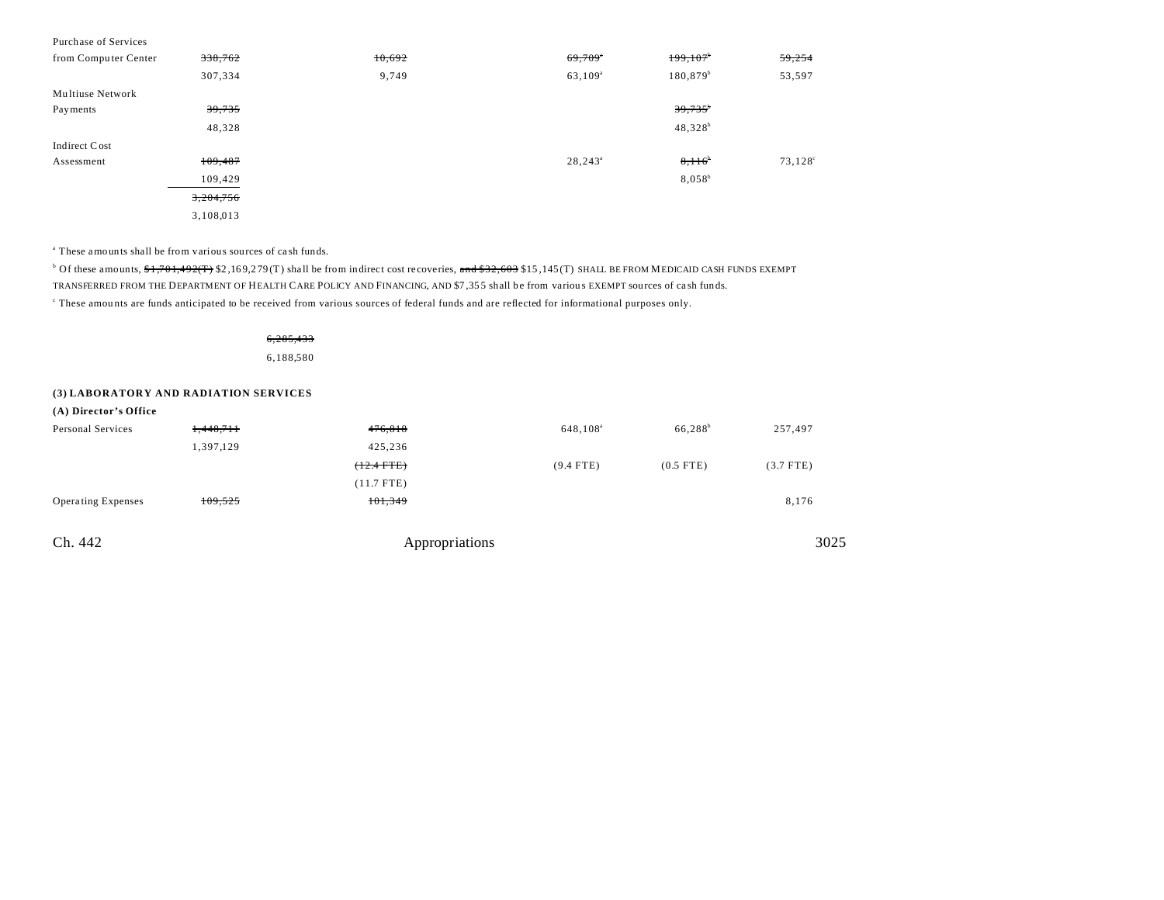| Purchase of Services |           |        |                  |                       |                  |
|----------------------|-----------|--------|------------------|-----------------------|------------------|
| from Computer Center | 338,762   | 10,692 | 69,709           | 199,107               | 59,254           |
|                      | 307,334   | 9,749  | $63,109^{\rm a}$ | $180,879^b$           | 53,597           |
| Multiuse Network     |           |        |                  |                       |                  |
| Payments             | 39,735    |        |                  | $39,735$ <sup>b</sup> |                  |
|                      | 48,328    |        |                  | $48,328^{b}$          |                  |
| Indirect Cost        |           |        |                  |                       |                  |
| Assessment           | 109,487   |        | $28,243^{\circ}$ | $8,116^{\circ}$       | $73,128^{\circ}$ |
|                      | 109,429   |        |                  | $8.058^{b}$           |                  |
|                      | 3,204,756 |        |                  |                       |                  |
|                      | 3,108,013 |        |                  |                       |                  |

a These amounts shall be from various sources of ca sh funds.

<sup>b</sup> Of these amounts, <del>\$1,701,492(T)</del> \$2,169,279(T) shall be from indirect cost recoveries, <del>and \$32,603</del> \$15,145(T) SHALL BE FROM MEDICAID CASH FUNDS EXEMPT TRANSFERRED FROM THE DEPARTMENT OF HEALTH CARE POLICY AND FINANCING, AND \$7 ,35 5 shall be from variou s EXEMPT sources of ca sh funds. c These amou nts are funds anticipated to be received from various sources of federal funds and are reflected for informational purposes only.

> 6,285,433 6,188,580

## **(3) LABORATORY AND RADIATION SERVICES**

| (A) Director's Office     |           |                |                      |                     |             |
|---------------------------|-----------|----------------|----------------------|---------------------|-------------|
| Personal Services         | 1,448,711 | 476,818        | 648,108 <sup>a</sup> | 66,288 <sup>b</sup> | 257,497     |
|                           | 1,397,129 | 425,236        |                      |                     |             |
|                           |           | $(12.4$ FTE)   | $(9.4$ FTE)          | $(0.5$ FTE)         | $(3.7$ FTE) |
|                           |           | $(11.7$ FTE)   |                      |                     |             |
| <b>Operating Expenses</b> | 109,525   | 101,349        |                      |                     | 8,176       |
|                           |           |                |                      |                     |             |
| Ch. 442                   |           | Appropriations |                      |                     | 3025        |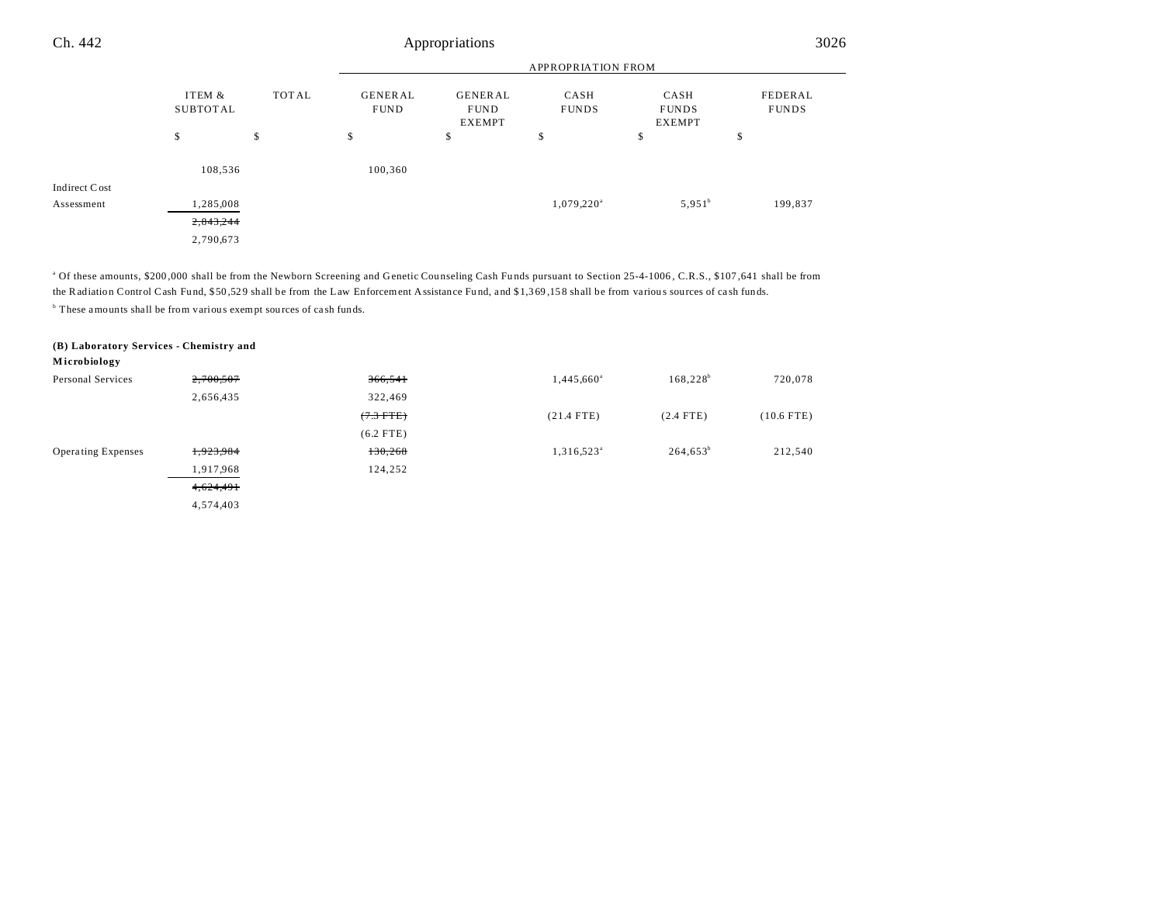| Ch. 442       |                           | Appropriations |                               |                                                |                           |                                       |                         |
|---------------|---------------------------|----------------|-------------------------------|------------------------------------------------|---------------------------|---------------------------------------|-------------------------|
|               |                           |                |                               |                                                | <b>APPROPRIATION FROM</b> |                                       |                         |
|               | ITEM &<br><b>SUBTOTAL</b> | <b>TOTAL</b>   | <b>GENERAL</b><br><b>FUND</b> | <b>GENERAL</b><br><b>FUND</b><br><b>EXEMPT</b> | CASH<br><b>FUNDS</b>      | CASH<br><b>FUNDS</b><br><b>EXEMPT</b> | FEDERAL<br><b>FUNDS</b> |
|               | \$                        | \$             | \$                            | \$                                             | \$                        | \$                                    | \$                      |
|               | 108,536                   |                | 100,360                       |                                                |                           |                                       |                         |
| Indirect Cost |                           |                |                               |                                                |                           |                                       |                         |
| Assessment    | 1,285,008                 |                |                               |                                                | $1,079,220^{\circ}$       | $5,951^b$                             | 199,837                 |
|               | 2,843,244                 |                |                               |                                                |                           |                                       |                         |
|               | 2,790,673                 |                |                               |                                                |                           |                                       |                         |

<sup>a</sup> Of these amounts, \$200,000 shall be from the Newborn Screening and Genetic Counseling Cash Funds pursuant to Section 25-4-1006, C.R.S., \$107,641 shall be from the Radiation Control Cash Fund, \$50,529 shall be from the Law Enforcement Assistance Fund, and \$1,369,158 shall be from various sources of cash funds. <sup>b</sup> These amounts shall be from various exempt sources of cash funds.

**(B) Laboratory Services - Chemistry and**

**M icrobiology**

| Personal Services         | 2,700,507 | 366,541     | 1,445,660 <sup>a</sup> | $168,228^b$ | 720,078      |
|---------------------------|-----------|-------------|------------------------|-------------|--------------|
|                           | 2,656,435 | 322,469     |                        |             |              |
|                           |           | $(7.3$ FTE) | $(21.4$ FTE)           | $(2.4$ FTE) | $(10.6$ FTE) |
|                           |           | $(6.2$ FTE) |                        |             |              |
| <b>Operating Expenses</b> | 1,923,984 | 130,268     | $1,316,523^{\circ}$    | $264,653^b$ | 212,540      |
|                           | 1,917,968 | 124,252     |                        |             |              |
|                           | 4,624,491 |             |                        |             |              |
|                           | 4,574,403 |             |                        |             |              |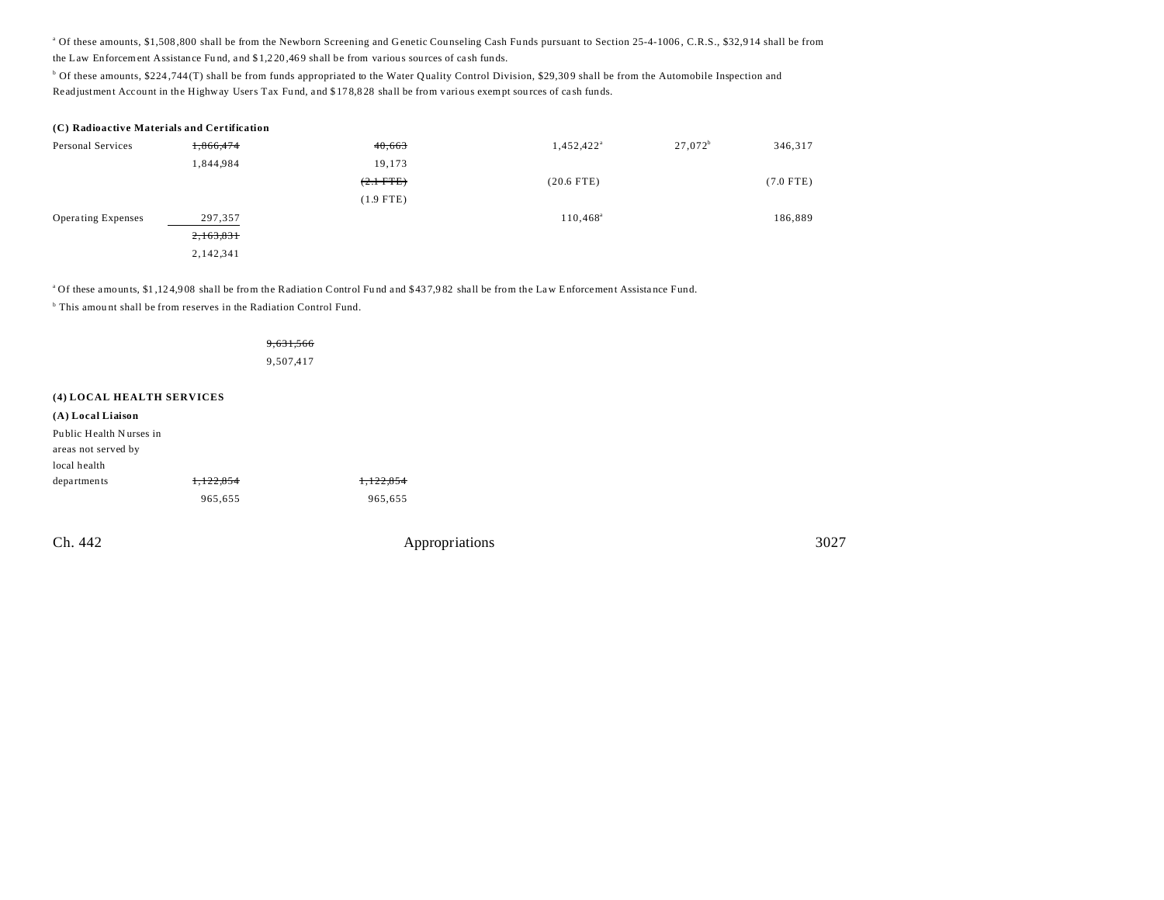<sup>a</sup> Of these amounts, \$1,508,800 shall be from the Newborn Screening and Genetic Counseling Cash Funds pursuant to Section 25-4-1006, C.R.S., \$32,914 shall be from the Law Enforcement Assistance Fund, and \$1,220,469 shall be from various sources of cash funds.

<sup>b</sup> Of these amounts, \$224,744(T) shall be from funds appropriated to the Water Quality Control Division, \$29,309 shall be from the Automobile Inspection and Readjustment Account in the Highway Users Tax Fund, and \$178,828 shall be from various exempt sources of cash funds.

| (C) Radioactive Materials and Certification |           |               |                        |            |             |  |  |
|---------------------------------------------|-----------|---------------|------------------------|------------|-------------|--|--|
| Personal Services                           | 1,866,474 | 40,663        | 1,452,422 <sup>a</sup> | $27,072^b$ | 346,317     |  |  |
|                                             | 1,844,984 | 19,173        |                        |            |             |  |  |
|                                             |           | $(2.1 - FTE)$ | $(20.6$ FTE)           |            | $(7.0$ FTE) |  |  |
|                                             |           | $(1.9$ FTE)   |                        |            |             |  |  |
| <b>Operating Expenses</b>                   | 297,357   |               | $110,468^{\circ}$      |            | 186,889     |  |  |
|                                             | 2,163,831 |               |                        |            |             |  |  |
|                                             | 2,142,341 |               |                        |            |             |  |  |

<sup>a</sup>Of these amounts, \$1,124,908 shall be from the Radiation Control Fund and \$437,982 shall be from the Law Enforcement Assistance Fund.

<sup>b</sup> This amount shall be from reserves in the Radiation Control Fund.

#### 9,631,566

9,507,417

## **(4) LOCAL HEALTH SERVICES**

## **(A) Local Liaison**

| Public Health Nurses in |           |           |
|-------------------------|-----------|-----------|
| areas not served by     |           |           |
|                         |           |           |
| local health            |           |           |
| departments             | 1.122.854 | 1.122.854 |
|                         | 965,655   | 965,655   |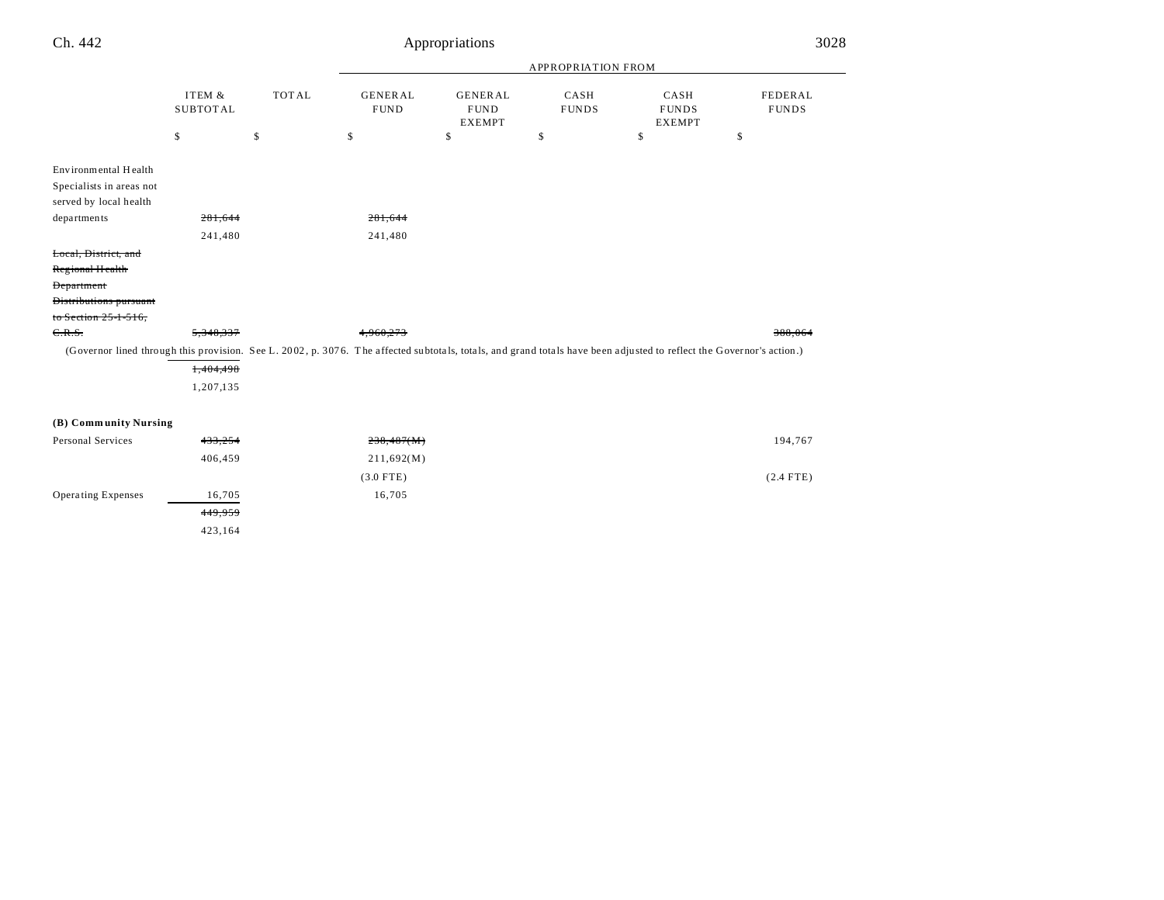| Ch. 442                   |                           |              |                               | Appropriations                                 |                      |                                                                                                                                                                      | 3028                           |
|---------------------------|---------------------------|--------------|-------------------------------|------------------------------------------------|----------------------|----------------------------------------------------------------------------------------------------------------------------------------------------------------------|--------------------------------|
|                           |                           |              | APPROPRIATION FROM            |                                                |                      |                                                                                                                                                                      |                                |
|                           | ITEM &<br><b>SUBTOTAL</b> | <b>TOTAL</b> | <b>GENERAL</b><br><b>FUND</b> | <b>GENERAL</b><br><b>FUND</b><br><b>EXEMPT</b> | CASH<br><b>FUNDS</b> | CASH<br><b>FUNDS</b><br><b>EXEMPT</b>                                                                                                                                | <b>FEDERAL</b><br><b>FUNDS</b> |
|                           | \$                        | \$           | \$                            | \$                                             | \$                   | \$                                                                                                                                                                   | \$                             |
| Environmental Health      |                           |              |                               |                                                |                      |                                                                                                                                                                      |                                |
| Specialists in areas not  |                           |              |                               |                                                |                      |                                                                                                                                                                      |                                |
| served by local health    |                           |              |                               |                                                |                      |                                                                                                                                                                      |                                |
| departments               | 281,644                   |              | 281,644                       |                                                |                      |                                                                                                                                                                      |                                |
|                           | 241,480                   |              | 241,480                       |                                                |                      |                                                                                                                                                                      |                                |
| Local, District, and      |                           |              |                               |                                                |                      |                                                                                                                                                                      |                                |
| Regional Health           |                           |              |                               |                                                |                      |                                                                                                                                                                      |                                |
| <b>Department</b>         |                           |              |                               |                                                |                      |                                                                                                                                                                      |                                |
| Distributions pursuant    |                           |              |                               |                                                |                      |                                                                                                                                                                      |                                |
| to Section 25-1-516,      |                           |              |                               |                                                |                      |                                                                                                                                                                      |                                |
| C.R.S.                    | 5,348,337                 |              | 4,960,273                     |                                                |                      |                                                                                                                                                                      | 388,064                        |
|                           |                           |              |                               |                                                |                      | (Governor lined through this provision. See L. 2002, p. 3076. The affected subtotals, totals, and grand totals have been adjusted to reflect the Governor's action.) |                                |
|                           | 1,404,498                 |              |                               |                                                |                      |                                                                                                                                                                      |                                |
|                           | 1,207,135                 |              |                               |                                                |                      |                                                                                                                                                                      |                                |
| (B) Community Nursing     |                           |              |                               |                                                |                      |                                                                                                                                                                      |                                |
| Personal Services         | 433,254                   |              | 238,487(M)                    |                                                |                      |                                                                                                                                                                      | 194,767                        |
|                           |                           |              |                               |                                                |                      |                                                                                                                                                                      |                                |
|                           | 406,459                   |              | 211,692(M)                    |                                                |                      |                                                                                                                                                                      |                                |
|                           |                           |              | $(3.0$ FTE)                   |                                                |                      |                                                                                                                                                                      | $(2.4$ FTE)                    |
| <b>Operating Expenses</b> | 16,705                    |              | 16,705                        |                                                |                      |                                                                                                                                                                      |                                |
|                           | 449.959                   |              |                               |                                                |                      |                                                                                                                                                                      |                                |

423,164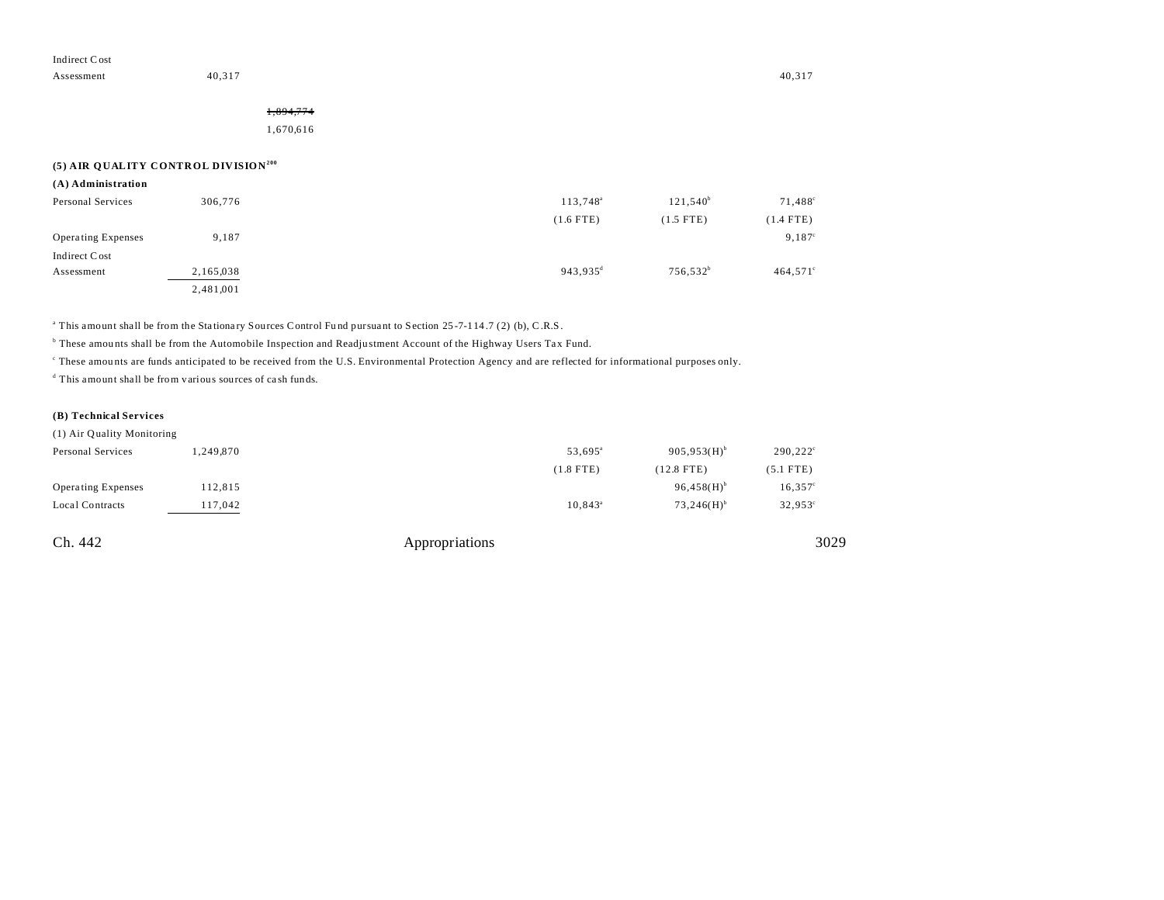Assessment 40,317 40,317 40,317

# 1,894,774

1,670,616

## **(5) AIR QUALITY CONTROL DIVISION<sup>200</sup>**

| (A) Administration        |           |                        |                      |                   |
|---------------------------|-----------|------------------------|----------------------|-------------------|
| Personal Services         | 306,776   | 113,748 <sup>a</sup>   | $121,540^b$          | 71,488°           |
|                           |           | $(1.6$ FTE)            | $(1.5$ FTE)          | $(1.4$ FTE)       |
| <b>Operating Expenses</b> | 9,187     |                        |                      | $9,187^{\circ}$   |
| Indirect Cost             |           |                        |                      |                   |
| Assessment                | 2,165,038 | $943,935$ <sup>d</sup> | 756,532 <sup>b</sup> | $464,571^{\circ}$ |
|                           | 2,481,001 |                        |                      |                   |

<sup>a</sup> This amount shall be from the Stationary Sources Control Fund pursuant to Section 25-7-114.7 (2) (b), C.R.S.

b These amou nts shall be from the Automobile Inspection and Readju stment Account of the Highway Users Tax Fund.

These amounts are funds anticipated to be received from the U.S. Environmental Protection Agency and are reflected for informational purposes only.

d This amount shall be from various sources of ca sh funds.

## **(B) Technical Services**

| (1) Air Quality Monitoring |                     |                          |                   |
|----------------------------|---------------------|--------------------------|-------------------|
| 1.249.870                  | 53.695 <sup>a</sup> | 905,953(H)               | $290,222^{\circ}$ |
|                            | $(1.8$ FTE)         | $(12.8$ FTE)             | $(5.1$ FTE)       |
| 112,815                    |                     | $96,458(H)$ <sup>b</sup> | $16,357^{\circ}$  |
| 117,042                    | $10.843^{\circ}$    | $73.246(H)$ <sup>b</sup> | $32,953^{\circ}$  |
|                            |                     |                          |                   |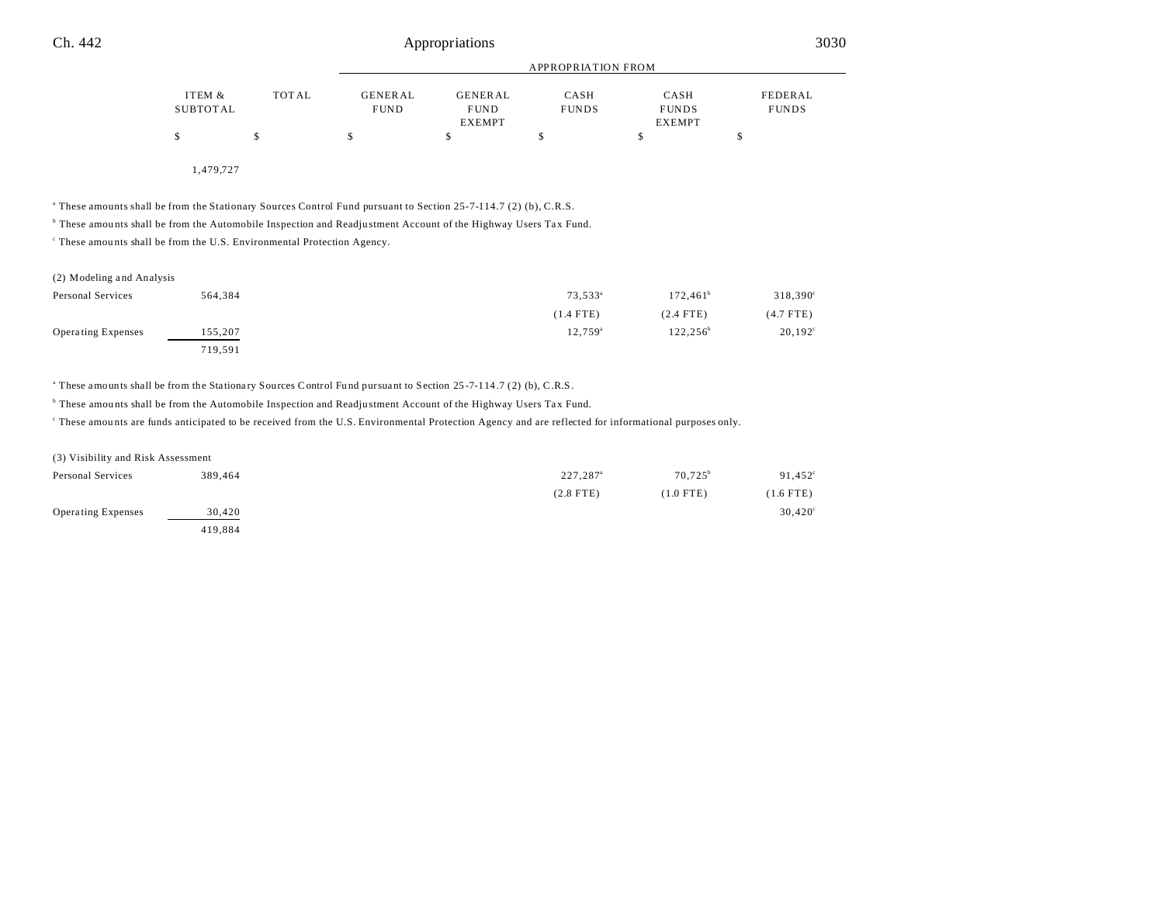| ITEM &   | TOTAL | <b>GENERAL</b> | <b>GENERAL</b> | <b>CASH</b>  | CASH          | FEDERAL      |
|----------|-------|----------------|----------------|--------------|---------------|--------------|
| SUBTOTAL |       | <b>FUND</b>    | <b>FUND</b>    | <b>FUNDS</b> | <b>FUNDS</b>  | <b>FUNDS</b> |
|          |       |                | <b>EXEMPT</b>  |              | <b>EXEMPT</b> |              |
|          |       |                |                |              |               |              |
|          |       |                |                |              |               |              |

1,479,727

a These amounts shall be from the Stationary Sources Control Fund pursuant to Section 25-7-114.7 (2) (b), C.R.S.

b These amou nts shall be from the Automobile Inspection and Readju stment Account of the Highway Users Tax Fund.

c These amou nts shall be from the U.S. Environmental Protection Agency.

| (2) Modeling and Analysis |         |                     |             |                   |
|---------------------------|---------|---------------------|-------------|-------------------|
| Personal Services         | 564,384 | 73,533 <sup>a</sup> | $172,461^b$ | $318,390^{\circ}$ |
|                           |         | $(1.4$ FTE)         | $(2.4$ FTE) | $(4.7$ FTE)       |
| Operating Expenses        | 155,207 | 12.759 <sup>a</sup> | $122.256^b$ | $20,192^{\circ}$  |
|                           | 719,591 |                     |             |                   |

<sup>a</sup> These amounts shall be from the Stationary Sources Control Fund pursuant to Section 25-7-114.7 (2) (b), C.R.S.

<sup>b</sup> These amounts shall be from the Automobile Inspection and Readjustment Account of the Highway Users Tax Fund.

c These amou nts are funds anticipated to be received from the U.S. Environmental Protection Agency and are reflected for informational purposes only.

| (3) Visibility and Risk Assessment |         |                      |                  |             |
|------------------------------------|---------|----------------------|------------------|-------------|
| Personal Services                  | 389.464 | 227,287 <sup>a</sup> | $70.725^{\circ}$ | 91,452      |
|                                    |         | $(2.8$ FTE)          | $(1.0$ FTE)      | $(1.6$ FTE) |
| <b>Operating Expenses</b>          | 30,420  |                      |                  | 30,420      |
|                                    | 419.884 |                      |                  |             |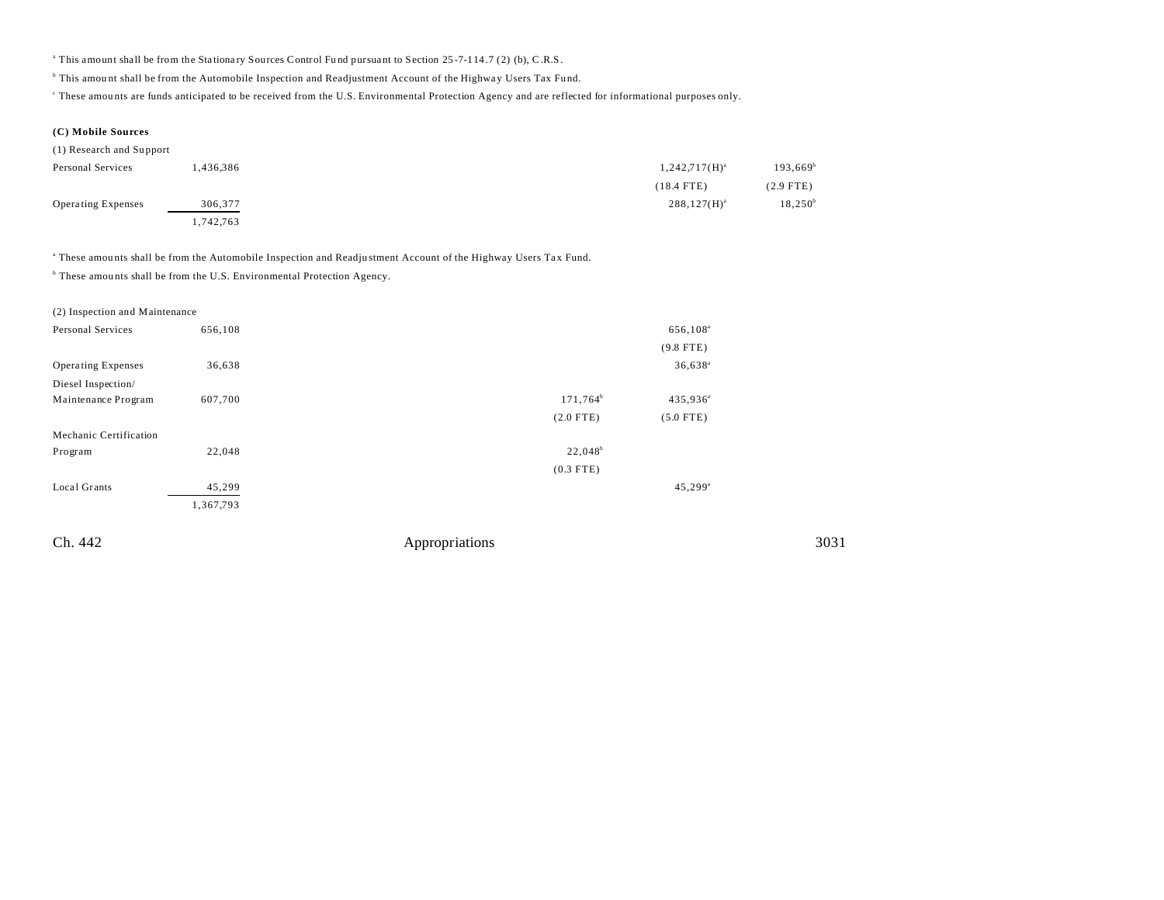<sup>a</sup> This amount shall be from the Stationary Sources Control Fund pursuant to Section 25-7-114.7 (2) (b), C.R.S.

<sup>b</sup> This amount shall be from the Automobile Inspection and Readjustment Account of the Highway Users Tax Fund.

These amounts are funds anticipated to be received from the U.S. Environmental Protection Agency and are reflected for informational purposes only.

**(C) Mobile Sources**

(1) Research and Su pport

| Personal Services  | .436,386 | $1,242,717(H)^{a}$ | $193,669^{\rm b}$ |
|--------------------|----------|--------------------|-------------------|
|                    |          | $(18.4$ FTE)       | $(2.9$ FTE)       |
| Operating Expenses | 306,377  | $288,127(H)^{a}$   | $18,250^{\rm b}$  |
|                    | .742,763 |                    |                   |

a These amou nts shall be from the Automobile Inspection and Readju stment Account of the Highway Users Tax Fund.

<sup>b</sup> These amounts shall be from the U.S. Environmental Protection Agency.

| (2) Inspection and Maintenance |           |                |                       |      |
|--------------------------------|-----------|----------------|-----------------------|------|
| Personal Services              | 656,108   |                | 656,108 <sup>a</sup>  |      |
|                                |           |                | $(9.8$ FTE)           |      |
| <b>Operating Expenses</b>      | 36,638    |                | $36,638$ <sup>a</sup> |      |
| Diesel Inspection/             |           |                |                       |      |
| Maintenance Program            | 607,700   | $171,764^b$    | 435,936 <sup>a</sup>  |      |
|                                |           | $(2.0$ FTE)    | $(5.0$ FTE)           |      |
| Mechanic Certification         |           |                |                       |      |
| Program                        | 22,048    | $22,048^b$     |                       |      |
|                                |           | $(0.3$ FTE)    |                       |      |
| Local Grants                   | 45,299    |                | $45,299$ <sup>a</sup> |      |
|                                | 1,367,793 |                |                       |      |
| Ch. 442                        |           | Appropriations |                       | 3031 |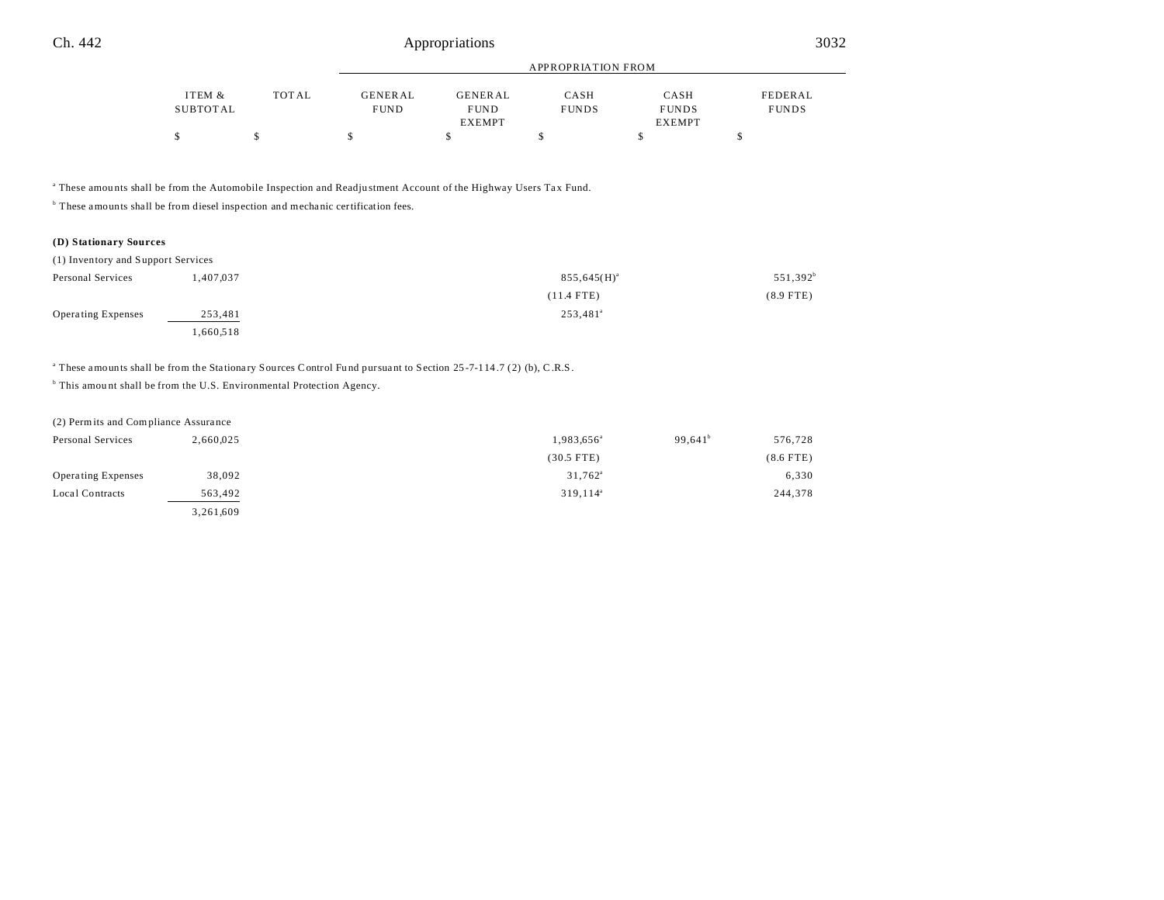|          |       | APPROPRIATION FROM |               |              |               |              |
|----------|-------|--------------------|---------------|--------------|---------------|--------------|
| ITEM &   | TOTAL | <b>GENERAL</b>     | GENERAL       | CASH         | CASH          | FEDERAL      |
| SUBTOTAL |       | <b>FUND</b>        | <b>FUND</b>   | <b>FUNDS</b> | <b>FUNDS</b>  | <b>FUNDS</b> |
|          |       |                    | <b>EXEMPT</b> |              | <b>EXEMPT</b> |              |
|          |       |                    |               |              |               |              |

a These amou nts shall be from the Automobile Inspection and Readju stment Account of the Highway Users Tax Fund.

<sup>b</sup> These amounts shall be from diesel inspection and mechanic certification fees.

## **(D) Stationary Sources**

| Personal Services  | ,407,037 | $855,645(H)^{a}$     | 551,392 <sup>b</sup> |
|--------------------|----------|----------------------|----------------------|
|                    |          | $(11.4$ FTE)         | $(8.9$ FTE)          |
| Operating Expenses | 253,481  | 253,481 <sup>a</sup> |                      |
|                    | .660,518 |                      |                      |

<sup>a</sup> These amounts shall be from the Stationary Sources Control Fund pursuant to Section 25-7-114.7 (2) (b), C.R.S.

<sup>b</sup> This amount shall be from the U.S. Environmental Protection Agency.

| (2) Permits and Compliance Assurance |           |                        |            |             |
|--------------------------------------|-----------|------------------------|------------|-------------|
| Personal Services                    | 2,660,025 | 1,983,656 <sup>a</sup> | $99.641^b$ | 576,728     |
|                                      |           | $(30.5$ FTE)           |            | $(8.6$ FTE) |
| <b>Operating Expenses</b>            | 38,092    | $31,762^{\circ}$       |            | 6,330       |
| Local Contracts                      | 563,492   | 319,114 <sup>a</sup>   |            | 244,378     |
|                                      | 3,261,609 |                        |            |             |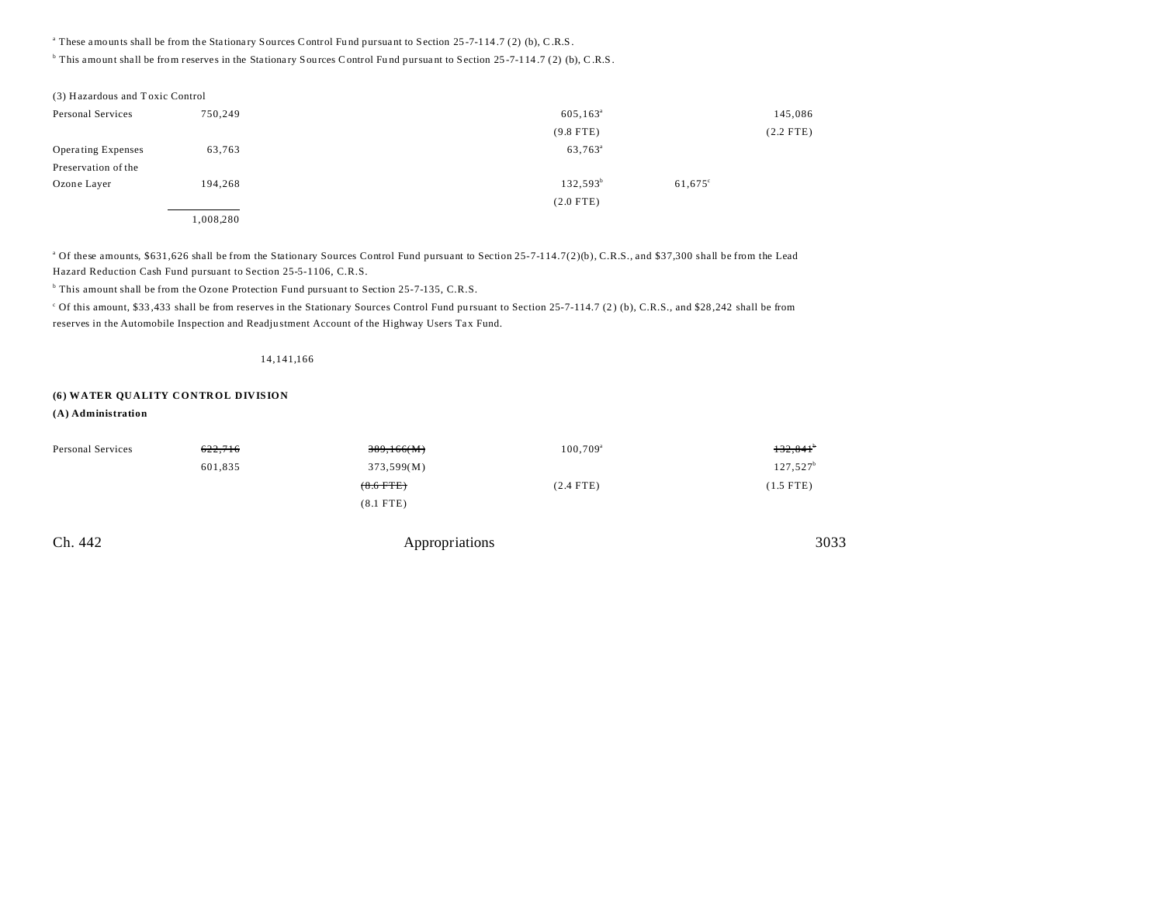<sup>a</sup> These amounts shall be from the Stationary Sources Control Fund pursuant to Section 25-7-114.7 (2) (b), C.R.S.

<sup>b</sup> This amount shall be from reserves in the Stationary Sources Control Fund pursuant to Section 25-7-114.7 (2) (b), C.R.S.

| (3) Hazardous and Toxic Control |           |                     |                  |             |
|---------------------------------|-----------|---------------------|------------------|-------------|
| Personal Services               | 750,249   | $605, 163^{\circ}$  |                  | 145,086     |
|                                 |           | $(9.8$ FTE)         |                  | $(2.2$ FTE) |
| <b>Operating Expenses</b>       | 63,763    | 63,763 <sup>a</sup> |                  |             |
| Preservation of the             |           |                     |                  |             |
| Ozone Layer                     | 194,268   | $132,593^b$         | $61,675^{\circ}$ |             |
|                                 |           | $(2.0$ FTE)         |                  |             |
|                                 | 1,008,280 |                     |                  |             |

<sup>a</sup> Of these amounts, \$631,626 shall be from the Stationary Sources Control Fund pursuant to Section 25-7-114.7(2)(b), C.R.S., and \$37,300 shall be from the Lead Hazard Reduction Cash Fund pursuant to Section 25-5-1106, C.R.S.

<sup>b</sup> This amount shall be from the Ozone Protection Fund pursuant to Section 25-7-135, C.R.S.

<sup>c</sup> Of this amount, \$33,433 shall be from reserves in the Stationary Sources Control Fund pursuant to Section 25-7-114.7 (2) (b), C.R.S., and \$28,242 shall be from reserves in the Automobile Inspection and Readju stment Account of the Highway Users Tax Fund.

## 14,141,166

## **(6) WATER QUALITY CONTROL DIVISION**

## **(A) Administration**

| Personal Services | 622,716 | 389,166(M)  | $100,709^{\circ}$ | $132,841$ <sup>b</sup> |
|-------------------|---------|-------------|-------------------|------------------------|
|                   | 601,835 | 373,599(M)  |                   | $127,527^b$            |
|                   |         | $(8.6$ FTE) | $(2.4$ FTE)       | $(1.5$ FTE)            |
|                   |         | $(8.1$ FTE) |                   |                        |
|                   |         |             |                   |                        |

| Ch. 442 | Appropriations | 3033 |
|---------|----------------|------|
|---------|----------------|------|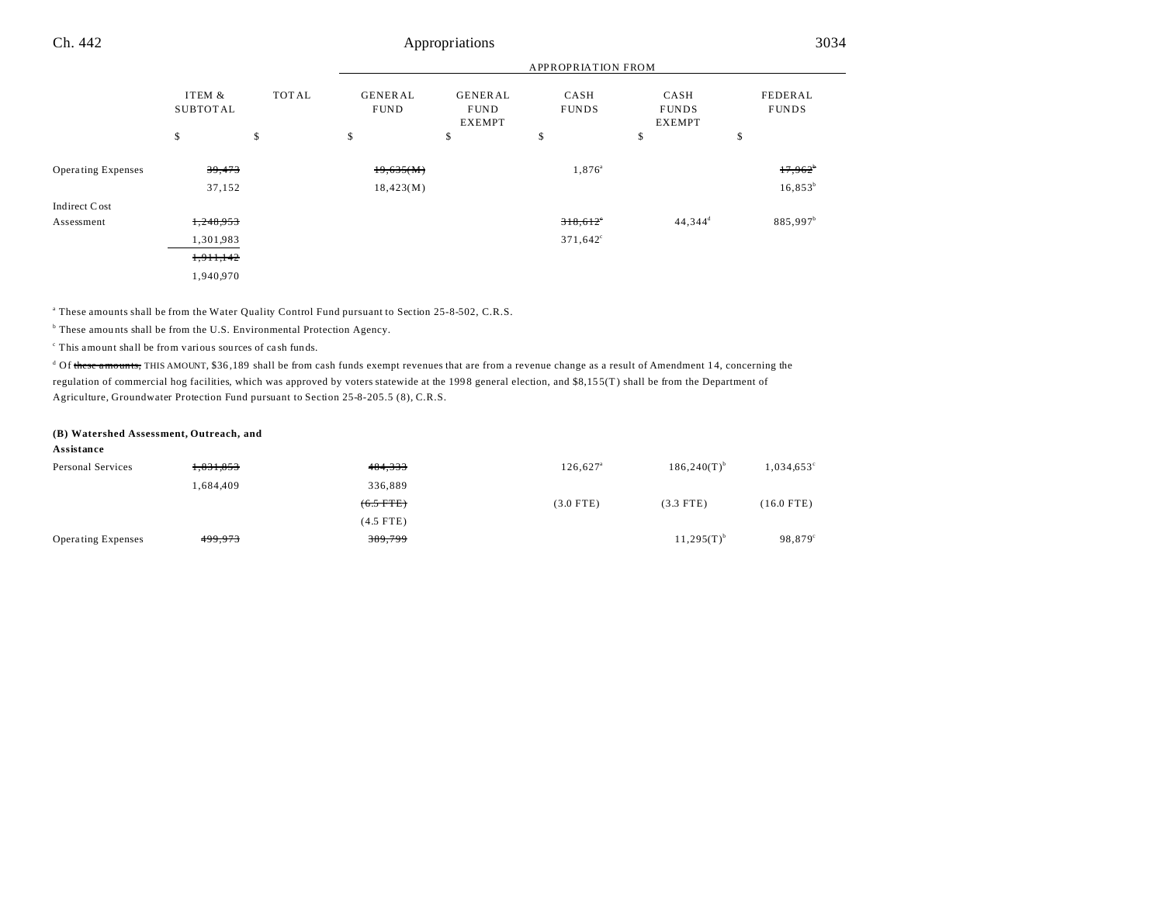|                           |                           |       | <b>APPROPRIATION FROM</b>     |                                                |                      |                                       |                         |
|---------------------------|---------------------------|-------|-------------------------------|------------------------------------------------|----------------------|---------------------------------------|-------------------------|
|                           | ITEM &<br><b>SUBTOTAL</b> | TOTAL | <b>GENERAL</b><br><b>FUND</b> | <b>GENERAL</b><br><b>FUND</b><br><b>EXEMPT</b> | CASH<br><b>FUNDS</b> | CASH<br><b>FUNDS</b><br><b>EXEMPT</b> | FEDERAL<br><b>FUNDS</b> |
|                           | \$                        | \$    | \$                            | \$                                             | \$                   | \$                                    | \$                      |
| <b>Operating Expenses</b> | 39,473                    |       | 19,635(M)                     |                                                | 1,876 <sup>a</sup>   |                                       | $17,962^{\circ}$        |
|                           | 37,152                    |       | 18,423(M)                     |                                                |                      |                                       | $16,853^b$              |
| Indirect Cost             |                           |       |                               |                                                |                      |                                       |                         |
| Assessment                | 1,248,953                 |       |                               |                                                | $318,612$ °          | $44,344^d$                            | 885,997 <sup>b</sup>    |
|                           | 1,301,983                 |       |                               |                                                | $371,642^{\circ}$    |                                       |                         |
|                           | 1,911,142                 |       |                               |                                                |                      |                                       |                         |
|                           | 1,940,970                 |       |                               |                                                |                      |                                       |                         |

a These amounts shall be from the Water Quality Control Fund pursuant to Section 25-8-502, C.R.S.

<sup>b</sup> These amounts shall be from the U.S. Environmental Protection Agency.

c This amount shall be from various sources of ca sh funds.

<sup>d</sup> Of <del>these amounts,</del> THIS AMOUNT, \$36,189 shall be from cash funds exempt revenues that are from a revenue change as a result of Amendment 14, concerning the regulation of commercial hog facilities, which was approved by voters statewide at the 199 8 general election, and \$8,15 5(T) shall be from the Department of Agriculture, Groundwater Protection Fund pursuant to Section 25-8-205.5 (8), C.R.S.

#### **(B) Watershed Assessment, Outreach, and**

#### **Assistance**

| Personal Services         | 1,831,853 | 484,333     | $126.627$ <sup>a</sup> | $186,240(T)^{b}$ | $1,034,653^{\circ}$ |
|---------------------------|-----------|-------------|------------------------|------------------|---------------------|
|                           | 1,684,409 | 336.889     |                        |                  |                     |
|                           |           | $(6.5$ FTE) | $(3.0$ FTE)            | $(3.3$ FTE)      | $(16.0$ FTE)        |
|                           |           | $(4.5$ FTE) |                        |                  |                     |
| <b>Operating Expenses</b> | 499,973   | 389,799     |                        | $11,295(T)^{b}$  | 98,879 <sup>c</sup> |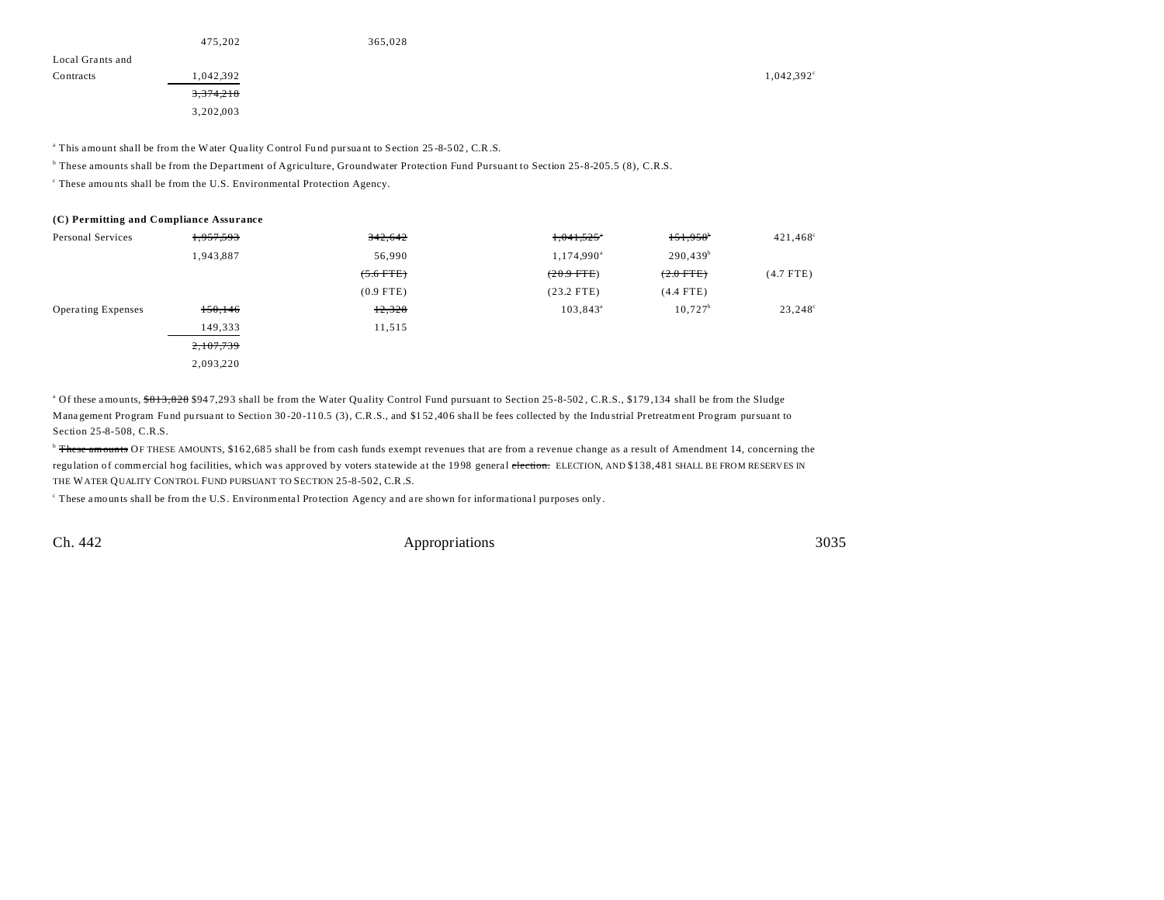|                  | 475,202   | 365,028 |                     |
|------------------|-----------|---------|---------------------|
| Local Grants and |           |         |                     |
| Contracts        | 1,042,392 |         | $1,042,392^{\circ}$ |
|                  | 3,374,218 |         |                     |
|                  | 3,202,003 |         |                     |
|                  |           |         |                     |

<sup>a</sup> This amount shall be from the Water Quality Control Fund pursuant to Section 25-8-502, C.R.S.

<sup>b</sup> These amounts shall be from the Department of Agriculture, Groundwater Protection Fund Pursuant to Section 25-8-205.5 (8), C.R.S.

c These amou nts shall be from the U.S. Environmental Protection Agency.

#### **(C) Permitting and Compliance Assurance**

| Personal Services         | <del>1,957,593</del> | 342,642     | 1,041,525              | $151,958$ <sup>b</sup> | $421,468$ <sup>c</sup> |
|---------------------------|----------------------|-------------|------------------------|------------------------|------------------------|
|                           | 1,943,887            | 56,990      | 1,174,990 <sup>a</sup> | 290,439 <sup>b</sup>   |                        |
|                           |                      | $(5.6$ FTE) | $(20.9$ FTE)           | $(2.0$ FTE)            | $(4.7$ FTE)            |
|                           |                      | $(0.9$ FTE) | $(23.2$ FTE)           | $(4.4$ FTE)            |                        |
| <b>Operating Expenses</b> | 150, 146             | 12,328      | $103,843^{\circ}$      | $10,727^b$             | 23,248 <sup>°</sup>    |
|                           | 149,333              | 11,515      |                        |                        |                        |
|                           | 2,107,739            |             |                        |                        |                        |
|                           | 2,093,220            |             |                        |                        |                        |
|                           |                      |             |                        |                        |                        |

<sup>a</sup> Of these amounts, <del>\$813,828</del> \$947,293 shall be from the Water Quality Control Fund pursuant to Section 25-8-502, C.R.S., \$179,134 shall be from the Sludge Management Program Fund pursuant to Section 30-20-110.5 (3), C.R.S., and \$152,406 shall be fees collected by the Industrial Pretreatment Program pursuant to Section 25-8-508, C.R.S.

<sup>b</sup> These amounts OF THESE AMOUNTS, \$162,685 shall be from cash funds exempt revenues that are from a revenue change as a result of Amendment 14, concerning the regulation of commercial hog facilities, which was approved by voters statewide at the 1998 general election. ELECTION, AND \$138,481 SHALL BE FROM RESERVES IN THE WATER QUALITY CONTROL FUND PURSUANT TO SECTION 25-8-502, C.R.S.

These amounts shall be from the U.S. Environmental Protection Agency and are shown for informational purposes only.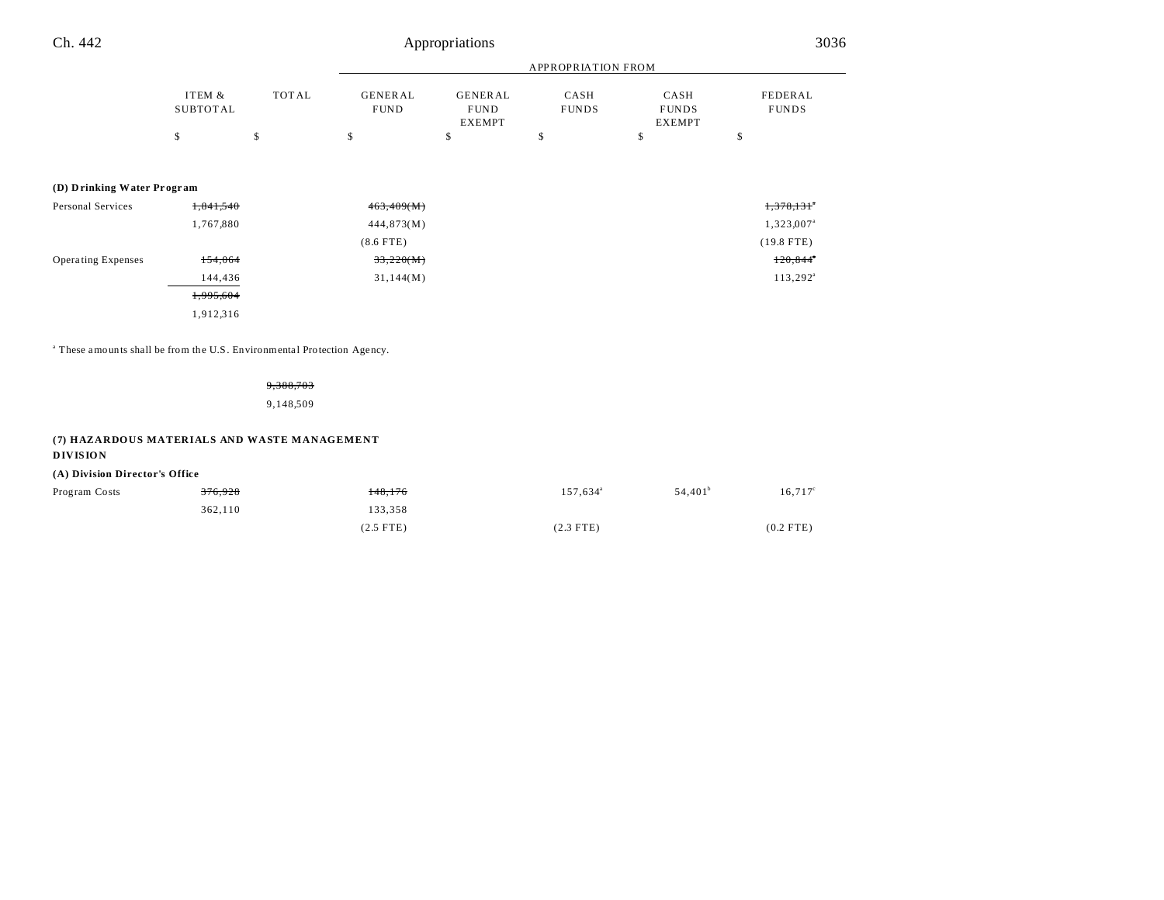| Ch. 442                    |                           | Appropriations |                               |                                         |                      |                                       | 3036                    |  |
|----------------------------|---------------------------|----------------|-------------------------------|-----------------------------------------|----------------------|---------------------------------------|-------------------------|--|
|                            |                           |                |                               | <b>APPROPRIATION FROM</b>               |                      |                                       |                         |  |
|                            | ITEM &<br><b>SUBTOTAL</b> | TOTAL          | <b>GENERAL</b><br><b>FUND</b> | GENERAL<br><b>FUND</b><br><b>EXEMPT</b> | CASH<br><b>FUNDS</b> | CASH<br><b>FUNDS</b><br><b>EXEMPT</b> | FEDERAL<br><b>FUNDS</b> |  |
|                            | \$                        | \$             | \$                            | \$                                      | \$                   | \$                                    | \$                      |  |
| (D) Drinking Water Program |                           |                |                               |                                         |                      |                                       |                         |  |
| Personal Services          | 1,841,540                 |                | 463,409(M)                    |                                         |                      |                                       | 1,378,131               |  |
|                            | 1,767,880                 |                | 444,873(M)                    |                                         |                      |                                       | 1,323,007 <sup>a</sup>  |  |
|                            |                           |                | $(8.6$ FTE)                   |                                         |                      |                                       | $(19.8$ FTE)            |  |
| Operating Expenses         | 154,064                   |                | 33,220(M)                     |                                         |                      |                                       | $120,844$ <sup>*</sup>  |  |
|                            | 144,436                   |                | 31,144(M)                     |                                         |                      |                                       | $113,292^{\circ}$       |  |
|                            | 1,995,604                 |                |                               |                                         |                      |                                       |                         |  |
|                            | 1,912,316                 |                |                               |                                         |                      |                                       |                         |  |
|                            |                           |                |                               |                                         |                      |                                       |                         |  |

<sup>a</sup> These amounts shall be from the U.S. Environmental Protection Agency.

9,388,703

9,148,509

## **(7) HAZARDOUS MATERIALS AND WASTE MANAGEMENT**

## **DIVISION**

## **(A) Division Director's Office**

| Program Costs | <del>376,928</del> | 148,176     | $157,634^{\circ}$ | $54,401^{\circ}$ | $16,717^{\circ}$ |
|---------------|--------------------|-------------|-------------------|------------------|------------------|
|               | 362.110            | 133,358     |                   |                  |                  |
|               |                    | $(2.5$ FTE) | $(2.3$ FTE)       |                  | $(0.2$ FTE)      |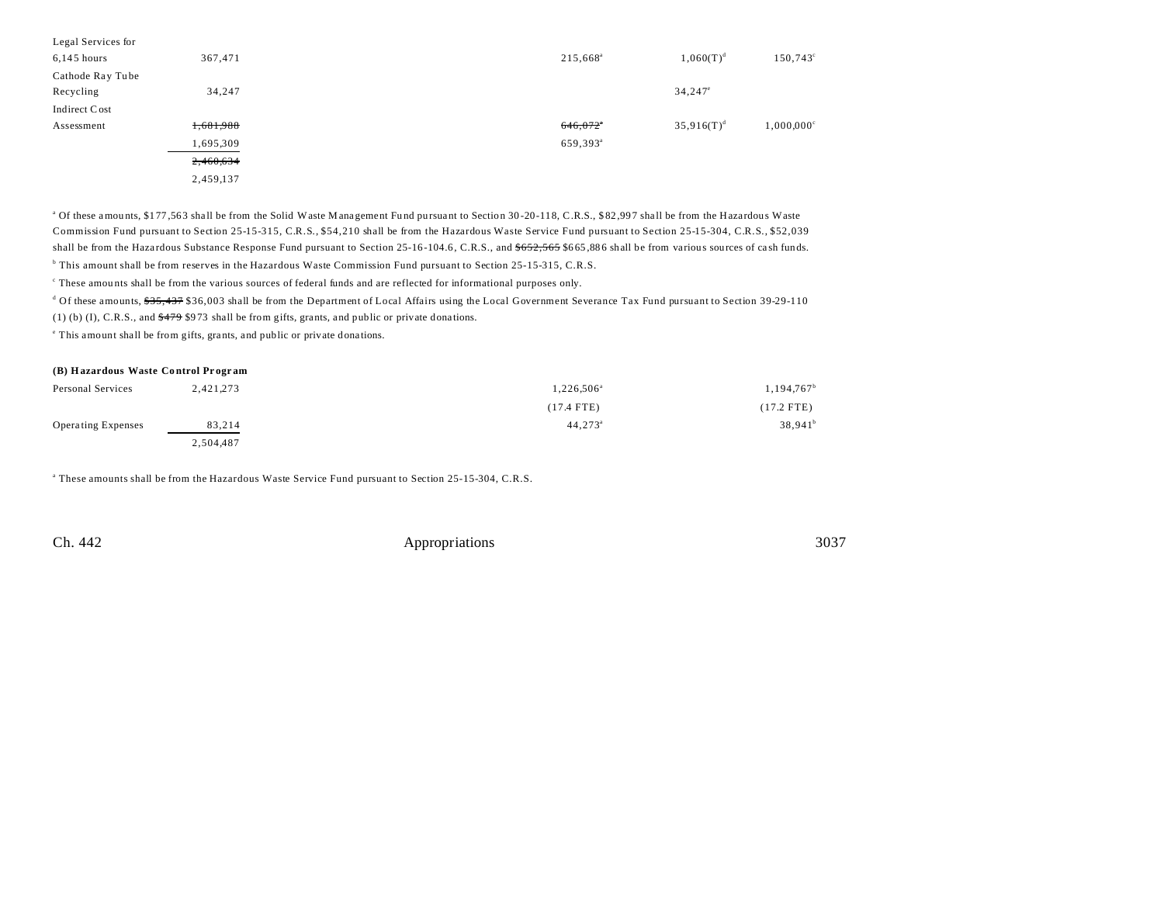| Legal Services for |           |  |                      |                  |                          |
|--------------------|-----------|--|----------------------|------------------|--------------------------|
| $6,145$ hours      | 367,471   |  | 215,668 <sup>a</sup> | $1,060(T)^d$     | $150,743^{\circ}$        |
| Cathode Ray Tube   |           |  |                      |                  |                          |
| Recycling          | 34,247    |  |                      | $34,247^{\circ}$ |                          |
| Indirect Cost      |           |  |                      |                  |                          |
| Assessment         | 1,681,988 |  | 646,072              | $35,916(T)^d$    | $1,000,000$ <sup>c</sup> |
|                    | 1,695,309 |  | 659,393 <sup>a</sup> |                  |                          |
|                    | 2,460,634 |  |                      |                  |                          |
|                    | 2,459,137 |  |                      |                  |                          |

<sup>a</sup> Of these amounts, \$177,563 shall be from the Solid Waste Management Fund pursuant to Section 30-20-118, C.R.S., \$82,997 shall be from the Hazardous Waste Commission Fund pursuant to Section 25-15-315, C.R.S., \$54,210 shall be from the Hazardous Waste Service Fund pursuant to Section 25-15-304, C.R.S., \$52,039 shall be from the Hazardous Substance Response Fund pursuant to Section 25-16-104.6, C.R.S., and  $$652,565,866$  shall be from various sources of cash funds. b This amount shall be from reserves in the Hazardous Waste Commission Fund pursuant to Section 25-15-315, C.R.S.

These amounts shall be from the various sources of federal funds and are reflected for informational purposes only.

<sup>d</sup> Of these amounts, <del>\$35,437</del> \$36,003 shall be from the Department of Local Affairs using the Local Government Severance Tax Fund pursuant to Section 39-29-110

(1) (b) (I), C.R.S., and  $$479$  \$973 shall be from gifts, grants, and public or private donations.

e This amount shall be from gifts, grants, and public or private dona tions.

#### **(B) Hazardous Waste Co ntrol Pr ogr am**

| Personal Services         | 2,421,273 | 1.226.506 <sup>a</sup> | $1,194,767$ <sup>b</sup> |
|---------------------------|-----------|------------------------|--------------------------|
|                           |           | $(17.4$ FTE)           | (17.2 FTE)               |
| <b>Operating Expenses</b> | 83,214    | $44,273^{\circ}$       | $38,941^b$               |
|                           | 2.504.487 |                        |                          |

a These amounts shall be from the Hazardous Waste Service Fund pursuant to Section 25-15-304, C.R.S.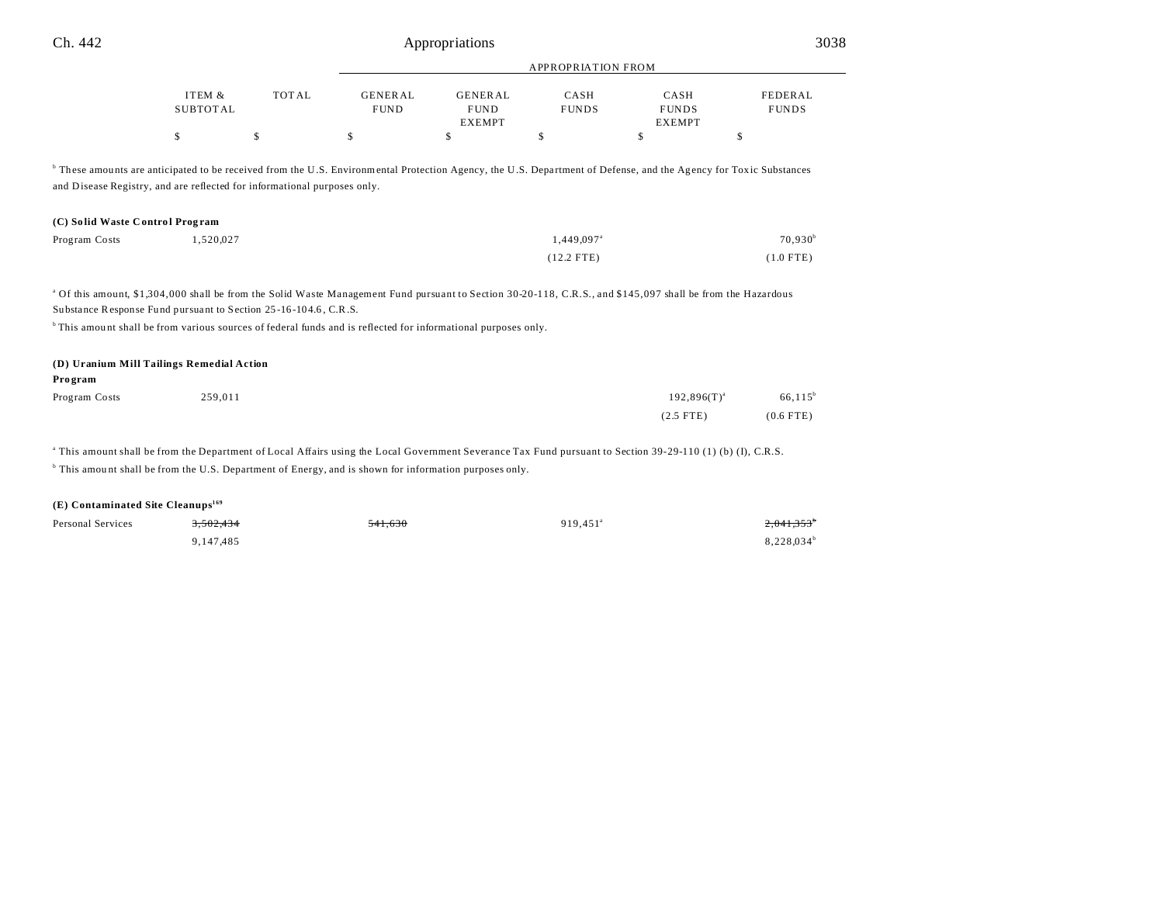| Ch.<br>442 | iations<br>r r            | $\sim$ $\sim$<br>JUJ ( |
|------------|---------------------------|------------------------|
|            | <b>APPROPRIATION FROM</b> |                        |
|            |                           |                        |

| TEM &           | TOTAL | <b>GENER AL</b> | GENERAL       | CASH         | <b>CASH</b>   | FEDERAL      |
|-----------------|-------|-----------------|---------------|--------------|---------------|--------------|
| <b>SUBTOTAL</b> |       | FUND            | <b>FUND</b>   | <b>FUNDS</b> | <b>FUNDS</b>  | <b>FUNDS</b> |
|                 |       |                 | <b>EXEMPT</b> |              | <b>EXEMPT</b> |              |
|                 |       |                 |               |              |               |              |

<sup>b</sup> These amounts are anticipated to be received from the U.S. Environmental Protection Agency, the U.S. Department of Defense, and the Agency for Toxic Substances and Disease Registry, and are reflected for informational purposes only.

## **(C) So lid Waste C ontro l Prog ram**

| Program Costs | 1,520,027 | $1.449.097$ <sup>a</sup> |             |
|---------------|-----------|--------------------------|-------------|
|               |           | $(12.2$ FTE)             | $(1.0$ FTE) |

<sup>a</sup> Of this amount, \$1,304,000 shall be from the Solid Waste Management Fund pursuant to Section 30-20-118, C.R.S., and \$145,097 shall be from the Hazardous Substance Response Fund pursuant to Section 25-16-104.6, C.R.S.

<sup>b</sup>This amount shall be from various sources of federal funds and is reflected for informational purposes only.

| (D) Uranium Mill Tailings Remedial Action |         |                  |             |  |
|-------------------------------------------|---------|------------------|-------------|--|
| Program                                   |         |                  |             |  |
| Program Costs                             | 259,011 | $192,896(T)^{a}$ | $66, 115^b$ |  |
|                                           |         | $(2.5$ FTE)      | $(0.6$ FTE) |  |

a This amount shall be from the Department of Local Affairs using the Local Government Severance Tax Fund pursuant to Section 39-29-110 (1) (b) (I), C.R.S. <sup>b</sup> This amount shall be from the U.S. Department of Energy, and is shown for information purposes only.

## **(E) Contaminated Site Cleanups<sup>169</sup>**

| Personal Services | 3.502.434 | <del>541,630</del> | 919.451 <sup>a</sup> | $2,041,353$ <sup>b</sup> |
|-------------------|-----------|--------------------|----------------------|--------------------------|
|                   | 9,147,485 |                    |                      | $8,228,034^b$            |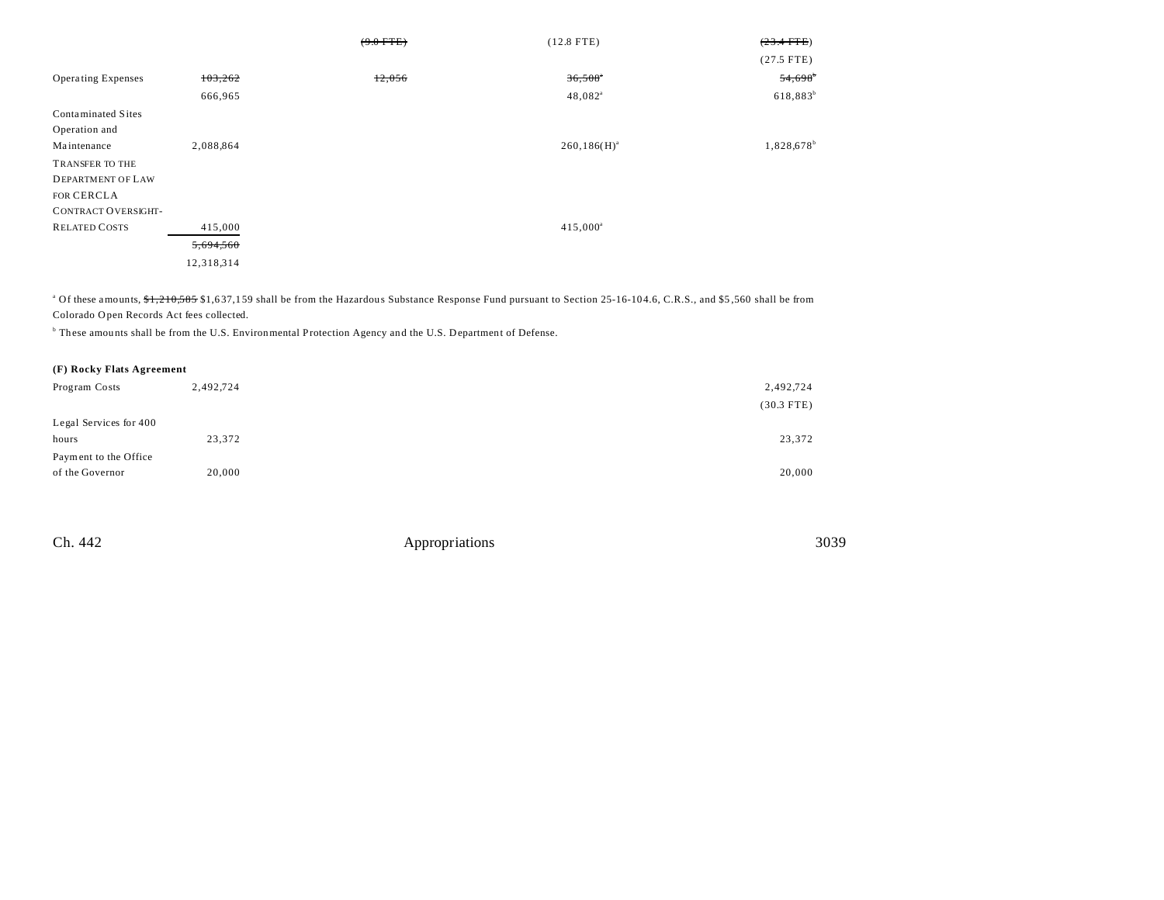|                           |            | $(9.0$ FTE) | $(12.8$ FTE)          | $(23.4 + FFE)$         |
|---------------------------|------------|-------------|-----------------------|------------------------|
|                           |            |             |                       | $(27.5$ FTE)           |
| <b>Operating Expenses</b> | 103,262    | 12,056      | $36,508$ <sup>*</sup> | 54,698                 |
|                           | 666,965    |             | $48,082$ <sup>a</sup> | $618,883^{b}$          |
| Contaminated Sites        |            |             |                       |                        |
| Operation and             |            |             |                       |                        |
| Maintenance               | 2,088,864  |             | $260, 186(H)^{a}$     | 1,828,678 <sup>b</sup> |
| TRANSFER TO THE           |            |             |                       |                        |
| <b>DEPARTMENT OF LAW</b>  |            |             |                       |                        |
| FOR CERCLA                |            |             |                       |                        |
| CONTRACT OVERSIGHT-       |            |             |                       |                        |
| <b>RELATED COSTS</b>      | 415,000    |             | $415,000^a$           |                        |
|                           | 5,694,560  |             |                       |                        |
|                           | 12,318,314 |             |                       |                        |

<sup>a</sup> Of these amounts, <del>\$1,210,585</del> \$1,637,159 shall be from the Hazardous Substance Response Fund pursuant to Section 25-16-104.6, C.R.S., and \$5,560 shall be from Colorado Open Records Act fees collected.

<sup>b</sup> These amounts shall be from the U.S. Environmental Protection Agency and the U.S. Department of Defense.

|  |  |  | (F) Rocky Flats Agreement |  |
|--|--|--|---------------------------|--|
|--|--|--|---------------------------|--|

| Program Costs          | 2,492,724 | 2,492,724    |
|------------------------|-----------|--------------|
|                        |           | $(30.3$ FTE) |
| Legal Services for 400 |           |              |
| hours                  | 23,372    | 23,372       |
| Payment to the Office  |           |              |
| of the Governor        | 20,000    | 20,000       |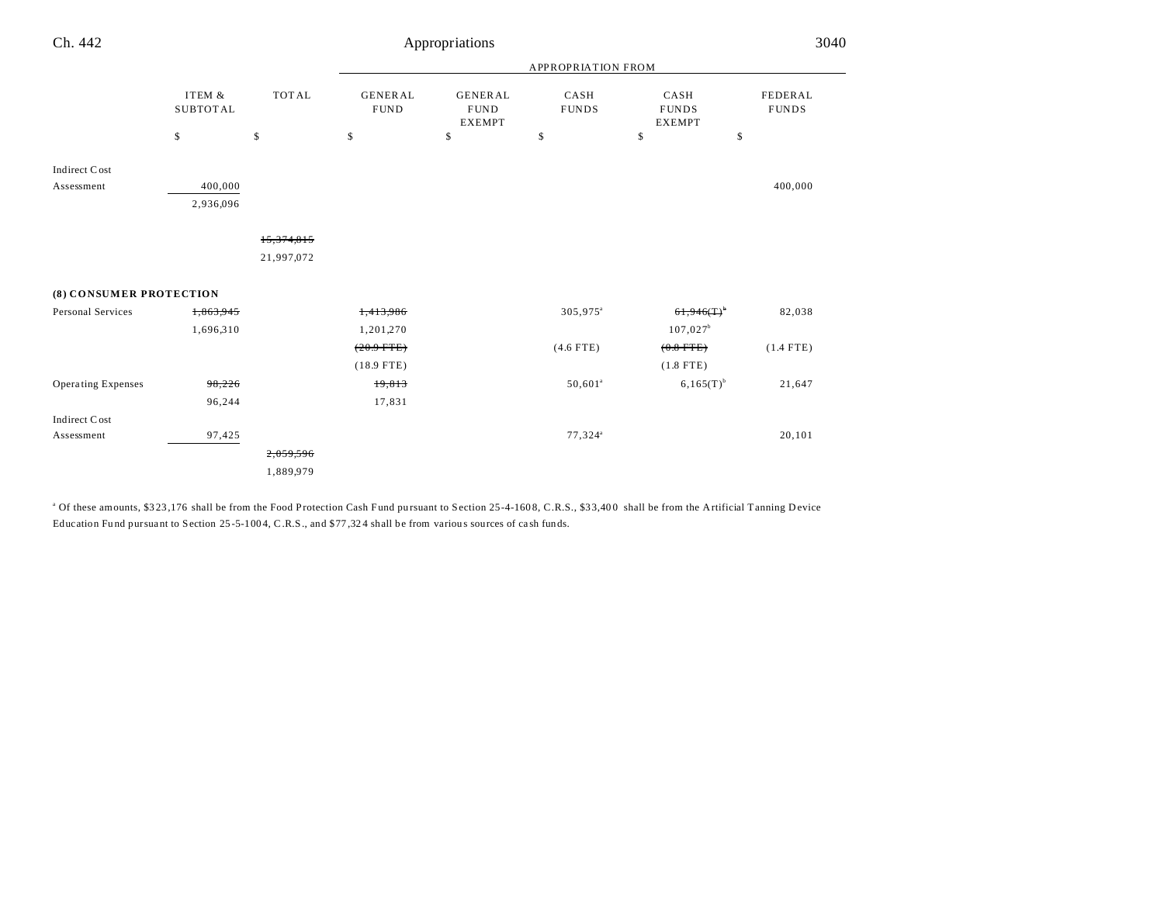| Ch. 442                   |                           |                          |                               | Appropriations                                 |                      |                                       | 3040                    |
|---------------------------|---------------------------|--------------------------|-------------------------------|------------------------------------------------|----------------------|---------------------------------------|-------------------------|
|                           |                           |                          |                               |                                                | APPROPRIATION FROM   |                                       |                         |
|                           | ITEM &<br><b>SUBTOTAL</b> | <b>TOTAL</b>             | <b>GENERAL</b><br><b>FUND</b> | <b>GENERAL</b><br><b>FUND</b><br><b>EXEMPT</b> | CASH<br><b>FUNDS</b> | CASH<br><b>FUNDS</b><br><b>EXEMPT</b> | FEDERAL<br><b>FUNDS</b> |
|                           | \$                        | \$                       | \$                            | \$                                             | \$                   | \$                                    | \$                      |
| Indirect Cost             |                           |                          |                               |                                                |                      |                                       |                         |
| Assessment                | 400,000<br>2,936,096      |                          |                               |                                                |                      |                                       | 400,000                 |
|                           |                           | 15,374,815<br>21,997,072 |                               |                                                |                      |                                       |                         |
| (8) CONSUMER PROTECTION   |                           |                          |                               |                                                |                      |                                       |                         |
| Personal Services         | 1,863,945                 |                          | 1,413,986                     |                                                | 305,975 <sup>a</sup> | $61,946(T)^{6}$                       | 82,038                  |
|                           | 1,696,310                 |                          | 1,201,270                     |                                                |                      | $107,027^b$                           |                         |
|                           |                           |                          | $(20.9 - FFE)$                |                                                | $(4.6$ FTE)          | $(0.8$ FTE)                           | $(1.4$ FTE)             |
|                           |                           |                          | $(18.9$ FTE)                  |                                                |                      | $(1.8$ FTE)                           |                         |
| <b>Operating Expenses</b> | 98,226                    |                          | 19,813                        |                                                | $50,601^a$           | $6,165(T)^{b}$                        | 21,647                  |
|                           | 96,244                    |                          | 17,831                        |                                                |                      |                                       |                         |
| Indirect Cost             |                           |                          |                               |                                                |                      |                                       |                         |
| Assessment                | 97,425                    |                          |                               |                                                | $77,324^a$           |                                       | 20,101                  |
|                           |                           | 2,059,596                |                               |                                                |                      |                                       |                         |
|                           |                           | 1,889,979                |                               |                                                |                      |                                       |                         |

<sup>a</sup> Of these amounts, \$323,176 shall be from the Food Protection Cash Fund pursuant to Section 25-4-1608, C.R.S., \$33,400 shall be from the Artificial Tanning Device Education Fu nd pursua nt to Section 25 -5-100 4, C.R.S., and \$77 ,32 4 shall be from variou s sources of ca sh funds.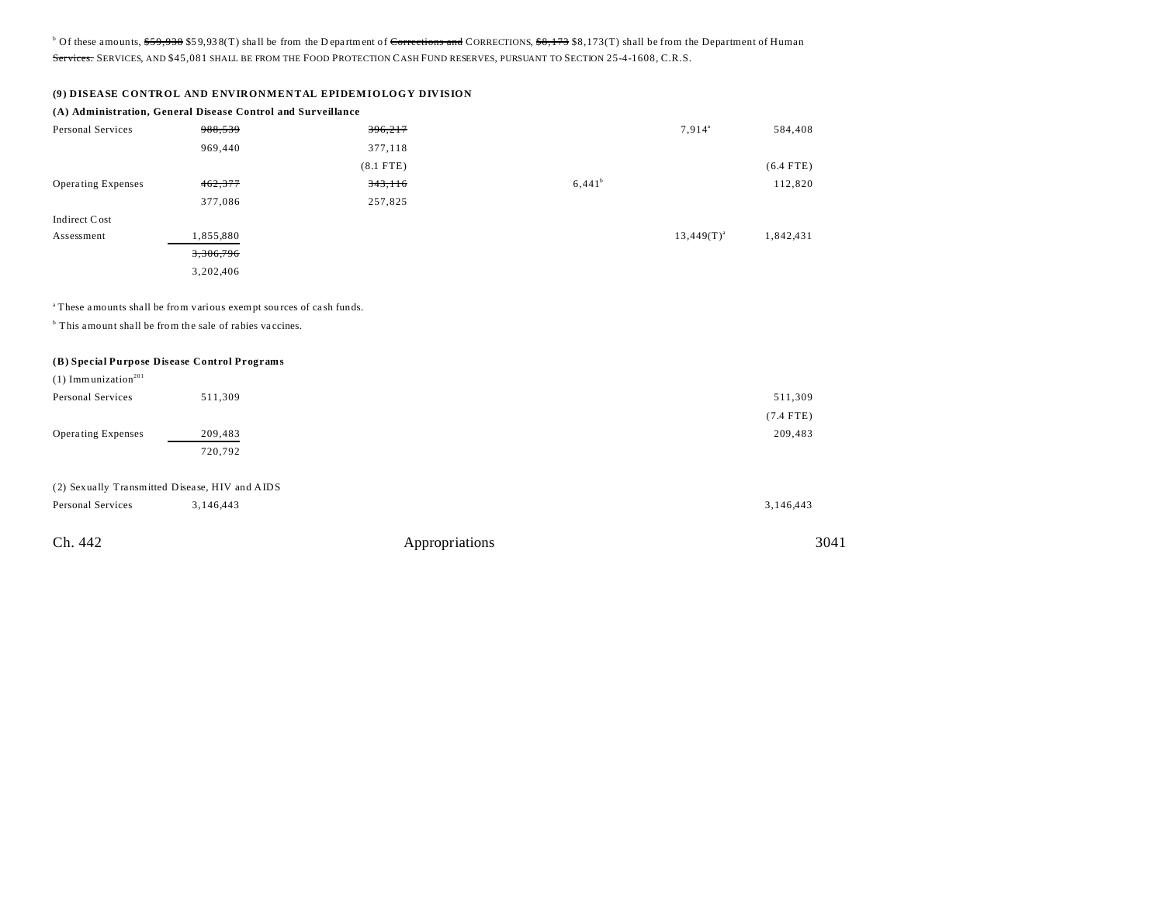<sup>b</sup> Of these amounts, <del>\$59,938</del> \$59,938(T) shall be from the Department of <del>Corrections and</del> CORRECTIONS, \$8,173 \$8,173(T) shall be from the Department of Human Services. SERVICES, AND \$45,081 SHALL BE FROM THE FOOD PROTECTION CASH FUND RESERVES, PURSUANT TO SECTION 25-4-1608, C.R.S.

|  |  | (9) DISEASE CONTROL AND ENVIRONMENTAL EPIDEMIOLOGY DIVISION |  |
|--|--|-------------------------------------------------------------|--|
|  |  |                                                             |  |

|                                              | (A) Administration, General Disease Control and Surveillance                   |             |           |                 |             |  |  |
|----------------------------------------------|--------------------------------------------------------------------------------|-------------|-----------|-----------------|-------------|--|--|
| Personal Services                            | 988,539                                                                        | 396,217     |           | $7,914^{\circ}$ | 584,408     |  |  |
|                                              | 969,440                                                                        | 377,118     |           |                 |             |  |  |
|                                              |                                                                                | $(8.1$ FTE) |           |                 | $(6.4$ FTE) |  |  |
| <b>Operating Expenses</b>                    | 462,377                                                                        | 343,116     | $6,441^b$ |                 | 112,820     |  |  |
|                                              | 377,086                                                                        | 257,825     |           |                 |             |  |  |
| Indirect Cost                                |                                                                                |             |           |                 |             |  |  |
| Assessment                                   | 1,855,880                                                                      |             |           | $13,449(T)^{a}$ | 1,842,431   |  |  |
|                                              | 3,306,796                                                                      |             |           |                 |             |  |  |
|                                              | 3,202,406                                                                      |             |           |                 |             |  |  |
|                                              |                                                                                |             |           |                 |             |  |  |
|                                              | <sup>a</sup> These amounts shall be from various exempt sources of cash funds. |             |           |                 |             |  |  |
|                                              | <sup>b</sup> This amount shall be from the sale of rabies vaccines.            |             |           |                 |             |  |  |
|                                              |                                                                                |             |           |                 |             |  |  |
| (B) Special Purpose Disease Control Programs |                                                                                |             |           |                 |             |  |  |
| $(1)$ Immunization <sup>201</sup>            |                                                                                |             |           |                 |             |  |  |
| Personal Services                            | 511,309                                                                        |             |           |                 | 511,309     |  |  |
|                                              |                                                                                |             |           |                 | $(7.4$ FTE) |  |  |
| Operating Expenses                           | 209,483                                                                        |             |           |                 | 209,483     |  |  |
|                                              | 720,792                                                                        |             |           |                 |             |  |  |

# (2) Sexually Transmitted Disease, HIV and AIDS

| Personal Services | 3.146.443 | 3,146,443      |      |
|-------------------|-----------|----------------|------|
| Ch. 442           |           | Appropriations | 3041 |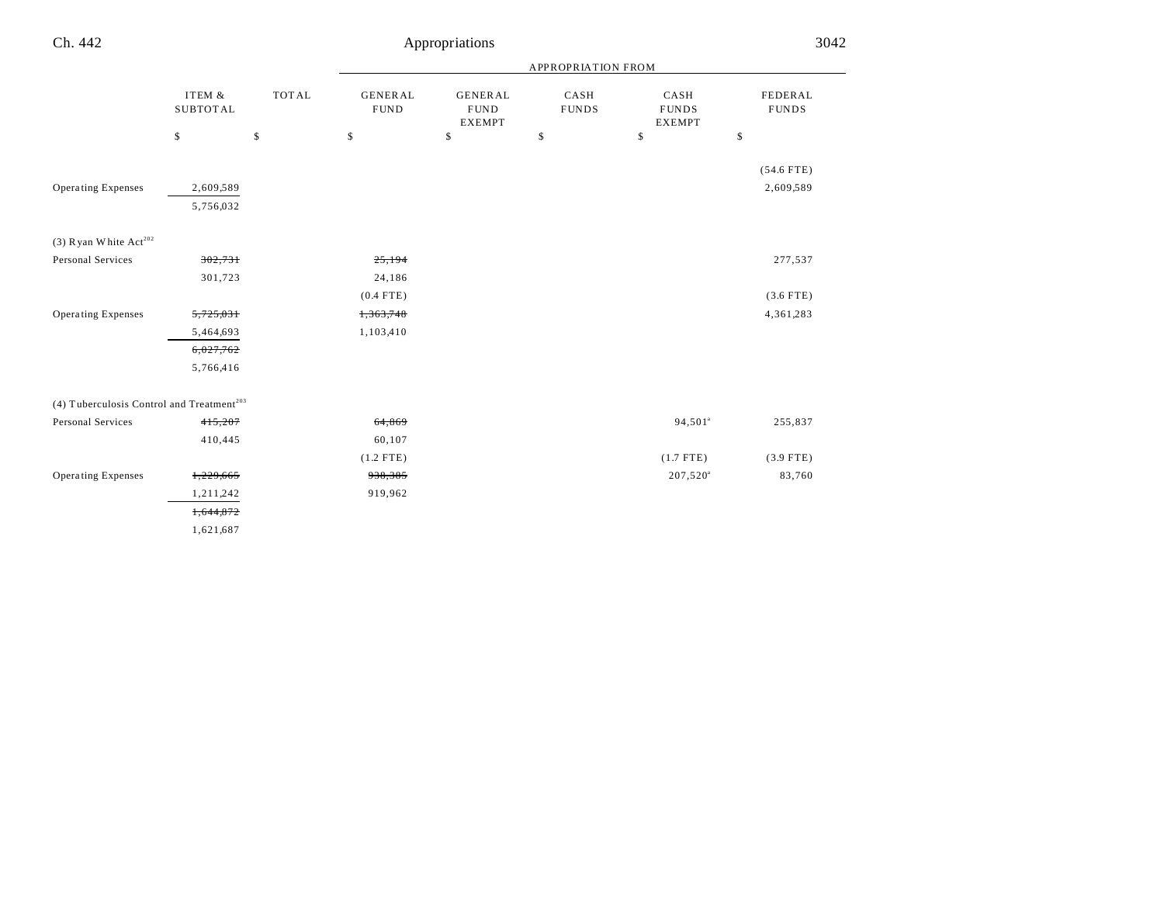|                                                       |                                 |                    | APPROPRIATION FROM                  |                                                      |                            |                                             |                               |
|-------------------------------------------------------|---------------------------------|--------------------|-------------------------------------|------------------------------------------------------|----------------------------|---------------------------------------------|-------------------------------|
|                                                       | ITEM &<br><b>SUBTOTAL</b><br>\$ | <b>TOTAL</b><br>\$ | <b>GENERAL</b><br><b>FUND</b><br>\$ | <b>GENERAL</b><br><b>FUND</b><br><b>EXEMPT</b><br>\$ | CASH<br><b>FUNDS</b><br>\$ | CASH<br><b>FUNDS</b><br><b>EXEMPT</b><br>\$ | FEDERAL<br><b>FUNDS</b><br>\$ |
|                                                       |                                 |                    |                                     |                                                      |                            |                                             | $(54.6$ FTE)                  |
| <b>Operating Expenses</b>                             | 2,609,589<br>5,756,032          |                    |                                     |                                                      |                            |                                             | 2,609,589                     |
| (3) Ryan White $Act^{202}$                            |                                 |                    |                                     |                                                      |                            |                                             |                               |
| Personal Services                                     | 302,731                         |                    | 25,194                              |                                                      |                            |                                             | 277,537                       |
|                                                       | 301,723                         |                    | 24,186                              |                                                      |                            |                                             |                               |
|                                                       |                                 |                    | $(0.4$ FTE)                         |                                                      |                            |                                             | $(3.6$ FTE)                   |
| <b>Operating Expenses</b>                             | 5,725,031                       |                    | 1,363,748                           |                                                      |                            |                                             | 4,361,283                     |
|                                                       | 5,464,693                       |                    | 1,103,410                           |                                                      |                            |                                             |                               |
|                                                       | 6,027,762                       |                    |                                     |                                                      |                            |                                             |                               |
|                                                       | 5,766,416                       |                    |                                     |                                                      |                            |                                             |                               |
| (4) Tuberculosis Control and Treatment <sup>203</sup> |                                 |                    |                                     |                                                      |                            |                                             |                               |
| Personal Services                                     | 415,207                         |                    | 64,869                              |                                                      |                            | 94,501 <sup>a</sup>                         | 255,837                       |
|                                                       | 410,445                         |                    | 60,107                              |                                                      |                            |                                             |                               |
|                                                       |                                 |                    | $(1.2$ FTE)                         |                                                      |                            | $(1.7$ FTE)                                 | $(3.9$ FTE)                   |
| <b>Operating Expenses</b>                             | 1,229,665                       |                    | 938,385                             |                                                      |                            | $207,520^{\circ}$                           | 83,760                        |
|                                                       | 1,211,242                       |                    | 919,962                             |                                                      |                            |                                             |                               |
|                                                       | 1,644,872                       |                    |                                     |                                                      |                            |                                             |                               |
|                                                       | 1,621,687                       |                    |                                     |                                                      |                            |                                             |                               |

L,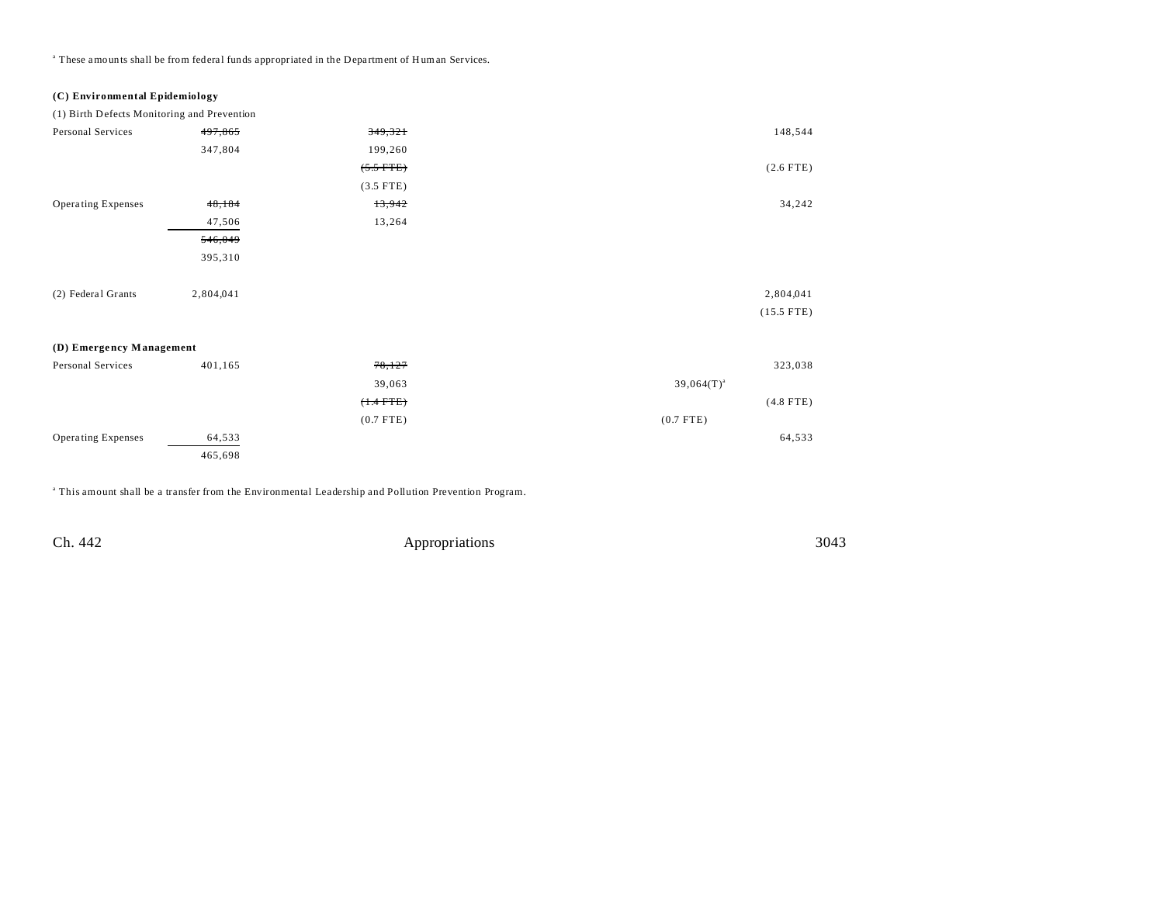<sup>a</sup> These amounts shall be from federal funds appropriated in the Department of Human Services.

## **(C) Environmental Epidemiology**

(1) Birth Defects Monitoring and Prevention

| Personal Services         | 497,865   | 349,321        | 148,544         |
|---------------------------|-----------|----------------|-----------------|
|                           | 347,804   | 199,260        |                 |
|                           |           | $(5.5$ FTE)    | $(2.6$ FTE)     |
|                           |           | $(3.5$ FTE)    |                 |
| <b>Operating Expenses</b> | 48,184    | 13,942         | 34,242          |
|                           | 47,506    | 13,264         |                 |
|                           | 546,049   |                |                 |
|                           | 395,310   |                |                 |
|                           |           |                |                 |
| (2) Federal Grants        | 2,804,041 |                | 2,804,041       |
|                           |           |                | $(15.5$ FTE)    |
|                           |           |                |                 |
| (D) Emergency Management  |           |                |                 |
| Personal Services         | 401,165   | 78,127         | 323,038         |
|                           |           | 39,063         | $39,064(T)^{a}$ |
|                           |           | $(+.4$ FTE $)$ | $(4.8$ FTE)     |
|                           |           | $(0.7$ FTE)    | $(0.7$ FTE)     |
| Operating Expenses        | 64,533    |                | 64,533          |
|                           | 465,698   |                |                 |

a This amount shall be a transfer from the Environmental Leadership and Pollution Prevention Program.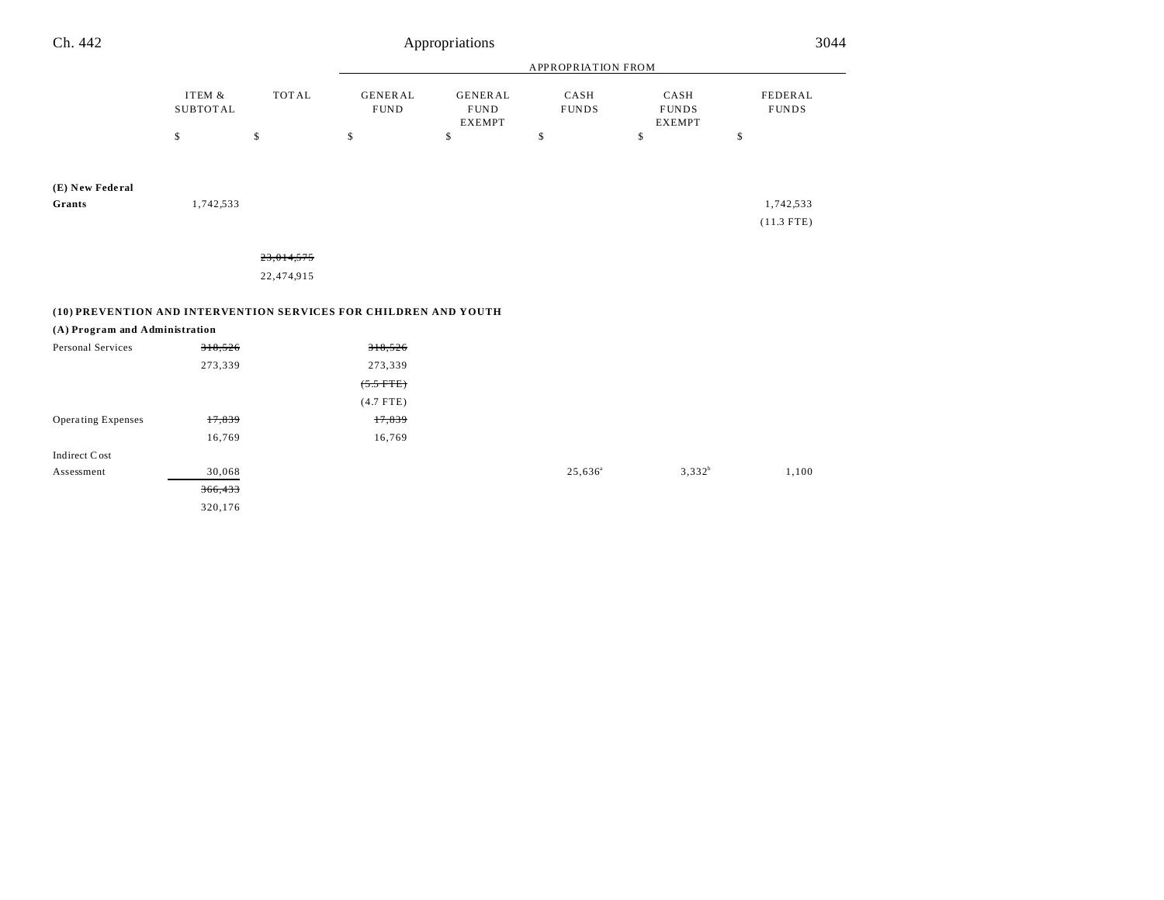| Ch. 442                                                          |                           |              |                               | Appropriations                                 |                      |                                       | 3044                           |
|------------------------------------------------------------------|---------------------------|--------------|-------------------------------|------------------------------------------------|----------------------|---------------------------------------|--------------------------------|
|                                                                  |                           |              |                               |                                                | APPROPRIATION FROM   |                                       |                                |
|                                                                  | ITEM &<br><b>SUBTOTAL</b> | <b>TOTAL</b> | <b>GENERAL</b><br><b>FUND</b> | <b>GENERAL</b><br><b>FUND</b><br><b>EXEMPT</b> | CASH<br><b>FUNDS</b> | CASH<br><b>FUNDS</b><br><b>EXEMPT</b> | <b>FEDERAL</b><br><b>FUNDS</b> |
|                                                                  | \$                        | $\mathbb{S}$ | \$                            | \$                                             | \$                   | \$                                    | \$                             |
| (E) New Federal                                                  |                           |              |                               |                                                |                      |                                       |                                |
| Grants                                                           | 1,742,533                 |              |                               |                                                |                      |                                       | 1,742,533                      |
|                                                                  |                           |              |                               |                                                |                      |                                       | $(11.3$ FTE)                   |
|                                                                  |                           | 23,014,575   |                               |                                                |                      |                                       |                                |
|                                                                  |                           | 22,474,915   |                               |                                                |                      |                                       |                                |
| (10) PREVENTION AND INTERVENTION SERVICES FOR CHILDREN AND YOUTH |                           |              |                               |                                                |                      |                                       |                                |
| (A) Program and Administration                                   |                           |              |                               |                                                |                      |                                       |                                |
| Personal Services                                                | 318,526                   |              | 318,526                       |                                                |                      |                                       |                                |
|                                                                  | 273,339                   |              | 273,339                       |                                                |                      |                                       |                                |
|                                                                  |                           |              | $(5.5$ FTE)                   |                                                |                      |                                       |                                |
|                                                                  |                           |              | $(4.7$ FTE)                   |                                                |                      |                                       |                                |
| <b>Operating Expenses</b>                                        | 17,839                    |              | 17,839                        |                                                |                      |                                       |                                |
|                                                                  | 16,769                    |              | 16,769                        |                                                |                      |                                       |                                |
| Indirect Cost                                                    |                           |              |                               |                                                |                      |                                       |                                |
| Assessment                                                       | 30,068                    |              |                               |                                                | $25,636^a$           | $3,332^{b}$                           | 1,100                          |

366,433 320,176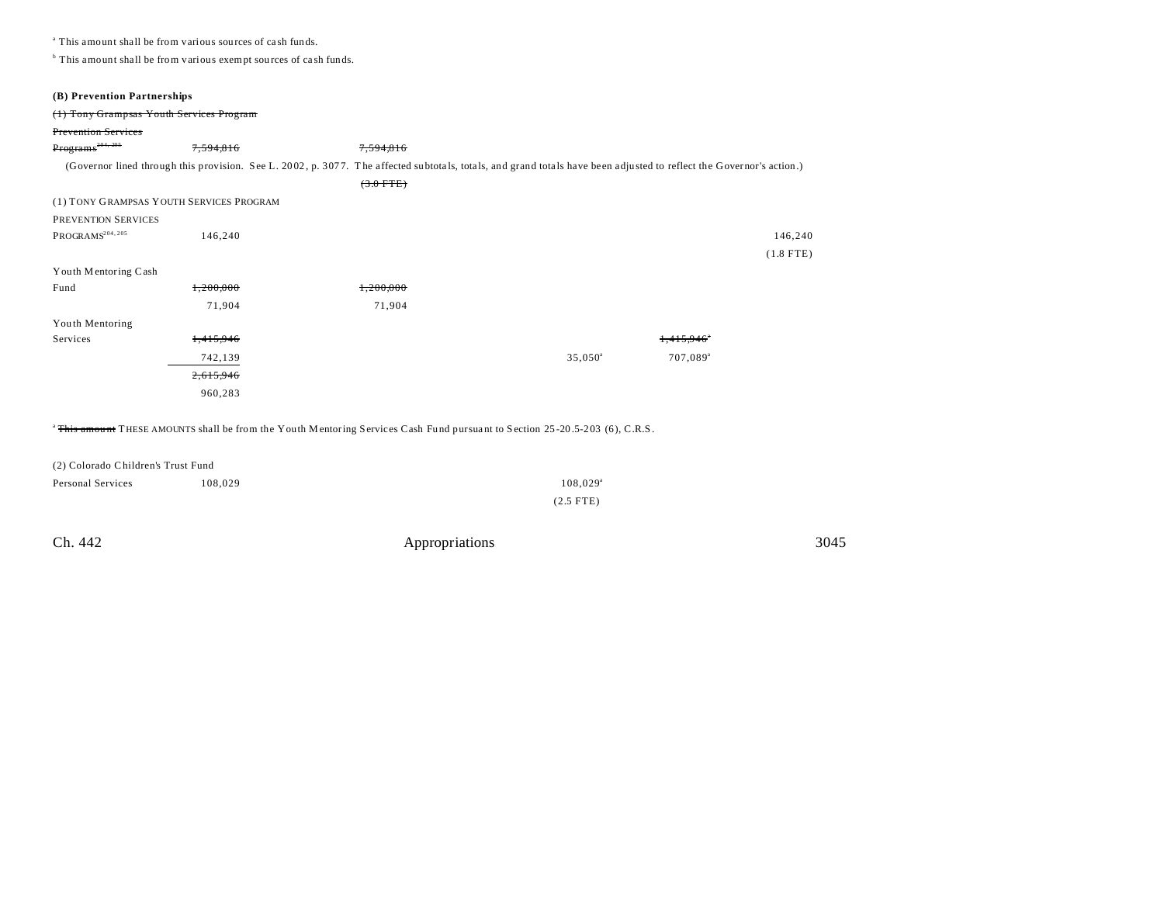a This amount shall be from various sources of ca sh funds.

<sup>b</sup> This amount shall be from various exempt sources of cash funds.

| (B) Prevention Partnerships              |           |                                                                                                                                                                      |                  |                      |             |
|------------------------------------------|-----------|----------------------------------------------------------------------------------------------------------------------------------------------------------------------|------------------|----------------------|-------------|
| (1) Tony Grampsas Youth Services Program |           |                                                                                                                                                                      |                  |                      |             |
| <b>Prevention Services</b>               |           |                                                                                                                                                                      |                  |                      |             |
| Programs <sup>204,205</sup>              | 7,594,816 | 7,594,816                                                                                                                                                            |                  |                      |             |
|                                          |           | (Governor lined through this provision. See L. 2002, p. 3077. The affected subtotals, totals, and grand totals have been adjusted to reflect the Governor's action.) |                  |                      |             |
|                                          |           | $(3.0$ FTE)                                                                                                                                                          |                  |                      |             |
| (1) TONY GRAMPSAS YOUTH SERVICES PROGRAM |           |                                                                                                                                                                      |                  |                      |             |
| <b>PREVENTION SERVICES</b>               |           |                                                                                                                                                                      |                  |                      |             |
| PROGRAMS <sup>204, 205</sup>             | 146,240   |                                                                                                                                                                      |                  |                      | 146,240     |
|                                          |           |                                                                                                                                                                      |                  |                      | $(1.8$ FTE) |
| Youth Mentoring Cash                     |           |                                                                                                                                                                      |                  |                      |             |
| Fund                                     | 1,200,000 | 1,200,000                                                                                                                                                            |                  |                      |             |
|                                          | 71,904    | 71,904                                                                                                                                                               |                  |                      |             |
| Youth Mentoring                          |           |                                                                                                                                                                      |                  |                      |             |
| Services                                 | 1,415,946 |                                                                                                                                                                      |                  | 1.415.946            |             |
|                                          | 742,139   |                                                                                                                                                                      | $35,050^{\circ}$ | 707,089 <sup>a</sup> |             |
|                                          | 2,615,946 |                                                                                                                                                                      |                  |                      |             |
|                                          | 960,283   |                                                                                                                                                                      |                  |                      |             |
|                                          |           |                                                                                                                                                                      |                  |                      |             |

<sup>a</sup>This amount THESE AMOUNTS shall be from the Youth Mentoring Services Cash Fund pursuant to Section 25-20.5-203 (6), C.R.S.

| (2) Colorado Children's Trust Fund |         |                        |  |  |
|------------------------------------|---------|------------------------|--|--|
| Personal Services                  | 108.029 | $108.029$ <sup>a</sup> |  |  |
|                                    |         | $(2.5$ FTE)            |  |  |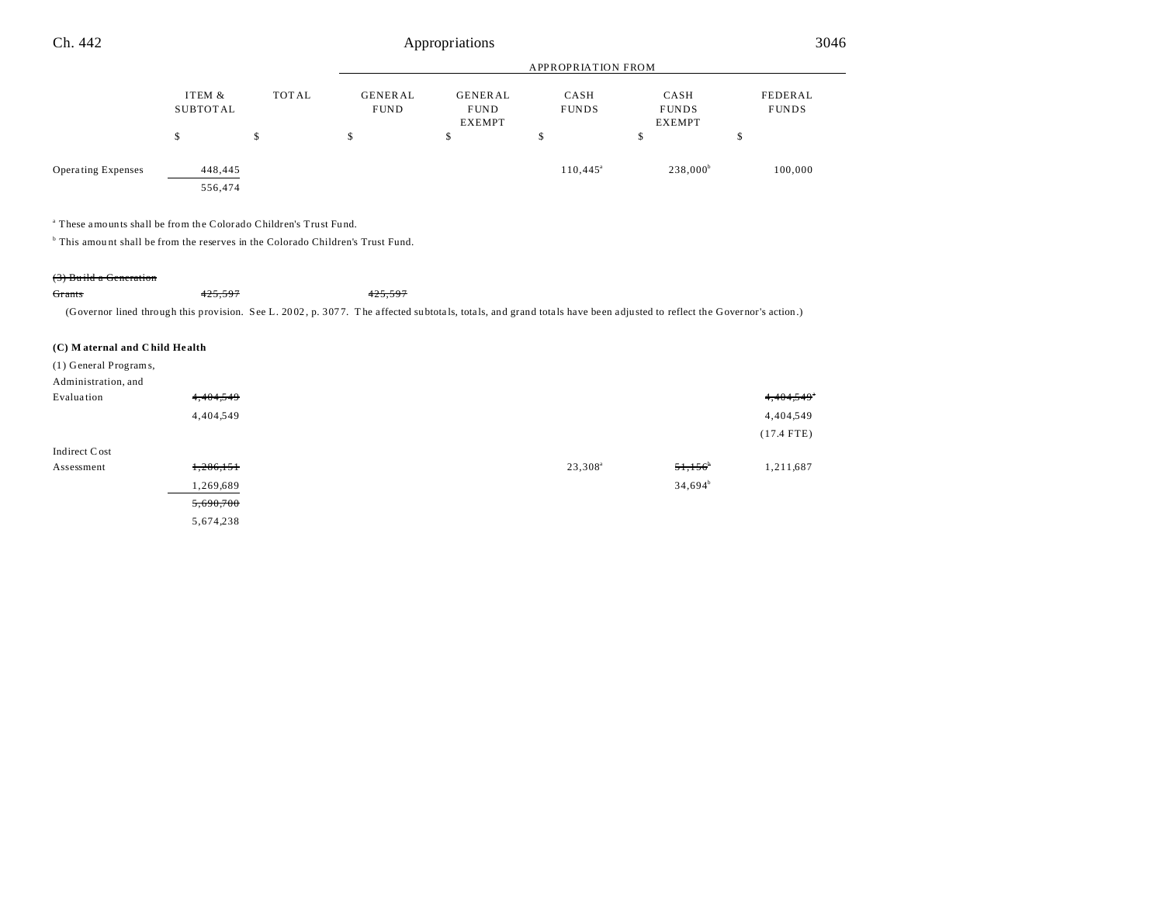| Ch. 442                   | Appropriations     |       |                               |                                                |                      |                                       | 3046                    |  |
|---------------------------|--------------------|-------|-------------------------------|------------------------------------------------|----------------------|---------------------------------------|-------------------------|--|
|                           |                    |       | <b>APPROPRIATION FROM</b>     |                                                |                      |                                       |                         |  |
|                           | ITEM &<br>SUBTOTAL | TOTAL | <b>GENERAL</b><br><b>FUND</b> | <b>GENERAL</b><br><b>FUND</b><br><b>EXEMPT</b> | CASH<br><b>FUNDS</b> | CASH<br><b>FUNDS</b><br><b>EXEMPT</b> | FEDERAL<br><b>FUNDS</b> |  |
|                           | \$                 | \$    | \$                            | \$                                             | \$                   | \$                                    | \$                      |  |
| <b>Operating Expenses</b> | 448,445            |       |                               |                                                | $110,445^{\circ}$    | $238,000^b$                           | 100,000                 |  |
|                           | 556,474            |       |                               |                                                |                      |                                       |                         |  |

a These amounts shall be from the Colorado Children's Trust Fu nd.

<sup>b</sup> This amount shall be from the reserves in the Colorado Children's Trust Fund.

#### (3) Bu ild a Generation

Grants 425,597 425,597

(Governor lined through this provision. See L. 2002, p. 3077. The affected subtotals, totals, and grand totals have been adjusted to reflect the Governor's action.)

#### **(C) M aternal and C hild He alth**

(1) General Programs,

| Administration, and |           |                     |            |              |
|---------------------|-----------|---------------------|------------|--------------|
| Evaluation          | 4,404,549 |                     |            | 4,404,549    |
|                     | 4,404,549 |                     |            | 4,404,549    |
|                     |           |                     |            | $(17.4$ FTE) |
| Indirect Cost       |           |                     |            |              |
| Assessment          | 1,286,151 | 23,308 <sup>a</sup> | 51,156     | 1,211,687    |
|                     | 1,269,689 |                     | $34,694^b$ |              |
|                     | 5,690,700 |                     |            |              |
|                     | 5,674,238 |                     |            |              |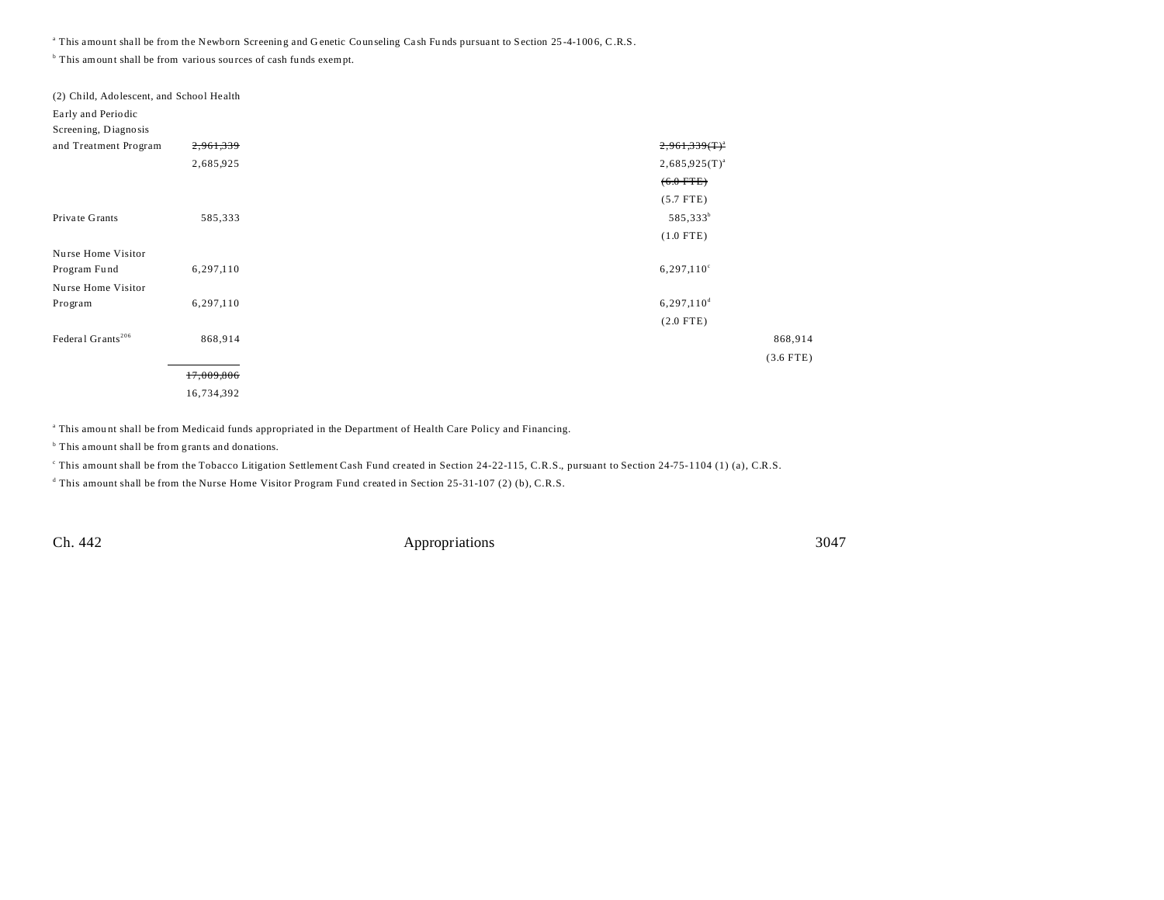<sup>a</sup> This amount shall be from the Newborn Screening and Genetic Counseling Cash Funds pursuant to Section 25-4-1006, C.R.S.

<sup>b</sup> This amount shall be from various sources of cash funds exempt.

| (2) Child, Adolescent, and School Health |            |                          |
|------------------------------------------|------------|--------------------------|
| Early and Periodic                       |            |                          |
| Screening, Diagnosis                     |            |                          |
| and Treatment Program                    | 2,961,339  | $2,961,339(T)^{2}$       |
|                                          | 2,685,925  | $2,685,925(T)^{a}$       |
|                                          |            | $(6.0$ FTE)              |
|                                          |            | $(5.7$ FTE)              |
| Private Grants                           | 585,333    | 585,333 <sup>b</sup>     |
|                                          |            | $(1.0$ FTE)              |
| Nurse Home Visitor                       |            |                          |
| Program Fund                             | 6,297,110  | 6,297,110°               |
| Nurse Home Visitor                       |            |                          |
| Program                                  | 6,297,110  | $6,297,110$ <sup>d</sup> |
|                                          |            | $(2.0$ FTE)              |
| Federal Grants <sup>206</sup>            | 868,914    |                          |
|                                          |            |                          |
|                                          | 17,009,806 |                          |
|                                          | 16,734,392 |                          |

a This amou nt shall be from Medicaid funds appropriated in the Department of Health Care Policy and Financing.

<sup>b</sup> This amount shall be from grants and donations.

This amount shall be from the Tobacco Litigation Settlement Cash Fund created in Section 24-22-115, C.R.S., pursuant to Section 24-75-1104 (1) (a), C.R.S.

d This amount shall be from the Nurse Home Visitor Program Fund created in Section 25-31-107 (2) (b), C.R.S.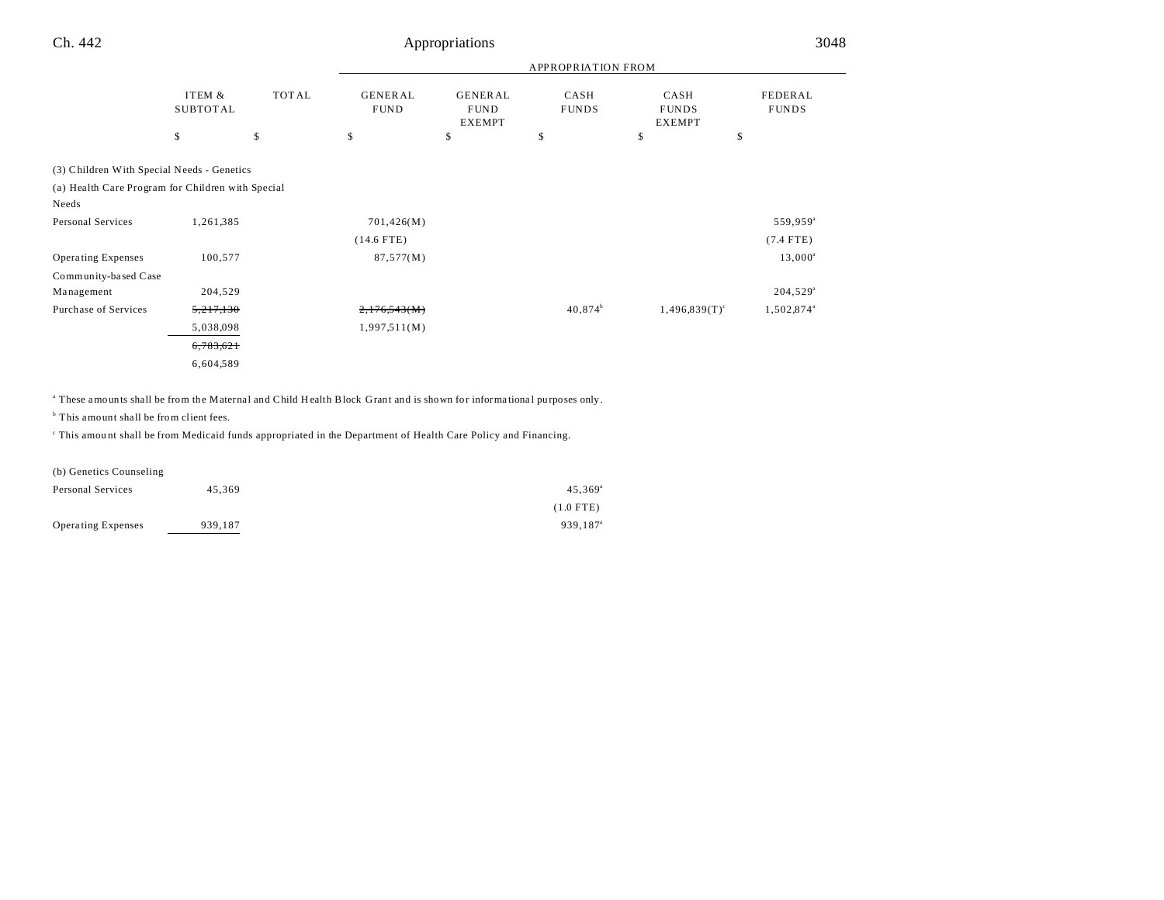| Appropriations | 3048 |
|----------------|------|
|                |      |

|                                                   |                           |              | <b>APPROPRIATION FROM</b>     |                                                |                      |                                       |                         |
|---------------------------------------------------|---------------------------|--------------|-------------------------------|------------------------------------------------|----------------------|---------------------------------------|-------------------------|
|                                                   | ITEM &<br><b>SUBTOTAL</b> | <b>TOTAL</b> | <b>GENERAL</b><br><b>FUND</b> | <b>GENERAL</b><br><b>FUND</b><br><b>EXEMPT</b> | CASH<br><b>FUNDS</b> | CASH<br><b>FUNDS</b><br><b>EXEMPT</b> | FEDERAL<br><b>FUNDS</b> |
|                                                   | $\mathbb{S}$              | \$           | \$                            | \$                                             | \$                   | \$                                    | \$                      |
| (3) Children With Special Needs - Genetics        |                           |              |                               |                                                |                      |                                       |                         |
| (a) Health Care Program for Children with Special |                           |              |                               |                                                |                      |                                       |                         |
| Needs                                             |                           |              |                               |                                                |                      |                                       |                         |
| Personal Services                                 | 1,261,385                 |              | 701,426(M)                    |                                                |                      |                                       | 559,959 <sup>a</sup>    |
|                                                   |                           |              | $(14.6$ FTE)                  |                                                |                      |                                       | $(7.4$ FTE)             |
| Operating Expenses                                | 100,577                   |              | 87,577(M)                     |                                                |                      |                                       | $13,000^{\circ}$        |
| Community-based Case                              |                           |              |                               |                                                |                      |                                       |                         |
| Management                                        | 204,529                   |              |                               |                                                |                      |                                       | $204,529^{\circ}$       |
| Purchase of Services                              | 5,217,130                 |              | 2,176,543(M)                  |                                                | $40,874^b$           | $1,496,839(T)$ <sup>c</sup>           | 1,502,874 <sup>a</sup>  |
|                                                   | 5,038,098                 |              | 1,997,511(M)                  |                                                |                      |                                       |                         |
|                                                   | 6,783,621                 |              |                               |                                                |                      |                                       |                         |
|                                                   | 6,604,589                 |              |                               |                                                |                      |                                       |                         |

<sup>a</sup> These amounts shall be from the Maternal and Child Health Block Grant and is shown for informational purposes only.

<sup>b</sup> This amount shall be from client fees.

This amount shall be from Medicaid funds appropriated in the Department of Health Care Policy and Financing.

(b) Genetics Counseling Personal Services  $45,369$   $45,369$ (1.0 FTE) Operating Expenses 939,187 939,187 939,187 939,187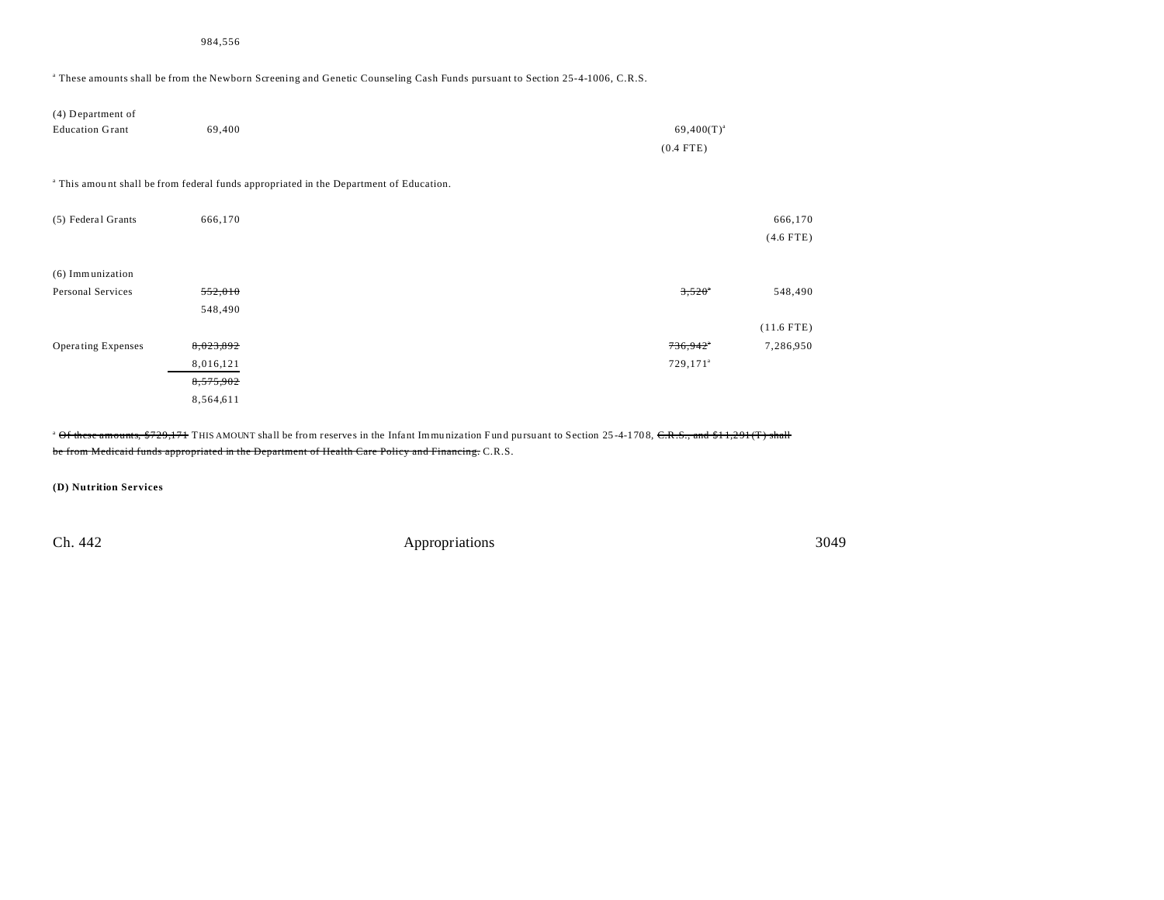a These amounts shall be from the Newborn Screening and Genetic Counseling Cash Funds pursuant to Section 25-4-1006, C.R.S.

| (4) Department of<br><b>Education Grant</b> | 69,400             | $69,400(T)^{a}$<br>$(0.4$ FTE)                                                                    |                        |
|---------------------------------------------|--------------------|---------------------------------------------------------------------------------------------------|------------------------|
|                                             |                    | <sup>a</sup> This amount shall be from federal funds appropriated in the Department of Education. |                        |
| (5) Federal Grants                          | 666,170            |                                                                                                   | 666,170<br>$(4.6$ FTE) |
| (6) Immunization                            |                    |                                                                                                   |                        |
| Personal Services                           | 552,010<br>548,490 | $3,520^{\circ}$                                                                                   | 548,490                |
|                                             |                    |                                                                                                   | $(11.6$ FTE)           |
| <b>Operating Expenses</b>                   | 8,023,892          | 736,942"                                                                                          | 7,286,950              |
|                                             | 8,016,121          | $729,171^{\circ}$                                                                                 |                        |
|                                             | 8,575,902          |                                                                                                   |                        |
|                                             | 8,564,611          |                                                                                                   |                        |

<sup>a</sup> Of these amounts, \$729,171 THIS AMOUNT shall be from reserves in the Infant Immunization Fund pursuant to Section 25-4-1708, C.R.S., and \$11,291(T) shall be from Medicaid funds appropriated in the Department of Health Care Policy and Financing. C.R.S.

**(D) Nutrition Services**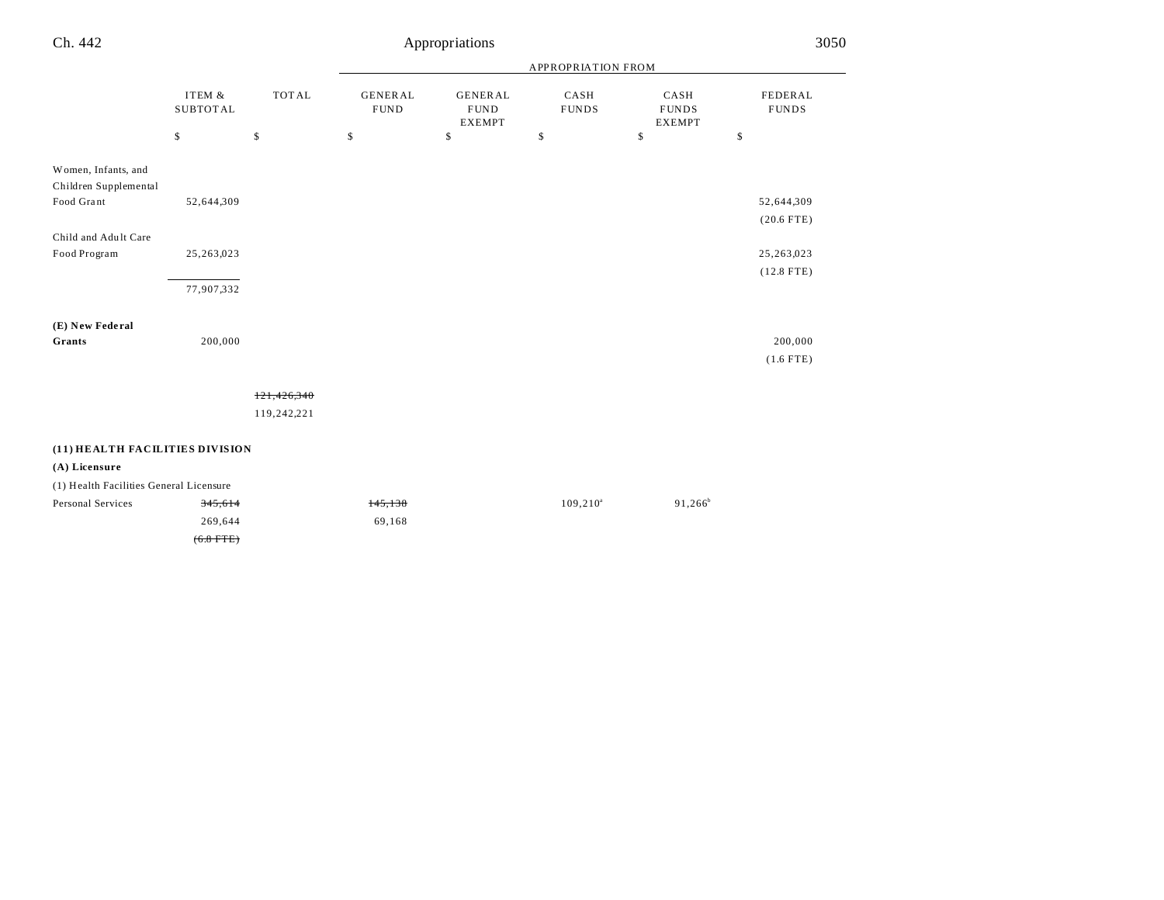| Ch. 442                                      |                           |              |                               | Appropriations                                  |                      |                                       | 3050                    |
|----------------------------------------------|---------------------------|--------------|-------------------------------|-------------------------------------------------|----------------------|---------------------------------------|-------------------------|
|                                              |                           |              |                               |                                                 | APPROPRIATION FROM   |                                       |                         |
|                                              | ITEM &<br><b>SUBTOTAL</b> | <b>TOTAL</b> | <b>GENERAL</b><br><b>FUND</b> | <b>GENERAL</b><br>${\tt FUND}$<br><b>EXEMPT</b> | CASH<br><b>FUNDS</b> | CASH<br><b>FUNDS</b><br><b>EXEMPT</b> | FEDERAL<br><b>FUNDS</b> |
|                                              | \$                        | \$           | \$                            | \$                                              | \$                   | \$                                    | \$                      |
| Women, Infants, and<br>Children Supplemental |                           |              |                               |                                                 |                      |                                       |                         |
| Food Grant                                   | 52,644,309                |              |                               |                                                 |                      |                                       | 52,644,309              |
|                                              |                           |              |                               |                                                 |                      |                                       | $(20.6$ FTE)            |
| Child and Adult Care<br>Food Program         | 25,263,023                |              |                               |                                                 |                      |                                       | 25,263,023              |
|                                              | 77,907,332                |              |                               |                                                 |                      |                                       | $(12.8$ FTE)            |
| (E) New Federal<br>Grants                    | 200,000                   |              |                               |                                                 |                      |                                       | 200,000                 |
|                                              |                           |              |                               |                                                 |                      |                                       | $(1.6$ FTE)             |
|                                              |                           | 121,426,340  |                               |                                                 |                      |                                       |                         |
|                                              |                           | 119,242,221  |                               |                                                 |                      |                                       |                         |
| (11) HEALTH FACILITIES DIVISION              |                           |              |                               |                                                 |                      |                                       |                         |
| (A) Licensure                                |                           |              |                               |                                                 |                      |                                       |                         |
| (1) Health Facilities General Licensure      |                           |              |                               |                                                 |                      |                                       |                         |
| Personal Services                            | 345,614                   |              | 145,138                       |                                                 | $109, 210^{\circ}$   | $91,266^b$                            |                         |
|                                              | 269,644                   |              | 69,168                        |                                                 |                      |                                       |                         |
|                                              | $(6.8$ FTE)               |              |                               |                                                 |                      |                                       |                         |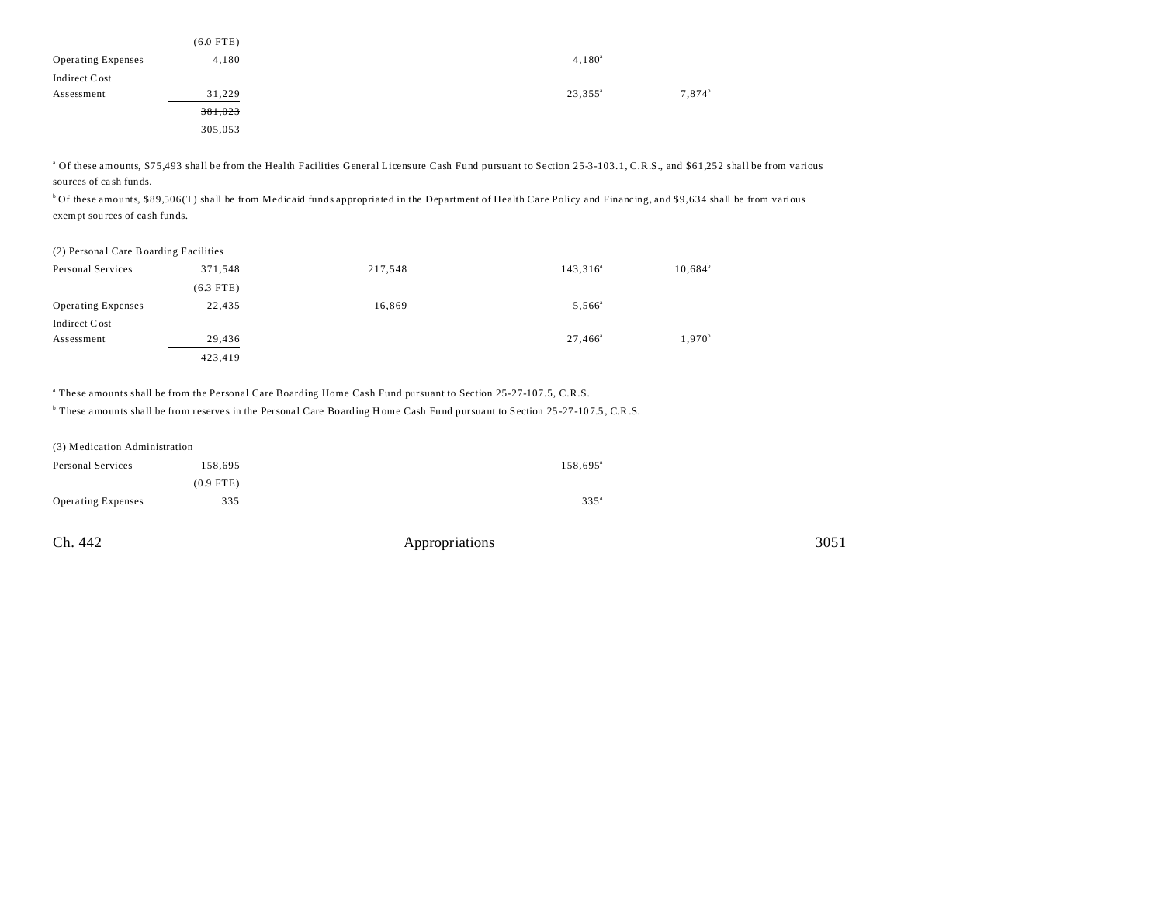|                           | $(6.0$ FTE) |                  |                    |
|---------------------------|-------------|------------------|--------------------|
| <b>Operating Expenses</b> | 4,180       | $4,180^a$        |                    |
| Indirect Cost             |             |                  |                    |
| Assessment                | 31,229      | $23,355^{\circ}$ | 7,874 <sup>b</sup> |
|                           | 381,023     |                  |                    |
|                           | 305,053     |                  |                    |

<sup>a</sup> Of these amounts, \$75,493 shall be from the Health Facilities General Licensure Cash Fund pursuant to Section 25-3-103.1, C.R.S., and \$61,252 shall be from various sources of ca sh funds.

<sup>b</sup> Of these amounts, \$89,506(T) shall be from Medicaid funds appropriated in the Department of Health Care Policy and Financing, and \$9,634 shall be from various exempt sou rces of ca sh funds.

#### (2) Personal Care Boarding Facilities

| Personal Services         | 371,548     | 217,548 | $143,316^a$      | $10,684^b$ |
|---------------------------|-------------|---------|------------------|------------|
|                           | $(6.3$ FTE) |         |                  |            |
| <b>Operating Expenses</b> | 22,435      | 16,869  | $5,566^{\circ}$  |            |
| Indirect Cost             |             |         |                  |            |
| Assessment                | 29,436      |         | $27,466^{\circ}$ | $1,970^b$  |
|                           | 423,419     |         |                  |            |

a These amounts shall be from the Personal Care Boarding Home Cash Fund pursuant to Section 25-27-107.5, C.R.S.

<sup>b</sup> These amounts shall be from reserves in the Personal Care Boarding Home Cash Fund pursuant to Section 25-27-107.5, C.R.S.

| (3) Medication Administration |             |                   |  |  |
|-------------------------------|-------------|-------------------|--|--|
| Personal Services             | 158,695     | $158,695^{\circ}$ |  |  |
|                               | $(0.9$ FTE) |                   |  |  |
| Operating Expenses            | 335         | $335^{\circ}$     |  |  |

| Ch. 442 | Appropriations | 3051 |
|---------|----------------|------|
|         |                |      |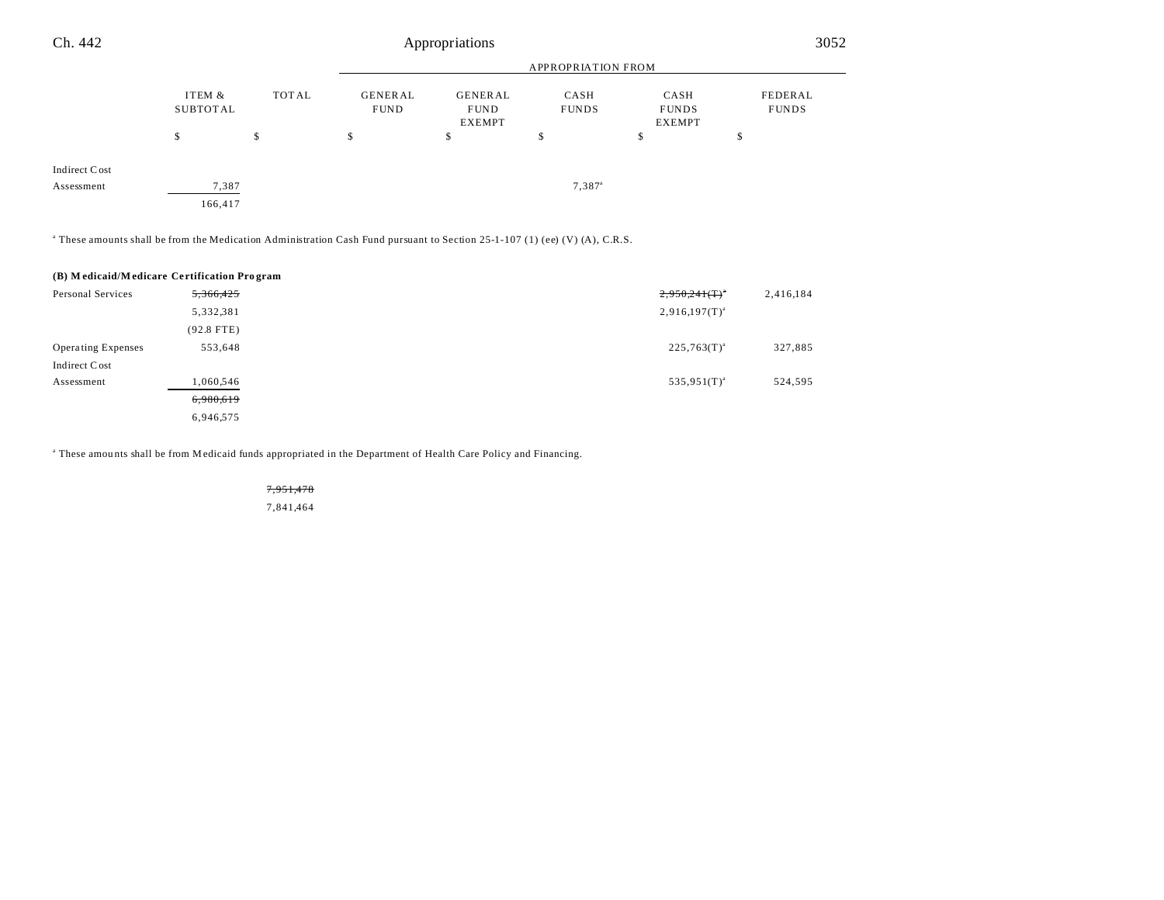| Ch. 442       |                    |       | Appropriations                |                                         |                      | 3052                                  |                         |
|---------------|--------------------|-------|-------------------------------|-----------------------------------------|----------------------|---------------------------------------|-------------------------|
|               |                    |       | <b>APPROPRIATION FROM</b>     |                                         |                      |                                       |                         |
|               | ITEM &<br>SUBTOTAL | TOTAL | <b>GENERAL</b><br><b>FUND</b> | GENERAL<br><b>FUND</b><br><b>EXEMPT</b> | CASH<br><b>FUNDS</b> | CASH<br><b>FUNDS</b><br><b>EXEMPT</b> | FEDERAL<br><b>FUNDS</b> |
|               | m<br>J.            | \$    | \$                            | \$                                      | ъ                    | \$                                    | D                       |
| Indirect Cost |                    |       |                               |                                         |                      |                                       |                         |
| Assessment    | 7,387              |       |                               |                                         | $7,387$ <sup>a</sup> |                                       |                         |
|               | 166,417            |       |                               |                                         |                      |                                       |                         |

a These amounts shall be from the Medication Administration Cash Fund pursuant to Section 25-1-107 (1) (ee) (V) (A), C.R.S.

#### **(B) M edicaid/M edicare Ce rtification Pro gram**

| Personal Services         | 5,366,425    | $2,950,241$ (T) <sup>*</sup> |
|---------------------------|--------------|------------------------------|
|                           | 5,332,381    | $2,916,197(T)^{a}$           |
|                           | $(92.8$ FTE) |                              |
| <b>Operating Expenses</b> | 553,648      | $225,763(T)^{a}$             |
| Indirect Cost             |              |                              |
| Assessment                | 1,060,546    | $535,951(T)^{a}$             |
|                           | 6,980,619    |                              |
|                           | 6,946,575    |                              |

a These amou nts shall be from Medicaid funds appropriated in the Department of Health Care Policy and Financing.

# 7,951,478

7,841,464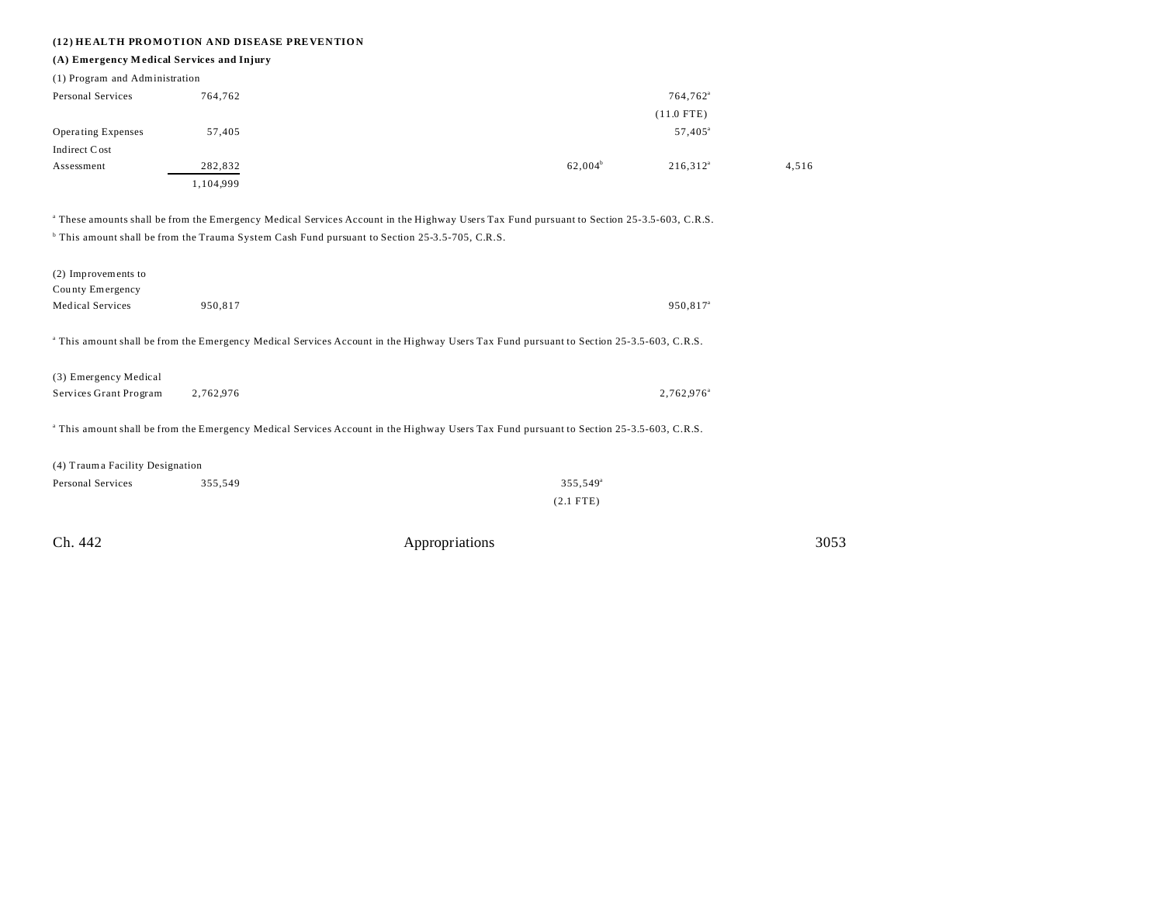## **(12) HEALTH PROMOTION AND DISEASE PREVENTION**

## **(A) Emergency M edical Services and Injury**

| (1) Program and Administration |           |              |                      |
|--------------------------------|-----------|--------------|----------------------|
| Personal Services              | 764,762   |              | 764,762 <sup>a</sup> |
|                                |           | $(11.0$ FTE) |                      |
| <b>Operating Expenses</b>      | 57,405    |              | $57,405^{\circ}$     |
| Indirect Cost                  |           |              |                      |
| Assessment                     | 282,832   | $62,004^b$   | $216,312^a$<br>4,516 |
|                                | 1,104,999 |              |                      |

a These amounts shall be from the Emergency Medical Services Account in the Highway Users Tax Fund pursuant to Section 25-3.5-603, C.R.S. This amount shall be from the Trauma System Cash Fund pursuant to Section 25-3.5-705, C.R.S.

| 950,817                                                                                                                                            | 950,817 <sup>a</sup>                                                                                                                                                                  |  |  |
|----------------------------------------------------------------------------------------------------------------------------------------------------|---------------------------------------------------------------------------------------------------------------------------------------------------------------------------------------|--|--|
|                                                                                                                                                    |                                                                                                                                                                                       |  |  |
|                                                                                                                                                    |                                                                                                                                                                                       |  |  |
| 2,762,976                                                                                                                                          | 2,762,976 <sup>a</sup>                                                                                                                                                                |  |  |
| <sup>a</sup> This amount shall be from the Emergency Medical Services Account in the Highway Users Tax Fund pursuant to Section 25-3.5-603, C.R.S. |                                                                                                                                                                                       |  |  |
|                                                                                                                                                    |                                                                                                                                                                                       |  |  |
| 355,549                                                                                                                                            | 355,549 <sup>a</sup>                                                                                                                                                                  |  |  |
|                                                                                                                                                    | $(2.1$ FTE)                                                                                                                                                                           |  |  |
|                                                                                                                                                    | <sup>a</sup> This amount shall be from the Emergency Medical Services Account in the Highway Users Tax Fund pursuant to Section 25-3.5-603, C.R.S.<br>(4) Trauma Facility Designation |  |  |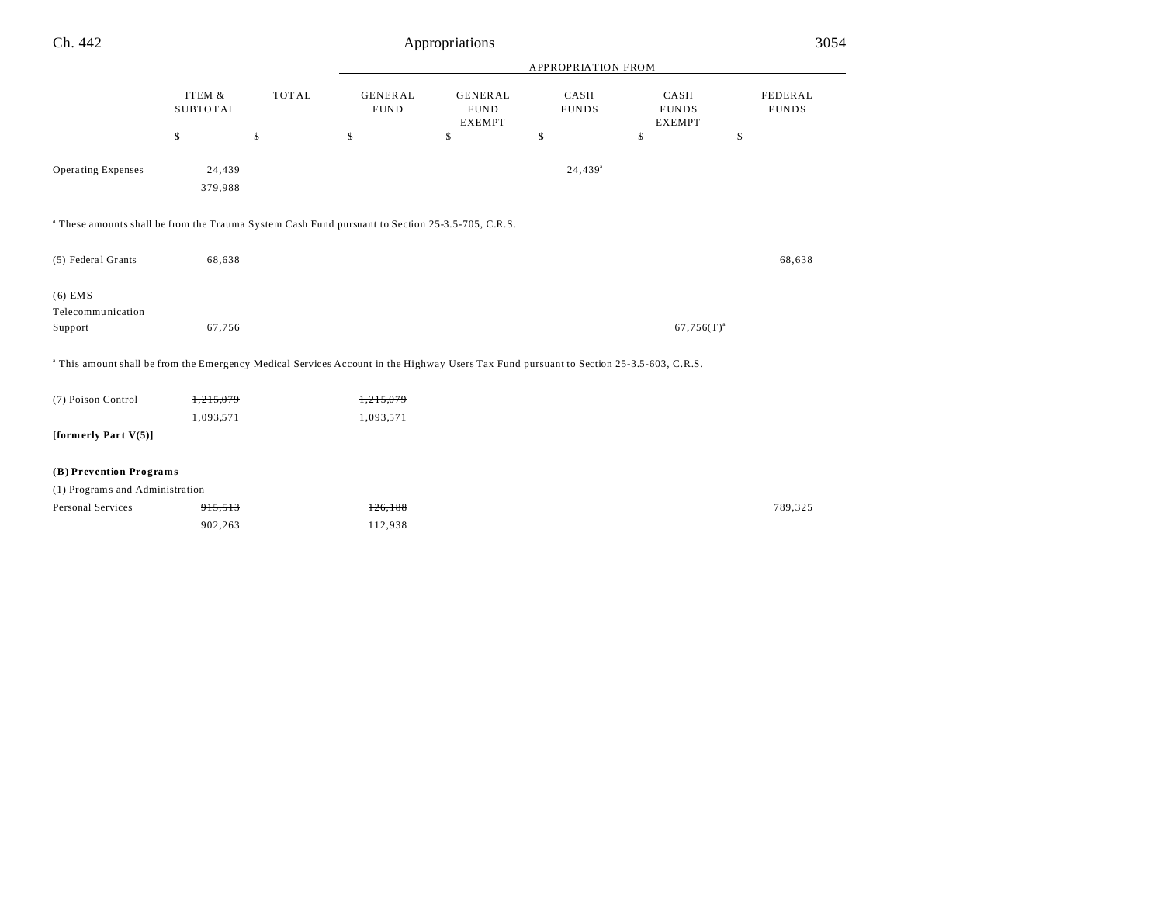| Ch. 442                                                                                                                                            |                            |              |                               | Appropriations                                 |                       |                                       | 3054                    |
|----------------------------------------------------------------------------------------------------------------------------------------------------|----------------------------|--------------|-------------------------------|------------------------------------------------|-----------------------|---------------------------------------|-------------------------|
|                                                                                                                                                    |                            |              |                               |                                                | APPROPRIATION FROM    |                                       |                         |
|                                                                                                                                                    | ITEM &<br>${\tt SUBTOTAL}$ | <b>TOTAL</b> | <b>GENERAL</b><br><b>FUND</b> | <b>GENERAL</b><br><b>FUND</b><br><b>EXEMPT</b> | CASH<br><b>FUNDS</b>  | CASH<br><b>FUNDS</b><br><b>EXEMPT</b> | FEDERAL<br><b>FUNDS</b> |
|                                                                                                                                                    | \$                         | \$           | \$                            | \$                                             | \$                    | \$                                    | \$                      |
| Operating Expenses                                                                                                                                 | 24,439<br>379,988          |              |                               |                                                | $24,439$ <sup>a</sup> |                                       |                         |
| <sup>a</sup> These amounts shall be from the Trauma System Cash Fund pursuant to Section 25-3.5-705, C.R.S.                                        |                            |              |                               |                                                |                       |                                       |                         |
| (5) Federal Grants                                                                                                                                 | 68,638                     |              |                               |                                                |                       |                                       | 68,638                  |
| $(6)$ EMS<br>Telecommunication<br>Support                                                                                                          | 67,756                     |              |                               |                                                |                       | $67,756(T)^{a}$                       |                         |
| <sup>a</sup> This amount shall be from the Emergency Medical Services Account in the Highway Users Tax Fund pursuant to Section 25-3.5-603, C.R.S. |                            |              |                               |                                                |                       |                                       |                         |
| (7) Poison Control                                                                                                                                 | 1,215,079<br>1,093,571     |              | 1,215,079<br>1,093,571        |                                                |                       |                                       |                         |
| [formerly Part $V(5)$ ]                                                                                                                            |                            |              |                               |                                                |                       |                                       |                         |
| (B) Prevention Programs                                                                                                                            |                            |              |                               |                                                |                       |                                       |                         |
| (1) Programs and Administration                                                                                                                    |                            |              |                               |                                                |                       |                                       |                         |
| <b>Personal Services</b>                                                                                                                           | 915,513<br>902,263         |              | 126,188<br>112,938            |                                                |                       |                                       | 789,325                 |
|                                                                                                                                                    |                            |              |                               |                                                |                       |                                       |                         |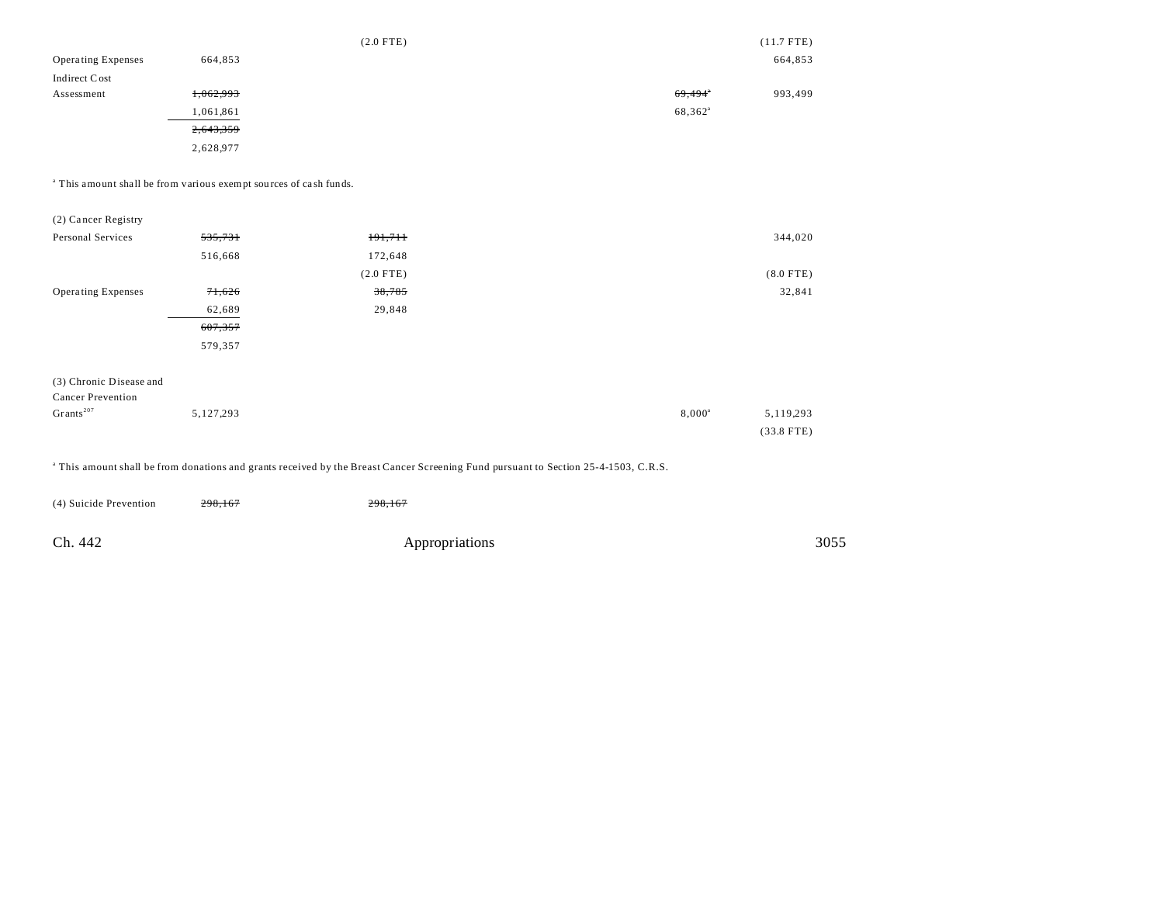|                           |           | $(2.0$ FTE) |                     | $(11.7$ FTE) |
|---------------------------|-----------|-------------|---------------------|--------------|
| <b>Operating Expenses</b> | 664,853   |             |                     | 664,853      |
| Indirect Cost             |           |             |                     |              |
| Assessment                | 1,062,993 |             | 69,494              | 993,499      |
|                           | 1,061,861 |             | 68,362 <sup>a</sup> |              |
|                           | 2,643,359 |             |                     |              |
|                           | 2,628,977 |             |                     |              |

<sup>a</sup> This amount shall be from various exempt sources of cash funds.

| (2) Cancer Registry       |         |             |             |
|---------------------------|---------|-------------|-------------|
| Personal Services         | 535,731 | 191,711     | 344,020     |
|                           | 516,668 | 172,648     |             |
|                           |         | $(2.0$ FTE) | $(8.0$ FTE) |
| <b>Operating Expenses</b> | 71,626  | 38,785      | 32,841      |
|                           | 62,689  | 29,848      |             |
|                           | 607,357 |             |             |
|                           | 579,357 |             |             |
|                           |         |             |             |
| (3) Chronic Disease and   |         |             |             |
| <b>Cancer Prevention</b>  |         |             |             |

| Grants <sup>207</sup> | 5, 127, 293 | $8,000^{\circ}$ | 5,119,293    |
|-----------------------|-------------|-----------------|--------------|
|                       |             |                 | $(33.8$ FTE) |

a This amount shall be from donations and grants received by the Breast Cancer Screening Fund pursuant to Section 25-4-1503, C.R.S.

| (4) Suicide Prevention | 298,167 | 298,167        |      |
|------------------------|---------|----------------|------|
| Ch. 442                |         | Appropriations | 3055 |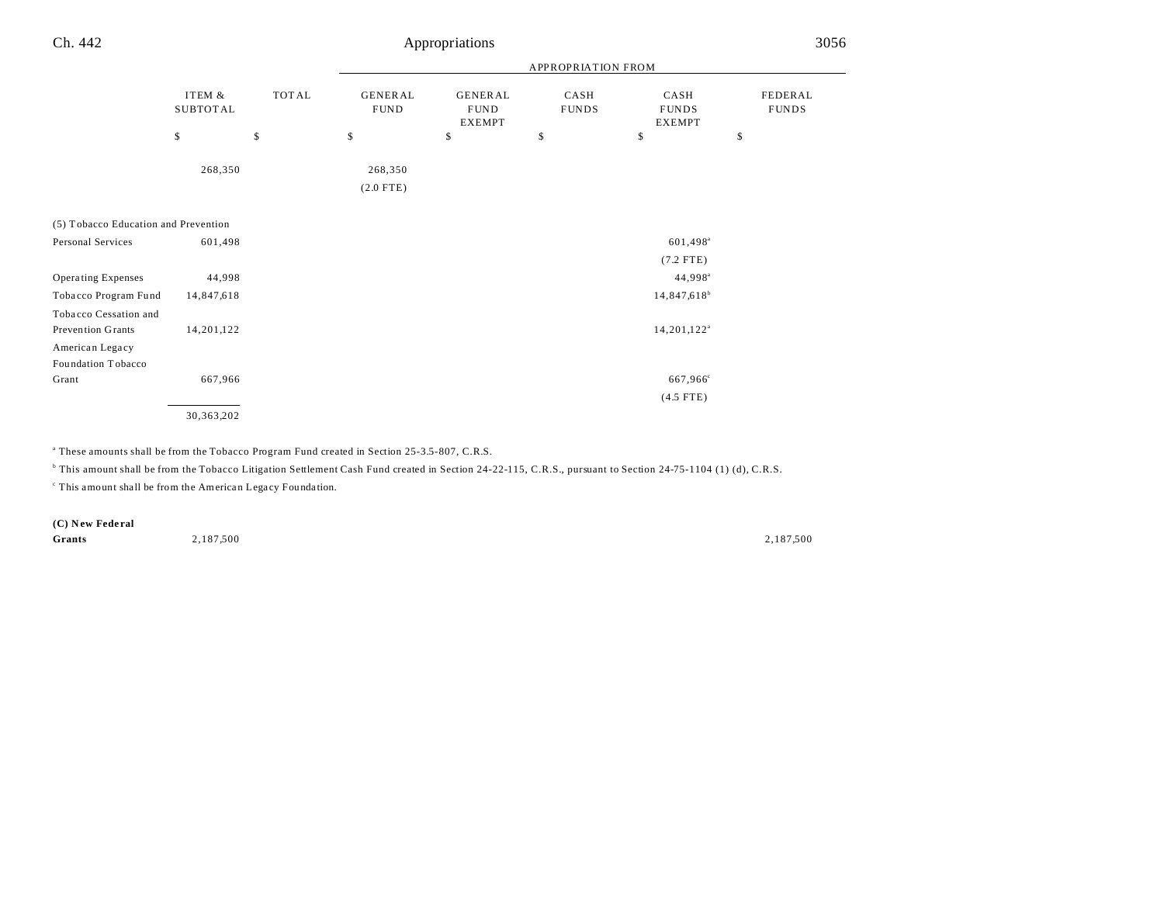|                                      |                           |              | APPROPRIATION FROM            |                                                |                      |                                       |                         |  |  |
|--------------------------------------|---------------------------|--------------|-------------------------------|------------------------------------------------|----------------------|---------------------------------------|-------------------------|--|--|
|                                      | ITEM &<br><b>SUBTOTAL</b> | <b>TOTAL</b> | <b>GENERAL</b><br><b>FUND</b> | <b>GENERAL</b><br><b>FUND</b><br><b>EXEMPT</b> | CASH<br><b>FUNDS</b> | CASH<br><b>FUNDS</b><br><b>EXEMPT</b> | FEDERAL<br><b>FUNDS</b> |  |  |
|                                      | \$                        | \$           | \$                            | \$                                             | \$                   | \$                                    | \$                      |  |  |
|                                      | 268,350                   |              | 268,350<br>$(2.0$ FTE)        |                                                |                      |                                       |                         |  |  |
| (5) Tobacco Education and Prevention |                           |              |                               |                                                |                      |                                       |                         |  |  |
| Personal Services                    | 601,498                   |              |                               |                                                |                      | $601,498^{\circ}$                     |                         |  |  |
|                                      |                           |              |                               |                                                |                      | $(7.2$ FTE)                           |                         |  |  |
| <b>Operating Expenses</b>            | 44,998                    |              |                               |                                                |                      | $44,998^{\circ}$                      |                         |  |  |
| Tobacco Program Fund                 | 14,847,618                |              |                               |                                                |                      | $14,847,618^b$                        |                         |  |  |
| Tobacco Cessation and                |                           |              |                               |                                                |                      |                                       |                         |  |  |
| Prevention Grants                    | 14,201,122                |              |                               |                                                |                      | $14,201,122^a$                        |                         |  |  |
| American Legacy                      |                           |              |                               |                                                |                      |                                       |                         |  |  |
| Foundation Tobacco                   |                           |              |                               |                                                |                      |                                       |                         |  |  |
| Grant                                | 667,966                   |              |                               |                                                |                      | 667,966 <sup>c</sup>                  |                         |  |  |
|                                      |                           |              |                               |                                                |                      | $(4.5$ FTE)                           |                         |  |  |
|                                      | 30,363,202                |              |                               |                                                |                      |                                       |                         |  |  |

a These amounts shall be from the Tobacco Program Fund created in Section 25-3.5-807, C.R.S.

<sup>b</sup> This amount shall be from the Tobacco Litigation Settlement Cash Fund created in Section 24-22-115, C.R.S., pursuant to Section 24-75-1104 (1) (d), C.R.S.

<sup>c</sup> This amount shall be from the American Legacy Foundation.

**(C) N ew Fede ral**

**Grants** 2,187,500 2,187,500 2,187,500 2,187,500 2,187,500 2,187,500 2,187,500 2,187,500 2,187,500 2,187,500 2,187,500 2,187,500 2,187,500 2,187,500 2,187,500 2,187,500 2,187,500 2,187,500 2,187,500 2,187,500 2,187,500 2,1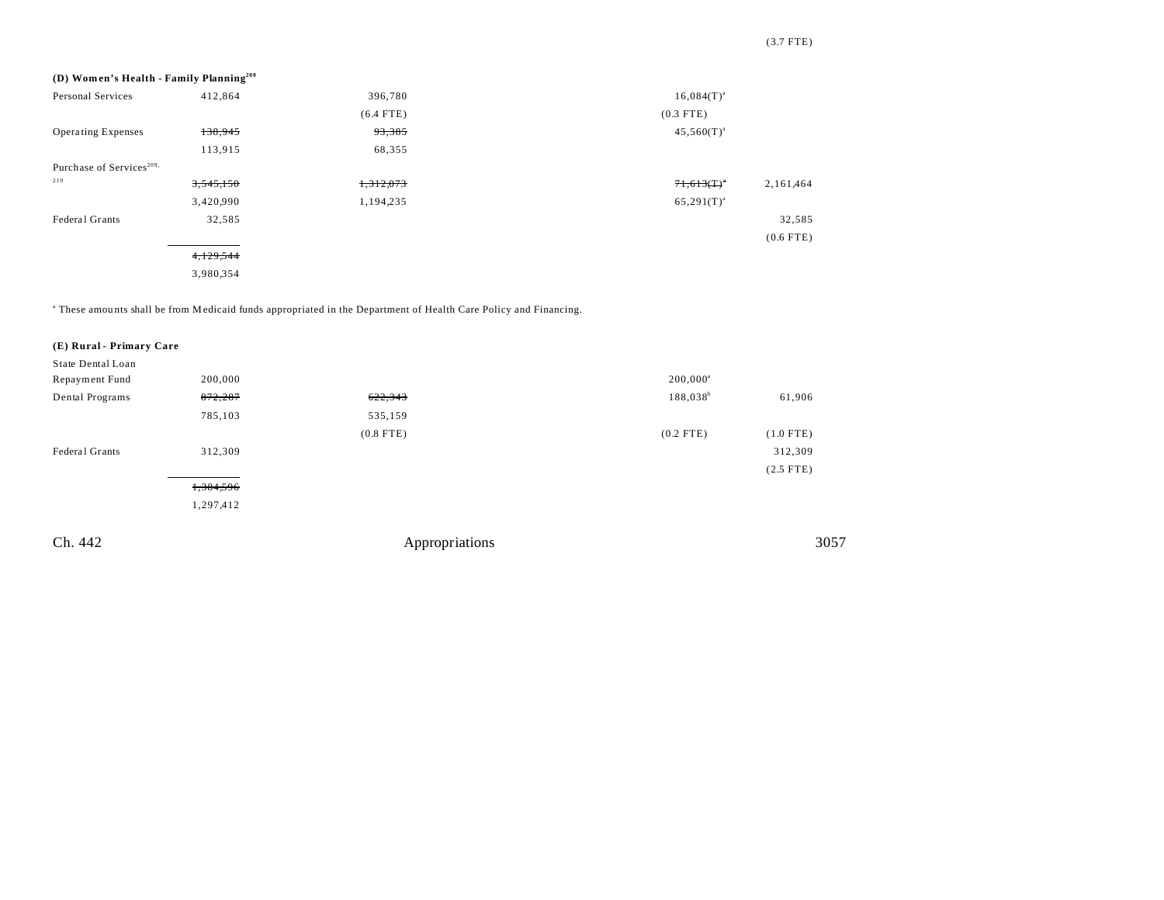| (D) Women's Health - Family Planning <sup>208</sup> |           |             |                            |
|-----------------------------------------------------|-----------|-------------|----------------------------|
| Personal Services                                   | 412,864   | 396,780     | $16,084(T)^{a}$            |
|                                                     |           | $(6.4$ FTE) | $(0.3$ FTE)                |
| <b>Operating Expenses</b>                           | 138,945   | 93,385      | $45,560(T)^{a}$            |
|                                                     | 113,915   | 68,355      |                            |
| Purchase of Services <sup>209,</sup>                |           |             |                            |
| 210                                                 | 3,545,150 | 1,312,073   | $71,613(T)^*$<br>2,161,464 |
|                                                     | 3,420,990 | 1,194,235   | $65,291(T)^{a}$            |
| Federal Grants                                      | 32,585    |             | 32,585                     |
|                                                     |           |             | $(0.6$ FTE)                |
|                                                     | 4,129,544 |             |                            |
|                                                     | 3,980,354 |             |                            |

a These amou nts shall be from Medicaid funds appropriated in the Department of Health Care Policy and Financing.

| (E) Rural - Primary Care |           |                |             |             |
|--------------------------|-----------|----------------|-------------|-------------|
| State Dental Loan        |           |                |             |             |
| Repayment Fund           | 200,000   |                | $200,000^a$ |             |
| Dental Programs          | 872,287   | 622,343        | $188,038^b$ | 61,906      |
|                          | 785,103   | 535,159        |             |             |
|                          |           | $(0.8$ FTE)    | $(0.2$ FTE) | $(1.0$ FTE) |
| Federal Grants           | 312,309   |                |             | 312,309     |
|                          |           |                |             | $(2.5$ FTE) |
|                          | 1,384,596 |                |             |             |
|                          | 1,297,412 |                |             |             |
|                          |           |                |             |             |
| Ch. 442                  |           | Appropriations |             | 3057        |

## (3.7 FTE)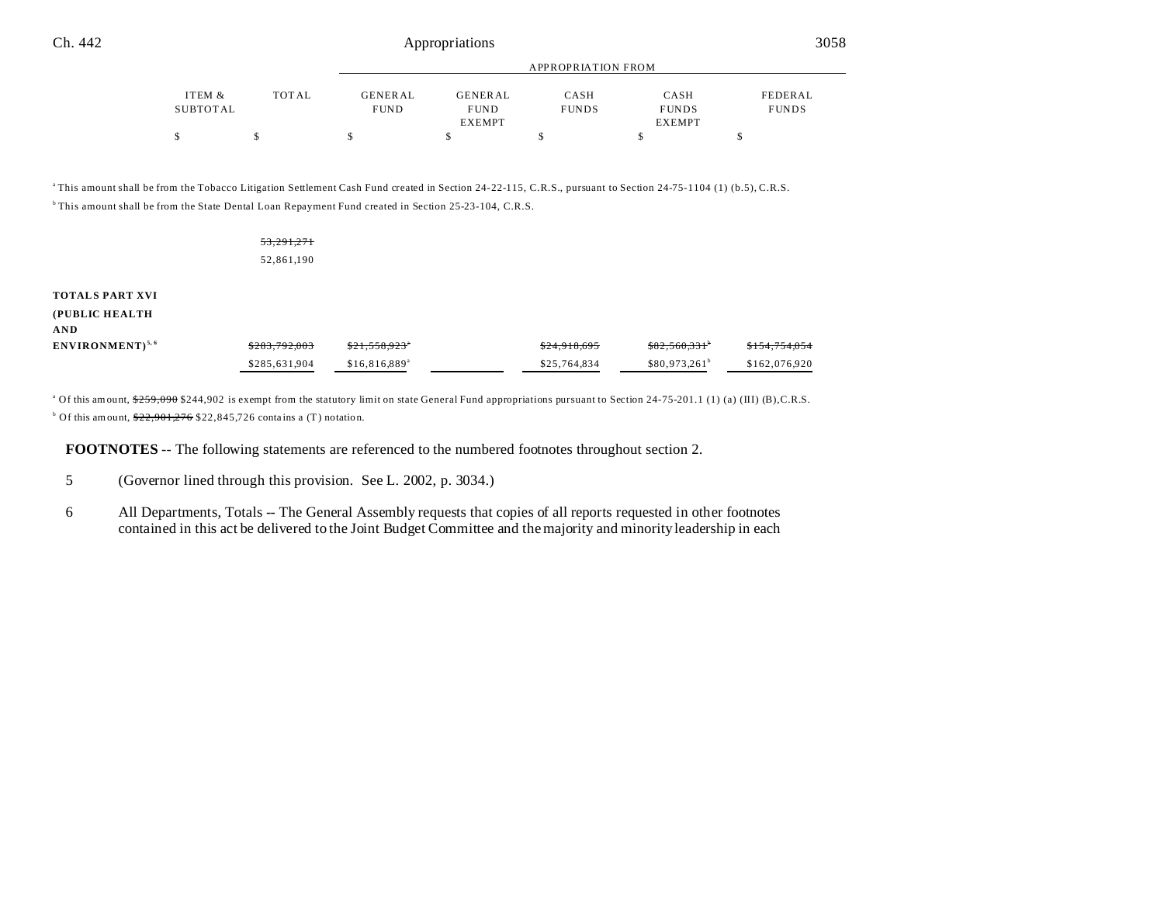| Ch. 442 | Appropriations | 3058 |
|---------|----------------|------|
|---------|----------------|------|

 $\begin{array}{ccccccccccc} \text{\$} & & & \text{\$} & & \text{\$} & & \text{\$} & & \text{\$} & \text{\$} & \text{\$} & \text{\$} & \text{\$} & \text{\$} & \text{\$} & \text{\$} & \text{\$} & \text{\$} & \text{\$} & \text{\$} & \text{\$} & \text{\$} & \text{\$} & \text{\$} & \text{\$} & \text{\$} & \text{\$} & \text{\$} & \text{\$} & \text{\$} & \text{\$} & \text{\$} & \text{\$} & \text{\$} & \text{\$} & \text{\$} & \text{\$} & \text{\$} & \text$ 

|                    |       | APPROPRIATION FROM            |                                                |                      |                                       |                         |
|--------------------|-------|-------------------------------|------------------------------------------------|----------------------|---------------------------------------|-------------------------|
| ITEM &<br>SUBTOTAL | TOTAL | <b>GENERAL</b><br><b>FUND</b> | <b>GENERAL</b><br><b>FUND</b><br><b>EXEMPT</b> | CASH<br><b>FUNDS</b> | CASH<br><b>FUNDS</b><br><b>EXEMPT</b> | FEDERAL<br><b>FUNDS</b> |

<sup>a</sup>This amount shall be from the Tobacco Litigation Settlement Cash Fund created in Section 24-22-115, C.R.S., pursuant to Section 24-75-1104 (1) (b.5), C.R.S. <sup>b</sup>This amount shall be from the State Dental Loan Repayment Fund created in Section 25-23-104, C.R.S.

|                                                 | 53,291,271<br>52,861,190 |                           |              |                 |               |
|-------------------------------------------------|--------------------------|---------------------------|--------------|-----------------|---------------|
| <b>TOTALS PART XVI</b><br>(PUBLIC HEALTH<br>AND |                          |                           |              |                 |               |
| ENVIRONMENT) <sup>5, 6</sup>                    | \$283,792,003            | \$21,558.923"             | \$24,918,695 | \$82,560,331    | \$154,754,054 |
|                                                 | \$285,631,904            | \$16,816,889 <sup>a</sup> | \$25,764,834 | $$80,973,261^b$ | \$162,076,920 |

<sup>a</sup> Of this amount, \$259,090 \$244,902 is exempt from the statutory limit on state General Fund appropriations pursuant to Section 24-75-201.1 (1) (a) (III) (B),C.R.S. <sup>b</sup> Of this amount,  $\frac{$22,901,276}{$22,845,726}$  contains a (T) notation.

**FOOTNOTES** -- The following statements are referenced to the numbered footnotes throughout section 2.

6 All Departments, Totals -- The General Assembly requests that copies of all reports requested in other footnotes contained in this act be delivered to the Joint Budget Committee and the majority and minority leadership in each

<sup>5</sup> (Governor lined through this provision. See L. 2002, p. 3034.)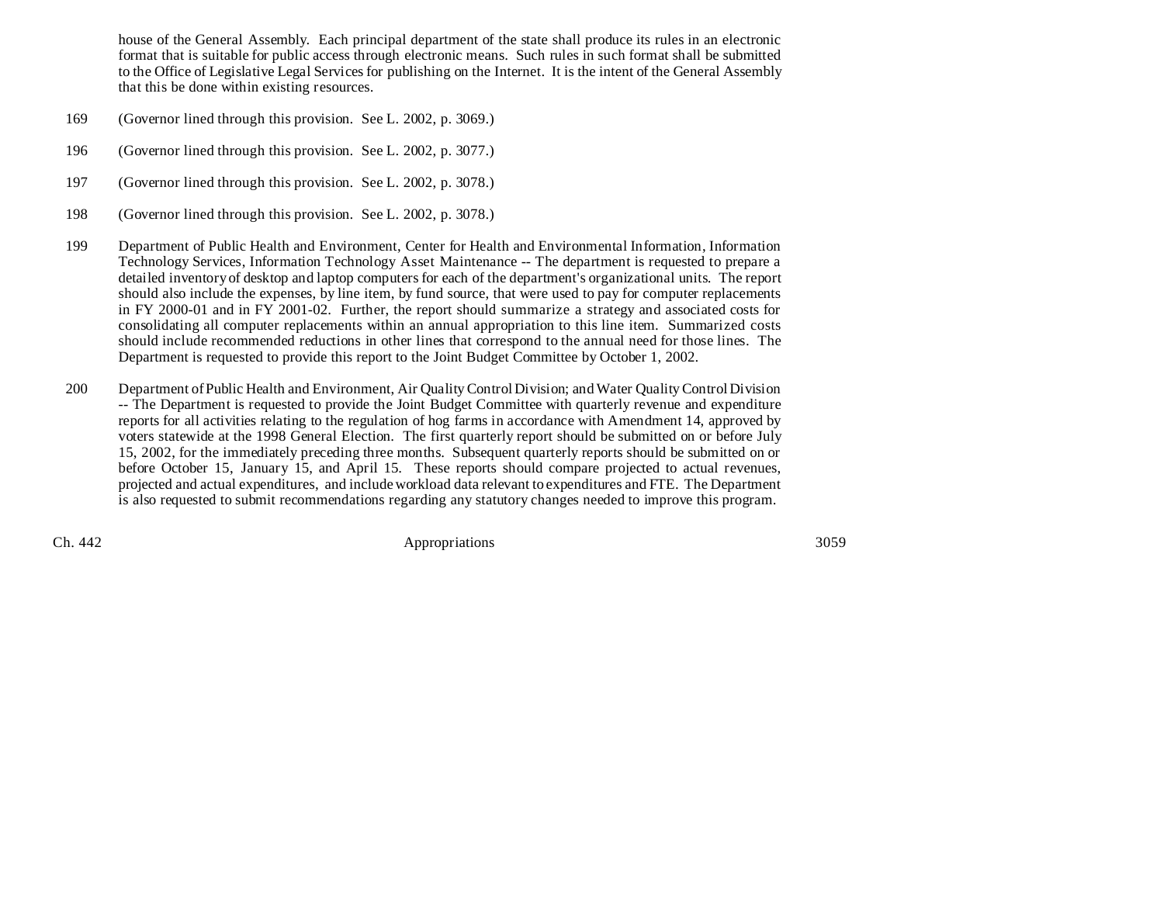house of the General Assembly. Each principal department of the state shall produce its rules in an electronic format that is suitable for public access through electronic means. Such rules in such format shall be submitted to the Office of Legislative Legal Services for publishing on the Internet. It is the intent of the General Assembly that this be done within existing resources.

- 169 (Governor lined through this provision. See L. 2002, p. 3069.)
- 196 (Governor lined through this provision. See L. 2002, p. 3077.)
- 197 (Governor lined through this provision. See L. 2002, p. 3078.)
- 198 (Governor lined through this provision. See L. 2002, p. 3078.)
- 199 Department of Public Health and Environment, Center for Health and Environmental Information, Information Technology Services, Information Technology Asset Maintenance -- The department is requested to prepare a detailed inventory of desktop and laptop computers for each of the department's organizational units. The report should also include the expenses, by line item, by fund source, that were used to pay for computer replacements in FY 2000-01 and in FY 2001-02. Further, the report should summarize a strategy and associated costs for consolidating all computer replacements within an annual appropriation to this line item. Summarized costs should include recommended reductions in other lines that correspond to the annual need for those lines. The Department is requested to provide this report to the Joint Budget Committee by October 1, 2002.
- 200 Department of Public Health and Environment, Air Quality Control Division; and Water Quality Control Division -- The Department is requested to provide the Joint Budget Committee with quarterly revenue and expenditure reports for all activities relating to the regulation of hog farms in accordance with Amendment 14, approved by voters statewide at the 1998 General Election. The first quarterly report should be submitted on or before July 15, 2002, for the immediately preceding three months. Subsequent quarterly reports should be submitted on or before October 15, January 15, and April 15. These reports should compare projected to actual revenues, projected and actual expenditures, and include workload data relevant to expenditures and FTE. The Department is also requested to submit recommendations regarding any statutory changes needed to improve this program.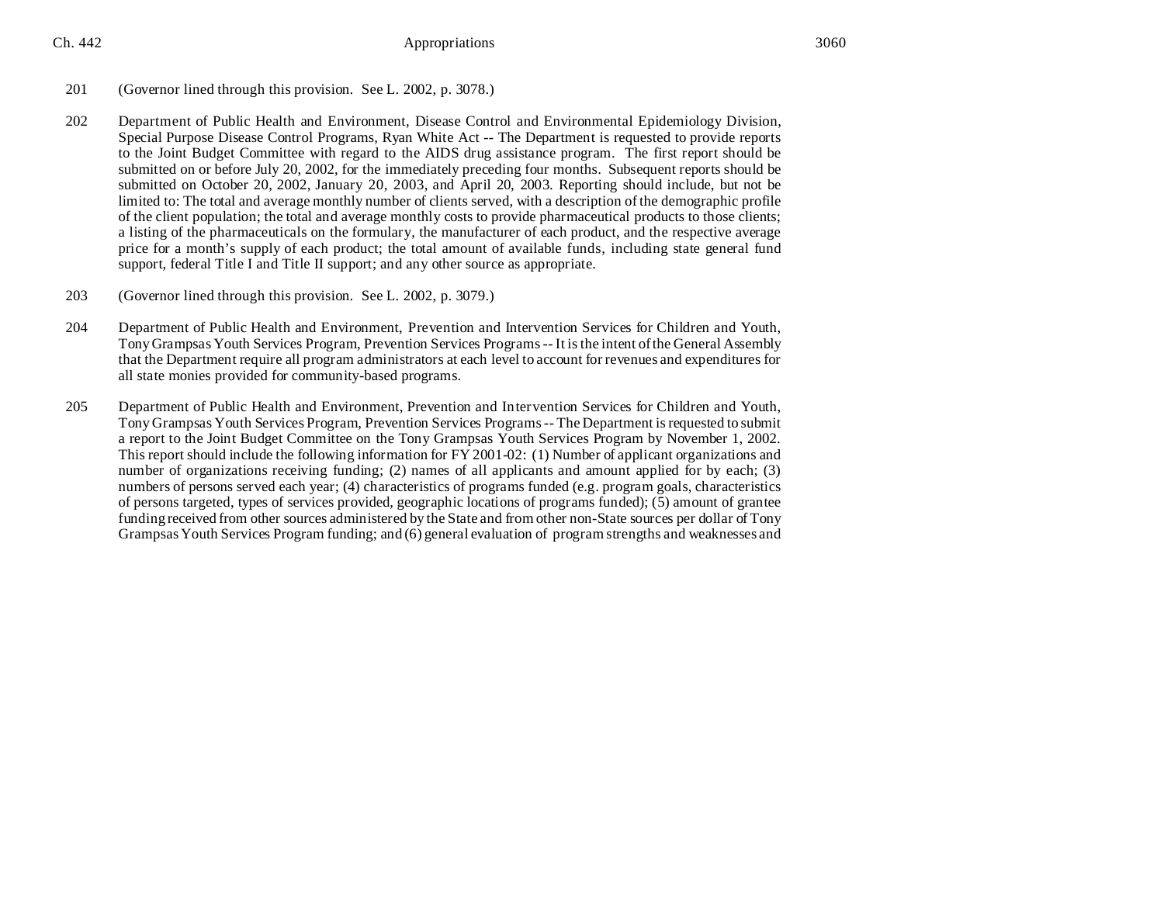- 201 (Governor lined through this provision. See L. 2002, p. 3078.)
- 202 Department of Public Health and Environment, Disease Control and Environmental Epidemiology Division, Special Purpose Disease Control Programs, Ryan White Act -- The Department is requested to provide reports to the Joint Budget Committee with regard to the AIDS drug assistance program. The first report should be submitted on or before July 20, 2002, for the immediately preceding four months. Subsequent reports should be submitted on October 20, 2002, January 20, 2003, and April 20, 2003. Reporting should include, but not be limited to: The total and average monthly number of clients served, with a description of the demographic profile of the client population; the total and average monthly costs to provide pharmaceutical products to those clients; a listing of the pharmaceuticals on the formulary, the manufacturer of each product, and the respective average price for a month's supply of each product; the total amount of available funds, including state general fund support, federal Title I and Title II support; and any other source as appropriate.
- 203 (Governor lined through this provision. See L. 2002, p. 3079.)
- 204 Department of Public Health and Environment, Prevention and Intervention Services for Children and Youth, Tony Grampsas Youth Services Program, Prevention Services Programs -- It is the intent of the General Assembly that the Department require all program administrators at each level to account for revenues and expenditures for all state monies provided for community-based programs.
- 205 Department of Public Health and Environment, Prevention and Intervention Services for Children and Youth, Tony Grampsas Youth Services Program, Prevention Services Programs -- The Department is requested to submit a report to the Joint Budget Committee on the Tony Grampsas Youth Services Program by November 1, 2002. This report should include the following information for FY 2001-02: (1) Number of applicant organizations and number of organizations receiving funding; (2) names of all applicants and amount applied for by each; (3) numbers of persons served each year; (4) characteristics of programs funded (e.g. program goals, characteristics of persons targeted, types of services provided, geographic locations of programs funded); (5) amount of grantee funding received from other sources administered by the State and from other non-State sources per dollar of Tony Grampsas Youth Services Program funding; and (6) general evaluation of program strengths and weaknesses and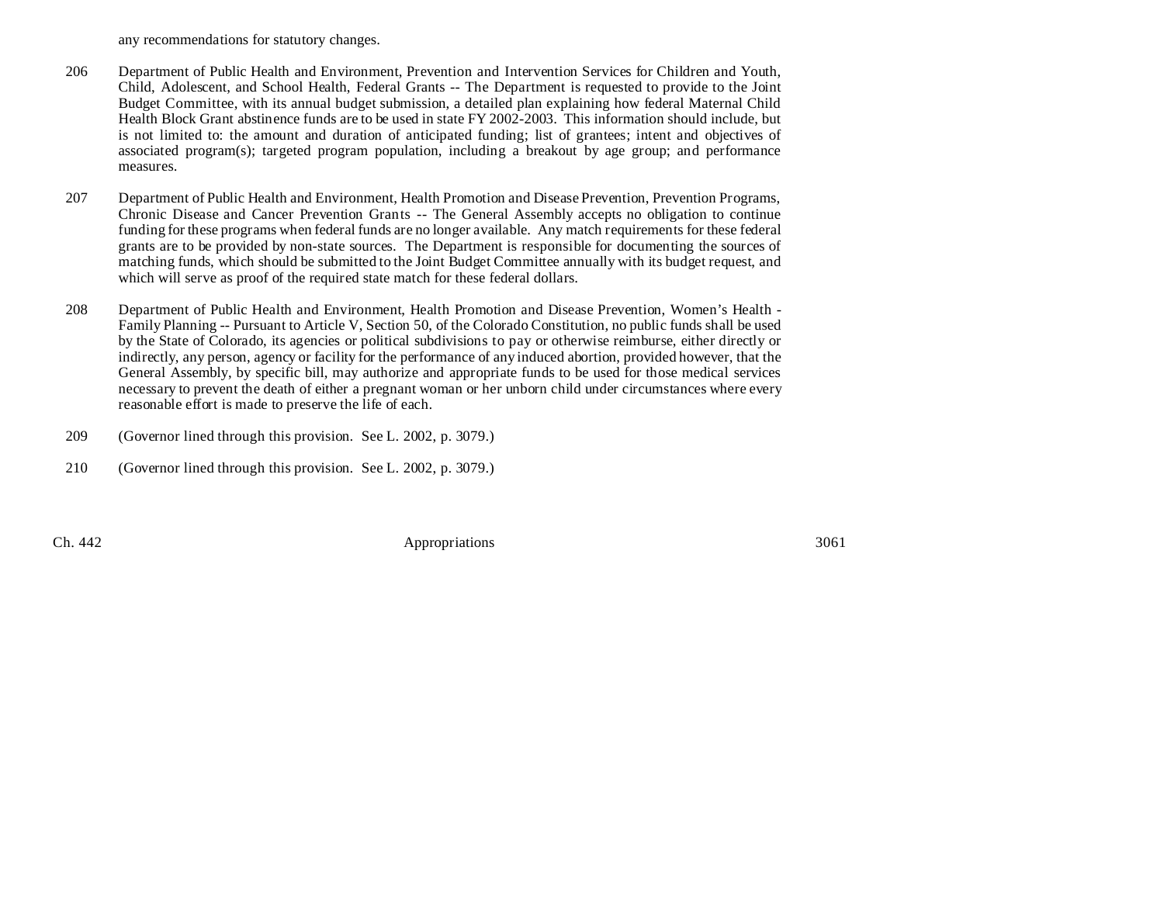any recommendations for statutory changes.

- 206 Department of Public Health and Environment, Prevention and Intervention Services for Children and Youth, Child, Adolescent, and School Health, Federal Grants -- The Department is requested to provide to the Joint Budget Committee, with its annual budget submission, a detailed plan explaining how federal Maternal Child Health Block Grant abstinence funds are to be used in state FY 2002-2003. This information should include, but is not limited to: the amount and duration of anticipated funding; list of grantees; intent and objectives of associated program(s); targeted program population, including a breakout by age group; and performance measures.
- 207 Department of Public Health and Environment, Health Promotion and Disease Prevention, Prevention Programs, Chronic Disease and Cancer Prevention Grants -- The General Assembly accepts no obligation to continue funding for these programs when federal funds are no longer available. Any match requirements for these federal grants are to be provided by non-state sources. The Department is responsible for documenting the sources of matching funds, which should be submitted to the Joint Budget Committee annually with its budget request, and which will serve as proof of the required state match for these federal dollars.
- 208 Department of Public Health and Environment, Health Promotion and Disease Prevention, Women's Health Family Planning -- Pursuant to Article V, Section 50, of the Colorado Constitution, no public funds shall be used by the State of Colorado, its agencies or political subdivisions to pay or otherwise reimburse, either directly or indirectly, any person, agency or facility for the performance of any induced abortion, provided however, that the General Assembly, by specific bill, may authorize and appropriate funds to be used for those medical services necessary to prevent the death of either a pregnant woman or her unborn child under circumstances where every reasonable effort is made to preserve the life of each.
- 209 (Governor lined through this provision. See L. 2002, p. 3079.)
- 210 (Governor lined through this provision. See L. 2002, p. 3079.)